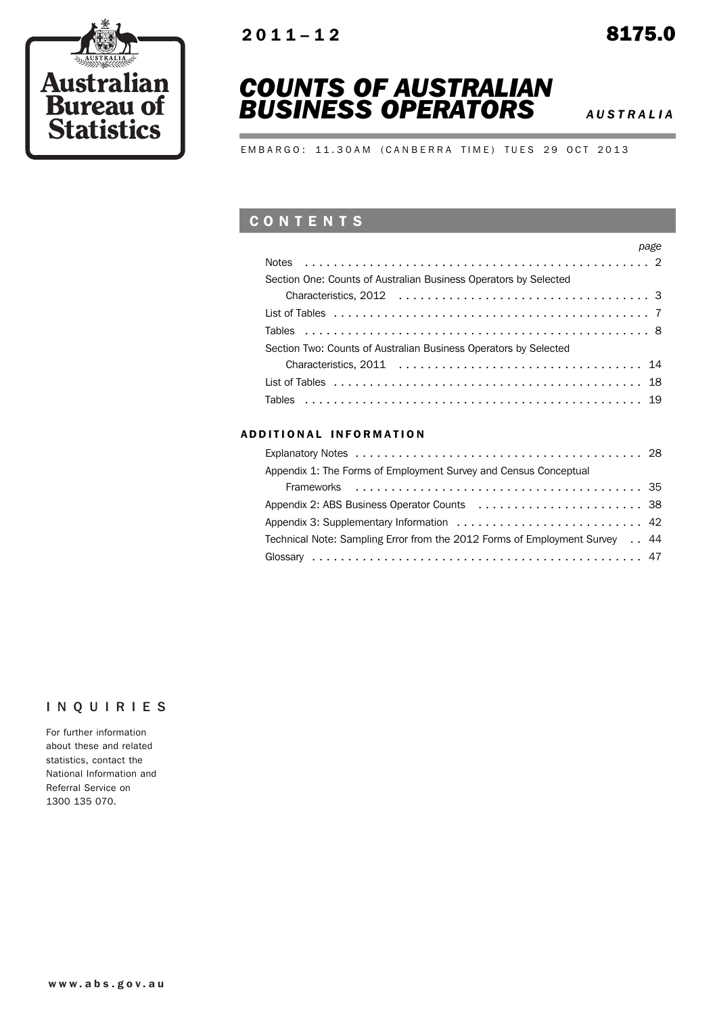



# *COUNTS OF AUSTRALIAN BUSINESS OPERATORS <sup>A</sup> USTRALIA*

EMBARGO: 11.30AM (CANBERRA TIME) TUES 29 OCT 2013

## **CONTENTS**

|                                                                  | page |
|------------------------------------------------------------------|------|
|                                                                  |      |
| Section One: Counts of Australian Business Operators by Selected |      |
|                                                                  |      |
|                                                                  |      |
|                                                                  |      |
| Section Two: Counts of Australian Business Operators by Selected |      |
|                                                                  |      |
|                                                                  |      |
|                                                                  |      |

## ADDITIONAL INFORMATION

| Appendix 1: The Forms of Employment Survey and Census Conceptual           |  |
|----------------------------------------------------------------------------|--|
|                                                                            |  |
|                                                                            |  |
|                                                                            |  |
| Technical Note: Sampling Error from the 2012 Forms of Employment Survey 44 |  |
|                                                                            |  |

## INQUIRIES

For further information about these and related statistics, contact the National Information and Referral Service on 1300 135 070.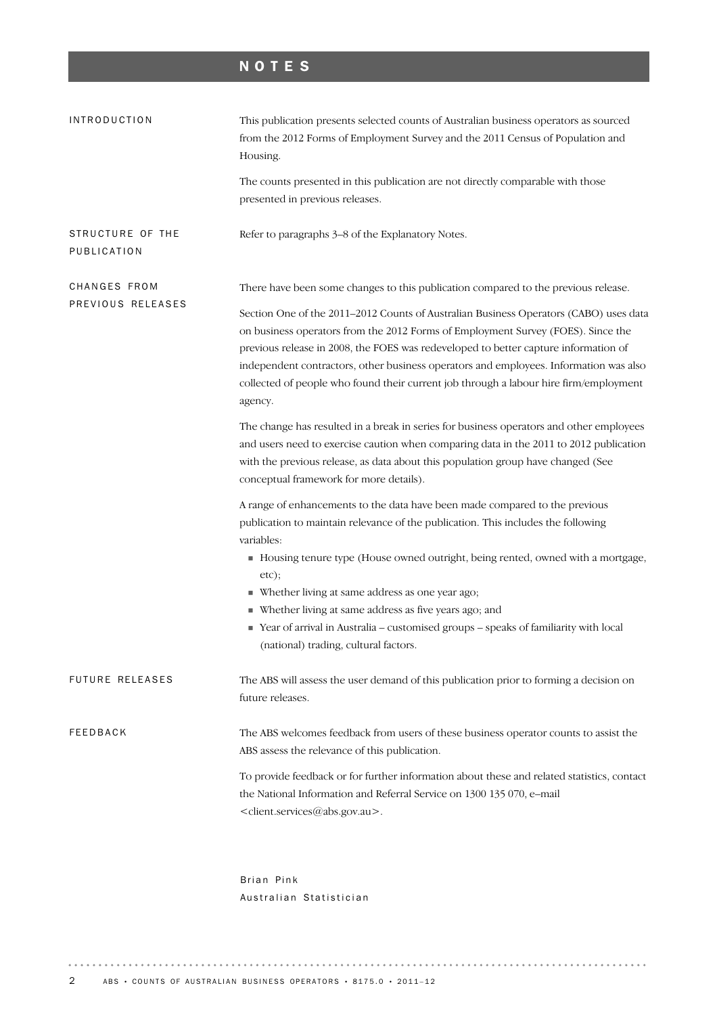# NOTES

| <b>INTRODUCTION</b>             | This publication presents selected counts of Australian business operators as sourced<br>from the 2012 Forms of Employment Survey and the 2011 Census of Population and<br>Housing.                                                                                                                                                                                                                                                                                                                                        |
|---------------------------------|----------------------------------------------------------------------------------------------------------------------------------------------------------------------------------------------------------------------------------------------------------------------------------------------------------------------------------------------------------------------------------------------------------------------------------------------------------------------------------------------------------------------------|
|                                 | The counts presented in this publication are not directly comparable with those<br>presented in previous releases.                                                                                                                                                                                                                                                                                                                                                                                                         |
| STRUCTURE OF THE<br>PUBLICATION | Refer to paragraphs 3-8 of the Explanatory Notes.                                                                                                                                                                                                                                                                                                                                                                                                                                                                          |
| CHANGES FROM                    | There have been some changes to this publication compared to the previous release.                                                                                                                                                                                                                                                                                                                                                                                                                                         |
| PREVIOUS RELEASES               | Section One of the 2011-2012 Counts of Australian Business Operators (CABO) uses data<br>on business operators from the 2012 Forms of Employment Survey (FOES). Since the<br>previous release in 2008, the FOES was redeveloped to better capture information of<br>independent contractors, other business operators and employees. Information was also<br>collected of people who found their current job through a labour hire firm/employment<br>agency.                                                              |
|                                 | The change has resulted in a break in series for business operators and other employees<br>and users need to exercise caution when comparing data in the 2011 to 2012 publication<br>with the previous release, as data about this population group have changed (See<br>conceptual framework for more details).                                                                                                                                                                                                           |
|                                 | A range of enhancements to the data have been made compared to the previous<br>publication to maintain relevance of the publication. This includes the following<br>variables:<br>Housing tenure type (House owned outright, being rented, owned with a mortgage,<br>etc);<br>• Whether living at same address as one year ago;<br>• Whether living at same address as five years ago; and<br>Pear of arrival in Australia - customised groups - speaks of familiarity with local<br>(national) trading, cultural factors. |
| FUTURE RELEASES                 | The ABS will assess the user demand of this publication prior to forming a decision on<br>future releases.                                                                                                                                                                                                                                                                                                                                                                                                                 |
| <b>FEEDBACK</b>                 | The ABS welcomes feedback from users of these business operator counts to assist the<br>ABS assess the relevance of this publication.                                                                                                                                                                                                                                                                                                                                                                                      |
|                                 | To provide feedback or for further information about these and related statistics, contact<br>the National Information and Referral Service on 1300 135 070, e-mail<br><client.services@abs.gov.au>.</client.services@abs.gov.au>                                                                                                                                                                                                                                                                                          |
|                                 | Brian Pink                                                                                                                                                                                                                                                                                                                                                                                                                                                                                                                 |

Australian Statistician

 $\begin{smallmatrix}&&1\\1&1&1&1&1&1&1&1\end{smallmatrix}$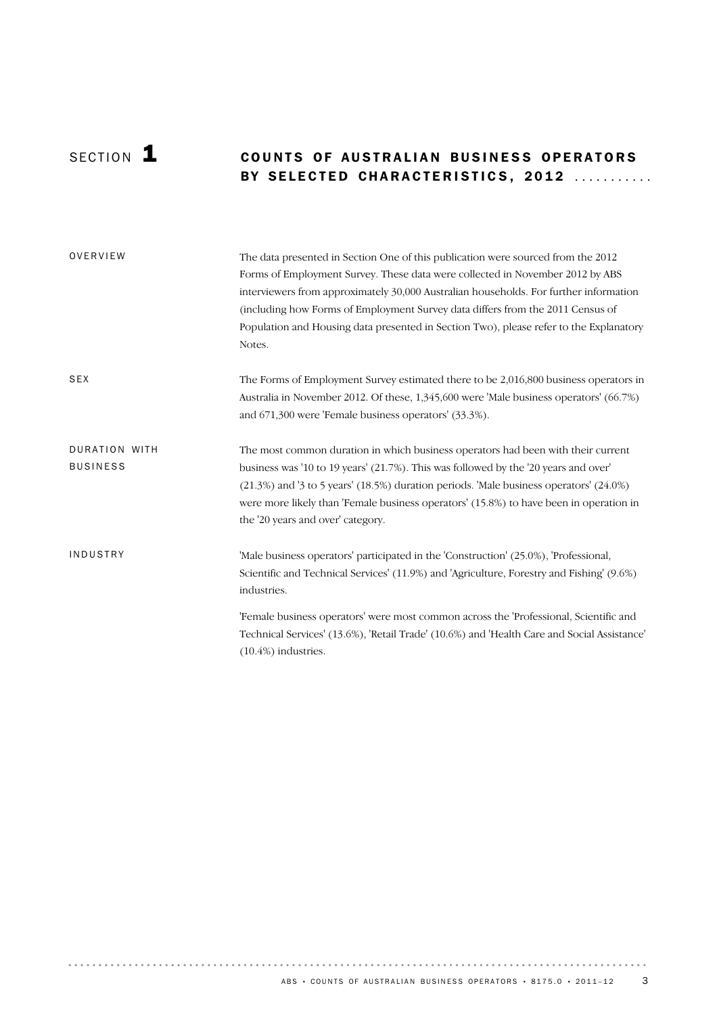## SECTION **1 COUNTS OF AUSTRALIAN BUSINESS OPERATORS** BY SELECTED CHARACTERISTICS, 2012 ...........

| OVERVIEW                         | The data presented in Section One of this publication were sourced from the 2012<br>Forms of Employment Survey. These data were collected in November 2012 by ABS<br>interviewers from approximately 30,000 Australian households. For further information<br>(including how Forms of Employment Survey data differs from the 2011 Census of<br>Population and Housing data presented in Section Two), please refer to the Explanatory<br>Notes. |
|----------------------------------|--------------------------------------------------------------------------------------------------------------------------------------------------------------------------------------------------------------------------------------------------------------------------------------------------------------------------------------------------------------------------------------------------------------------------------------------------|
| <b>SEX</b>                       | The Forms of Employment Survey estimated there to be 2,016,800 business operators in<br>Australia in November 2012. Of these, 1,345,600 were 'Male business operators' (66.7%)<br>and 671,300 were 'Female business operators' (33.3%).                                                                                                                                                                                                          |
| DURATION WITH<br><b>BUSINESS</b> | The most common duration in which business operators had been with their current<br>business was '10 to 19 years' (21.7%). This was followed by the '20 years and over'<br>(21.3%) and '3 to 5 years' (18.5%) duration periods. 'Male business operators' (24.0%)<br>were more likely than 'Female business operators' (15.8%) to have been in operation in<br>the '20 years and over' category.                                                 |
| INDUSTRY                         | 'Male business operators' participated in the 'Construction' (25.0%), 'Professional,<br>Scientific and Technical Services' (11.9%) and 'Agriculture, Forestry and Fishing' (9.6%)<br>industries.                                                                                                                                                                                                                                                 |
|                                  | 'Female business operators' were most common across the 'Professional, Scientific and<br>Technical Services' (13.6%), 'Retail Trade' (10.6%) and 'Health Care and Social Assistance'<br>$(10.4\%)$ industries.                                                                                                                                                                                                                                   |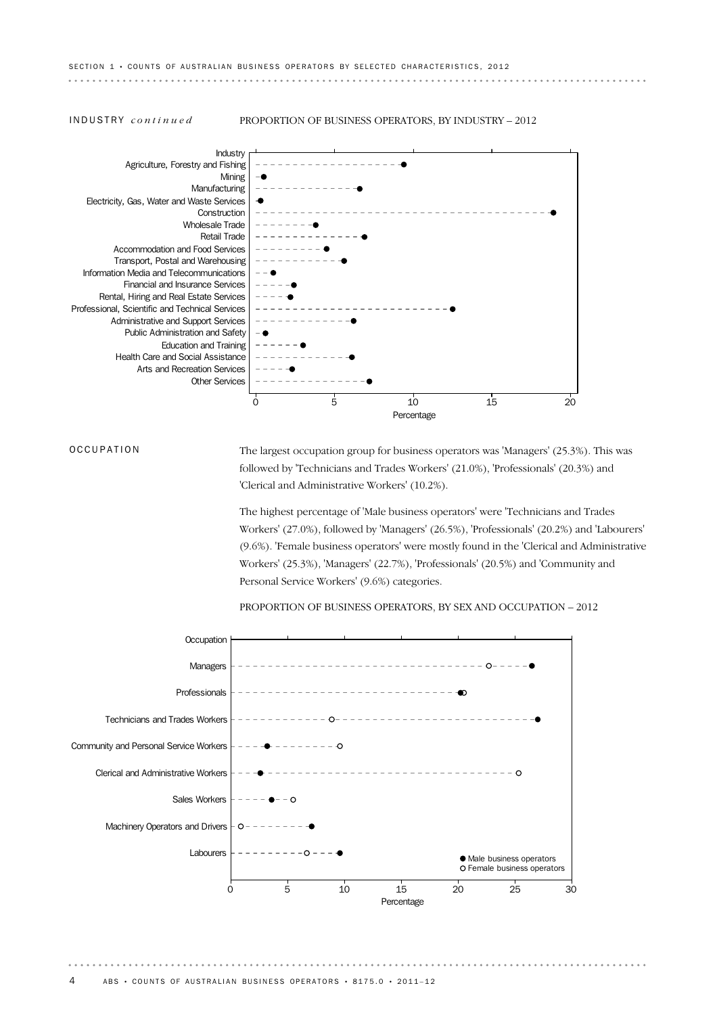INDUSTRY *continued* PROPORTION OF BUSINESS OPERATORS, BY INDUSTRY – 2012



**OCCUPATION** 

The largest occupation group for business operators was 'Managers' (25.3%). This was followed by 'Technicians and Trades Workers' (21.0%), 'Professionals' (20.3%) and 'Clerical and Administrative Workers' (10.2%).

The highest percentage of 'Male business operators' were 'Technicians and Trades Workers' (27.0%), followed by 'Managers' (26.5%), 'Professionals' (20.2%) and 'Labourers' (9.6%). 'Female business operators' were mostly found in the 'Clerical and Administrative Workers' (25.3%), 'Managers' (22.7%), 'Professionals' (20.5%) and 'Community and Personal Service Workers' (9.6%) categories.

PROPORTION OF BUSINESS OPERATORS, BY SEX AND OCCUPATION – 2012

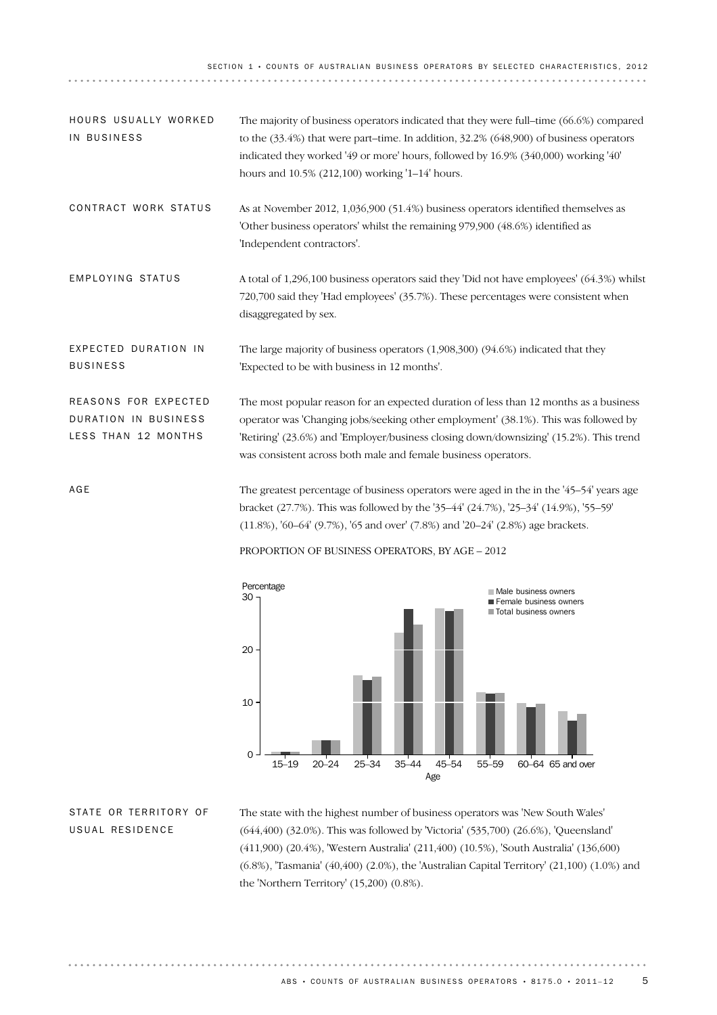SECTION 1 · COUNTS OF AUSTRALIAN BUSINESS OPERATORS BY SELECTED CHARACTERISTICS, 2012

| HOURS USUALLY WORKED<br>IN BUSINESS                                 | The majority of business operators indicated that they were full-time (66.6%) compared<br>to the $(33.4%)$ that were part–time. In addition, $32.2%$ $(648,900)$ of business operators<br>indicated they worked '49 or more' hours, followed by 16.9% (340,000) working '40'<br>hours and 10.5% (212,100) working '1-14' hours.          |
|---------------------------------------------------------------------|------------------------------------------------------------------------------------------------------------------------------------------------------------------------------------------------------------------------------------------------------------------------------------------------------------------------------------------|
| CONTRACT WORK STATUS                                                | As at November 2012, 1,036,900 (51.4%) business operators identified themselves as<br>'Other business operators' whilst the remaining 979,900 (48.6%) identified as<br>'Independent contractors'.                                                                                                                                        |
| EMPLOYING STATUS                                                    | A total of 1,296,100 business operators said they 'Did not have employees' (64.3%) whilst<br>720,700 said they 'Had employees' (35.7%). These percentages were consistent when<br>disaggregated by sex.                                                                                                                                  |
| EXPECTED DURATION IN<br><b>BUSINESS</b>                             | The large majority of business operators (1,908,300) (94.6%) indicated that they<br>'Expected to be with business in 12 months'.                                                                                                                                                                                                         |
| REASONS FOR EXPECTED<br>DURATION IN BUSINESS<br>LESS THAN 12 MONTHS | The most popular reason for an expected duration of less than 12 months as a business<br>operator was 'Changing jobs/seeking other employment' (38.1%). This was followed by<br>'Retiring' (23.6%) and 'Employer/business closing down/downsizing' (15.2%). This trend<br>was consistent across both male and female business operators. |
| AGE                                                                 | The greatest percentage of business operators were aged in the in the '45–54' years age                                                                                                                                                                                                                                                  |

The greatest percentage of business operators were aged in the in the '45–54' years age bracket (27.7%). This was followed by the '35–44' (24.7%), '25–34' (14.9%), '55–59' (11.8%), '60–64' (9.7%), '65 and over' (7.8%) and '20–24' (2.8%) age brackets.

## PROPORTION OF BUSINESS OPERATORS, BY AGE – 2012



STATE OR TERRITORY OF USUAL RESIDENCE

. . . . . . . . . . . . . . .

The state with the highest number of business operators was 'New South Wales' (644,400) (32.0%). This was followed by 'Victoria' (535,700) (26.6%), 'Queensland' (411,900) (20.4%), 'Western Australia' (211,400) (10.5%), 'South Australia' (136,600) (6.8%), 'Tasmania' (40,400) (2.0%), the 'Australian Capital Territory' (21,100) (1.0%) and the 'Northern Territory' (15,200) (0.8%).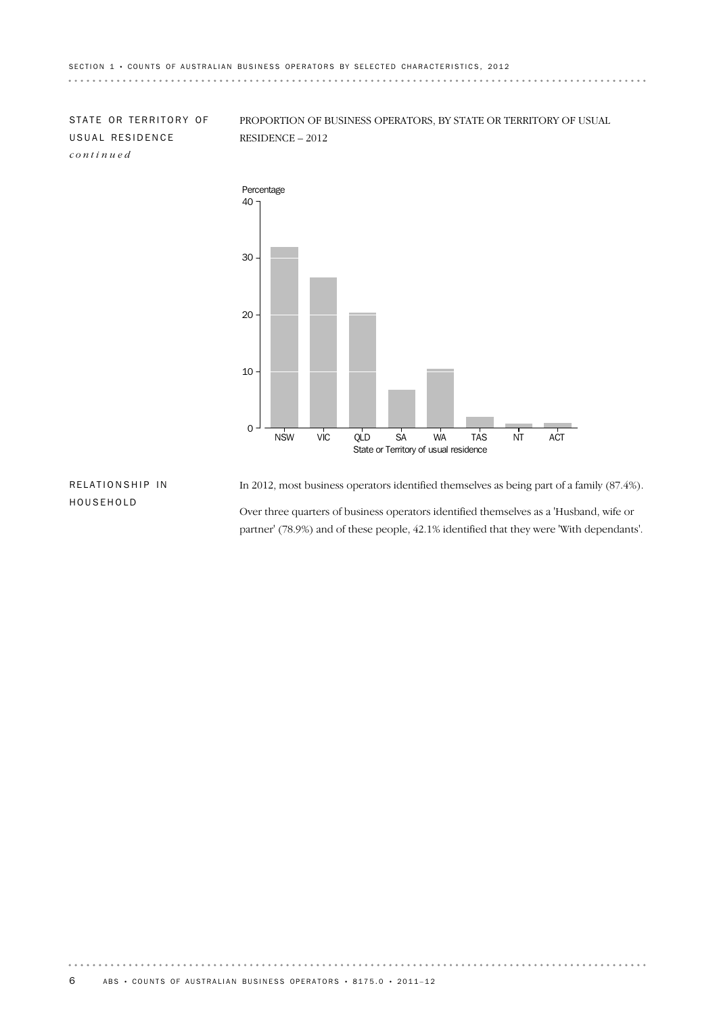STATE OR TERRITORY OF USUAL RESIDENCE *continued*

PROPORTION OF BUSINESS OPERATORS, BY STATE OR TERRITORY OF USUAL RESIDENCE – 2012



## RELATIONSHIP IN HOUSEHOLD

In 2012, most business operators identified themselves as being part of a family (87.4%).

Over three quarters of business operators identified themselves as a 'Husband, wife or partner' (78.9%) and of these people, 42.1% identified that they were 'With dependants'.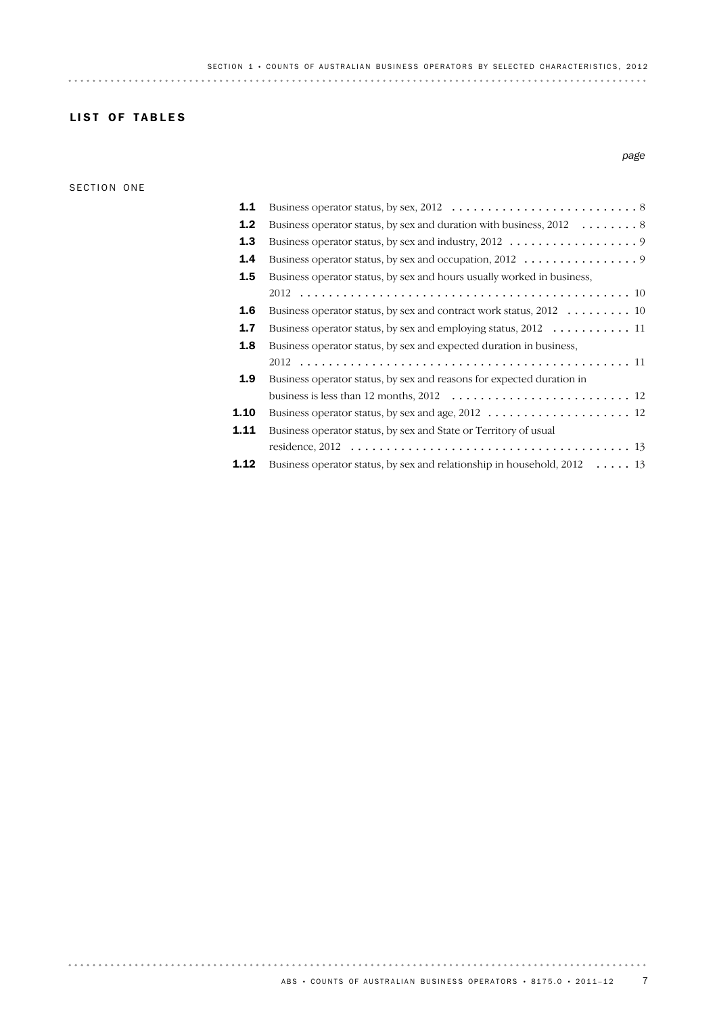*page*

## LIST OF TABLES

### SECTION ONE

. . . . . . . . . . . . . . .

## **1.12** Business operator status, by sex and relationship in household, 2012 ..... 13 13 residence, 2012 ....................................... Business operator status, by sex and State or Territory of usual 1.11 1.10 Business operator status, by sex and age, 2012 .................... 12 12 business is less than 12 months, 2012 ......................... Business operator status, by sex and reasons for expected duration in 1.9 11 2012 .............................................. Business operator status, by sex and expected duration in business, 1.8 1.7 Business operator status, by sex and employing status, 2012 ........... 11 1.6 Business operator status, by sex and contract work status, 2012 ......... 10 10 2012 .............................................. Business operator status, by sex and hours usually worked in business, 1.5 1.4 Business operator status, by sex and occupation, 2012 ................ 9 1.3 Business operator status, by sex and industry, 2012 .................. 9 **1.2** Business operator status, by sex and duration with business,  $2012$  ............. 8 1.1 Business operator status, by sex, 2012 .......................... 8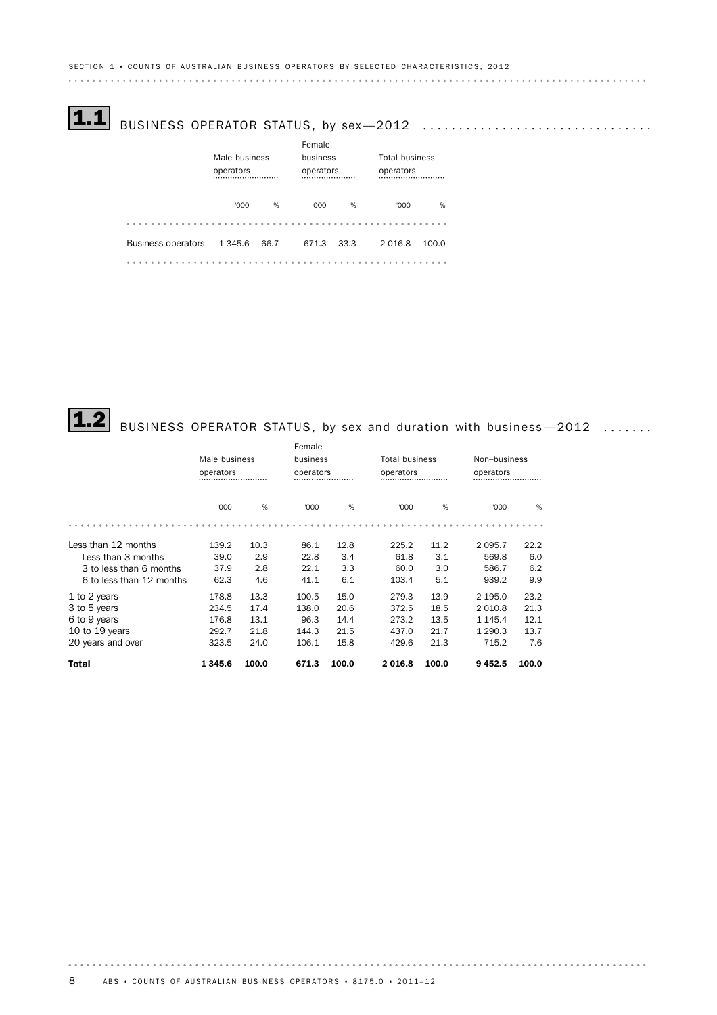# $\fbox{1.1}\quad$  BUSINESS OPERATOR STATUS, by sex $-2012\quad \ldots\ldots\ldots\ldots\ldots\ldots\ldots\ldots\ldots\ldots$

|                           | Male business<br>operators |      | Female<br>business<br>operators |      | <b>Total business</b><br>operators |       |  |
|---------------------------|----------------------------|------|---------------------------------|------|------------------------------------|-------|--|
|                           | '000                       | %    | '000                            | %    | '000                               | %     |  |
|                           |                            |      |                                 |      |                                    |       |  |
| <b>Business operators</b> | 1 3 4 5 . 6                | 66.7 | 671.3                           | 33.3 | 2016.8                             | 100.0 |  |
|                           |                            |      |                                 |      |                                    |       |  |

# $\fbox{1.2}$  BUSINESS OPERATOR STATUS, by sex and duration with business—2012  $\,\,\ldots\ldots$

|                          |               |       | Female |               |        |                       |              |           |  |
|--------------------------|---------------|-------|--------|---------------|--------|-----------------------|--------------|-----------|--|
|                          | Male business |       |        | business      |        | <b>Total business</b> | Non-business |           |  |
|                          | operators<br> |       |        | operators<br> |        | operators             |              | operators |  |
|                          | '000          | %     | '000   | %             | '000   | %                     | '000         | %         |  |
|                          |               |       |        |               |        |                       |              |           |  |
| Less than 12 months      | 139.2         | 10.3  | 86.1   | 12.8          | 225.2  | 11.2                  | 2 0 9 5.7    | 22.2      |  |
| Less than 3 months       | 39.0          | 2.9   | 22.8   | 3.4           | 61.8   | 3.1                   | 569.8        | 6.0       |  |
| 3 to less than 6 months  | 37.9          | 2.8   | 22.1   | 3.3           | 60.0   | 3.0                   | 586.7        | 6.2       |  |
| 6 to less than 12 months | 62.3          | 4.6   | 41.1   | 6.1           | 103.4  | 5.1                   | 939.2        | 9.9       |  |
| 1 to 2 years             | 178.8         | 13.3  | 100.5  | 15.0          | 279.3  | 13.9                  | 2 195.0      | 23.2      |  |
| 3 to 5 years             | 234.5         | 17.4  | 138.0  | 20.6          | 372.5  | 18.5                  | 2 0 1 0.8    | 21.3      |  |
| 6 to 9 years             | 176.8         | 13.1  | 96.3   | 14.4          | 273.2  | 13.5                  | 1 1 4 5 . 4  | 12.1      |  |
| 10 to 19 years           | 292.7         | 21.8  | 144.3  | 21.5          | 437.0  | 21.7                  | 1 2 9 0.3    | 13.7      |  |
| 20 years and over        | 323.5         | 24.0  | 106.1  | 15.8          | 429.6  | 21.3                  | 715.2        | 7.6       |  |
| <b>Total</b>             | 1345.6        | 100.0 | 671.3  | 100.0         | 2016.8 | 100.0                 | 9452.5       | 100.0     |  |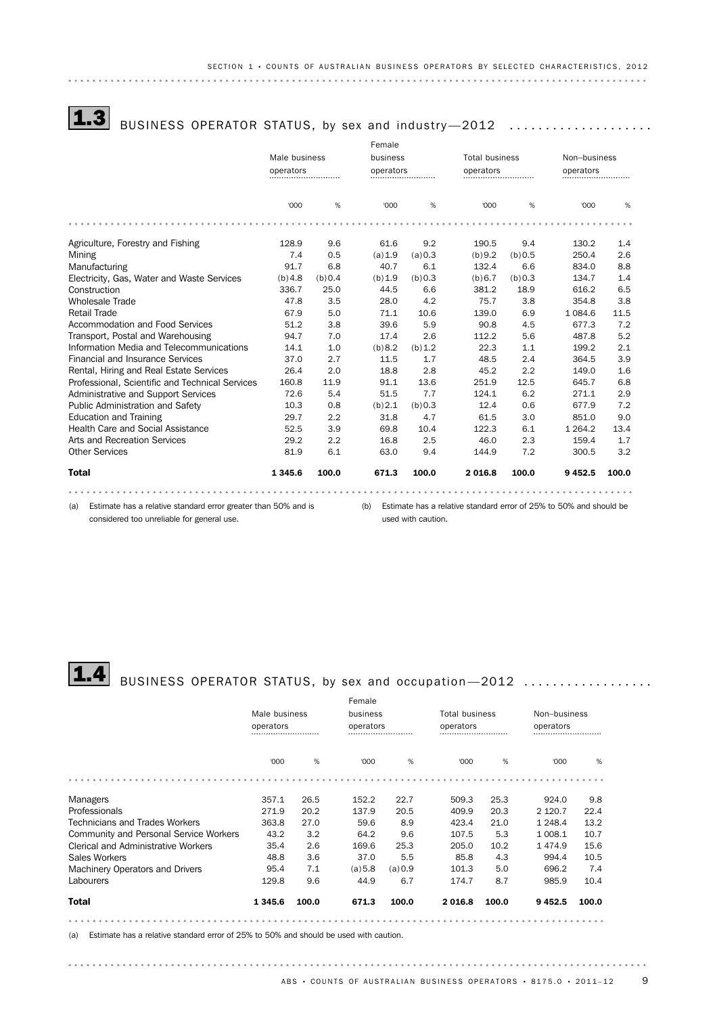# $\fbox{1.3}$  BUSINESS OPERATOR STATUS, by sex and industry—2012  $\,\,\ldots\ldots\ldots\ldots\ldots\ldots\,$

|                                                                       |               |         | Female  |                           |          |                       |                                                                    |               |
|-----------------------------------------------------------------------|---------------|---------|---------|---------------------------|----------|-----------------------|--------------------------------------------------------------------|---------------|
|                                                                       | Male business |         |         | business<br>operators<br> |          | <b>Total business</b> | Non-business                                                       |               |
|                                                                       | operators<br> |         |         |                           |          | operators<br>         |                                                                    | operators<br> |
|                                                                       |               |         |         |                           |          |                       |                                                                    |               |
|                                                                       | '000          | %       | '000    | %                         | '000     | %                     | '000                                                               | %             |
|                                                                       |               |         |         |                           |          |                       |                                                                    |               |
| Agriculture, Forestry and Fishing                                     | 128.9         | 9.6     | 61.6    | 9.2                       | 190.5    | 9.4                   | 130.2                                                              | 1.4           |
| Mining                                                                | 7.4           | 0.5     | (a) 1.9 | (a) 0.3                   | (b)9.2   | (b) 0.5               | 250.4                                                              | 2.6           |
| Manufacturing                                                         | 91.7          | 6.8     | 40.7    | 6.1                       | 132.4    | 6.6                   | 834.0                                                              | 8.8           |
| Electricity, Gas, Water and Waste Services                            | (b)4.8        | (b) 0.4 | (b) 1.9 | (b) 0.3                   | (b) 6.7  | (b) 0.3               | 134.7                                                              | 1.4           |
| Construction                                                          | 336.7         | 25.0    | 44.5    | 6.6                       | 381.2    | 18.9                  | 616.2                                                              | 6.5           |
| <b>Wholesale Trade</b>                                                | 47.8          | 3.5     | 28.0    | 4.2                       | 75.7     | 3.8                   | 354.8                                                              | 3.8           |
| <b>Retail Trade</b>                                                   | 67.9          | 5.0     | 71.1    | 10.6                      | 139.0    | 6.9                   | 1 0 8 4 . 6                                                        | 11.5          |
| Accommodation and Food Services                                       | 51.2          | 3.8     | 39.6    | 5.9                       | 90.8     | 4.5                   | 677.3                                                              | 7.2           |
| Transport, Postal and Warehousing                                     | 94.7          | 7.0     | 17.4    | 2.6                       | 112.2    | 5.6                   | 487.8                                                              | 5.2           |
| Information Media and Telecommunications                              | 14.1          | 1.0     | (b)8.2  | (b) 1.2                   | 22.3     | 1.1                   | 199.2                                                              | 2.1           |
| <b>Financial and Insurance Services</b>                               | 37.0          | 2.7     | 11.5    | 1.7                       | 48.5     | 2.4                   | 364.5                                                              | 3.9           |
| Rental, Hiring and Real Estate Services                               | 26.4          | 2.0     | 18.8    | 2.8                       | 45.2     | 2.2                   | 149.0                                                              | 1.6           |
| Professional, Scientific and Technical Services                       | 160.8         | 11.9    | 91.1    | 13.6                      | 251.9    | 12.5                  | 645.7                                                              | 6.8           |
| Administrative and Support Services                                   | 72.6          | 5.4     | 51.5    | 7.7                       | 124.1    | 6.2                   | 271.1                                                              | 2.9           |
| Public Administration and Safety                                      | 10.3          | 0.8     | (b) 2.1 | (b) 0.3                   | 12.4     | 0.6                   | 677.9                                                              | 7.2           |
| <b>Education and Training</b>                                         | 29.7          | 2.2     | 31.8    | 4.7                       | 61.5     | 3.0                   | 851.0                                                              | 9.0           |
| Health Care and Social Assistance                                     | 52.5          | 3.9     | 69.8    | 10.4                      | 122.3    | 6.1                   | 1 2 6 4 . 2                                                        | 13.4          |
| Arts and Recreation Services                                          | 29.2          | 2.2     | 16.8    | 2.5                       | 46.0     | 2.3                   | 159.4                                                              | 1.7           |
| <b>Other Services</b>                                                 | 81.9          | 6.1     | 63.0    | 9.4                       | 144.9    | 7.2                   | 300.5                                                              | 3.2           |
| <b>Total</b>                                                          | 1 3 4 5 . 6   | 100.0   | 671.3   | 100.0                     | 2 0 16.8 | 100.0                 | 9 4 5 2.5                                                          | 100.0         |
|                                                                       |               |         |         |                           |          |                       |                                                                    |               |
| Estimate has a relative standard error greater than 50% and is<br>(a) |               |         | (h)     |                           |          |                       | Estimate has a relative standard error of 25% to 50% and should be |               |

(a) Estimate has a relative standard error greater than 50% and is considered too unreliable for general use.

(b) Estimate has a relative standard error of 25% to 50% and should be used with caution.

# $\fbox{1.4}$  BUSINESS OPERATOR STATUS, by sex and occupation—2012  $\,\dots\ldots\ldots\ldots\ldots\,$

|                                               |               |       | Female   |               |                       |           |              |               |  |
|-----------------------------------------------|---------------|-------|----------|---------------|-----------------------|-----------|--------------|---------------|--|
|                                               | Male business |       | business |               | <b>Total business</b> |           | Non-business |               |  |
|                                               | operators<br> |       |          | operators<br> |                       | operators |              | operators<br> |  |
|                                               | '000          | %     | '000     | %             | '000                  | %         | '000         | %             |  |
|                                               |               |       |          |               |                       |           |              |               |  |
| Managers                                      | 357.1         | 26.5  | 152.2    | 22.7          | 509.3                 | 25.3      | 924.0        | 9.8           |  |
| Professionals                                 | 271.9         | 20.2  | 137.9    | 20.5          | 409.9                 | 20.3      | 2 1 2 0.7    | 22.4          |  |
| Technicians and Trades Workers                | 363.8         | 27.0  | 59.6     | 8.9           | 423.4                 | 21.0      | 1 2 4 8.4    | 13.2          |  |
| <b>Community and Personal Service Workers</b> | 43.2          | 3.2   | 64.2     | 9.6           | 107.5                 | 5.3       | 1 008.1      | 10.7          |  |
| <b>Clerical and Administrative Workers</b>    | 35.4          | 2.6   | 169.6    | 25.3          | 205.0                 | 10.2      | 1474.9       | 15.6          |  |
| Sales Workers                                 | 48.8          | 3.6   | 37.0     | 5.5           | 85.8                  | 4.3       | 994.4        | 10.5          |  |
| Machinery Operators and Drivers               | 95.4          | 7.1   | (a) 5.8  | (a) 0.9       | 101.3                 | 5.0       | 696.2        | 7.4           |  |
| Labourers                                     | 129.8         | 9.6   | 44.9     | 6.7           | 174.7                 | 8.7       | 985.9        | 10.4          |  |
| Total                                         | 1 3 4 5 . 6   | 100.0 | 671.3    | 100.0         | 2 0 16.8              | 100.0     | 9 4 5 2.5    | 100.0         |  |
|                                               |               |       |          |               |                       |           |              |               |  |

(a) Estimate has a relative standard error of 25% to 50% and should be used with caution.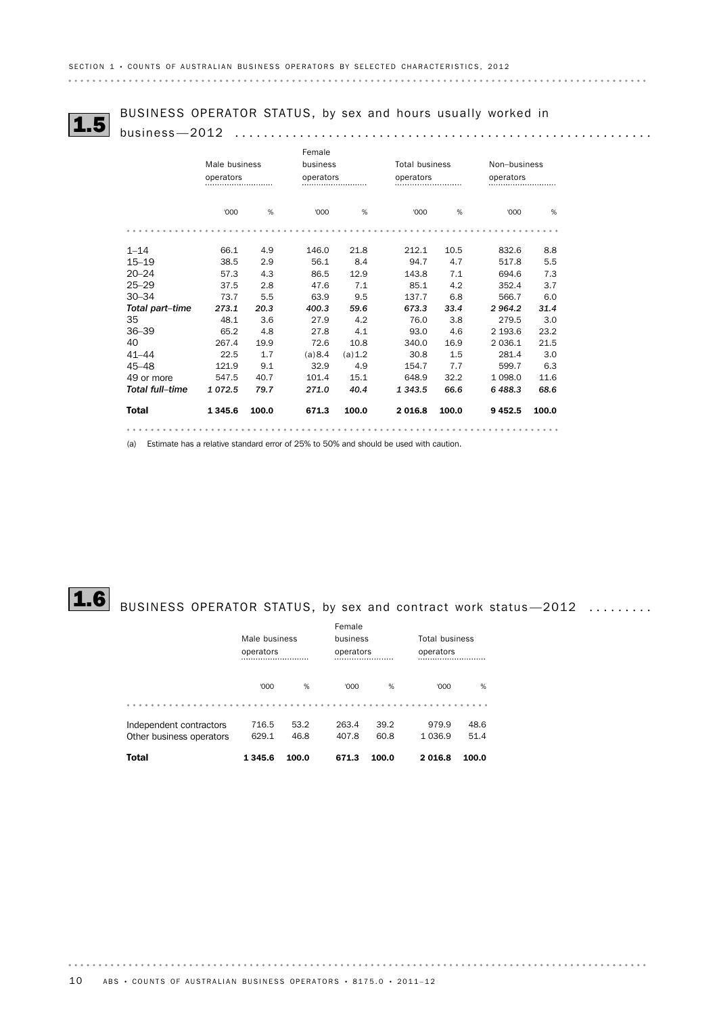BUSINESS OPERATOR STATUS, by sex and hours usually worked in 1.5 business—2012 ..........................................................

|                        |               |       | Female   |           |                       |           |              |           |
|------------------------|---------------|-------|----------|-----------|-----------------------|-----------|--------------|-----------|
|                        | Male business |       | business |           | <b>Total business</b> |           | Non-business |           |
|                        | operators     |       |          | operators |                       | operators |              | operators |
|                        | '000          | %     | '000     | %         | '000                  | %         | '000         | %         |
|                        |               |       |          |           |                       |           |              |           |
| $1 - 14$               | 66.1          | 4.9   | 146.0    | 21.8      | 212.1                 | 10.5      | 832.6        | 8.8       |
| $15 - 19$              | 38.5          | 2.9   | 56.1     | 8.4       | 94.7                  | 4.7       | 517.8        | 5.5       |
| $20 - 24$              | 57.3          | 4.3   | 86.5     | 12.9      | 143.8                 | 7.1       | 694.6        | 7.3       |
| $25 - 29$              | 37.5          | 2.8   | 47.6     | 7.1       | 85.1                  | 4.2       | 352.4        | 3.7       |
| $30 - 34$              | 73.7          | 5.5   | 63.9     | 9.5       | 137.7                 | 6.8       | 566.7        | 6.0       |
| Total part-time        | 273.1         | 20.3  | 400.3    | 59.6      | 673.3                 | 33.4      | 2 9 64.2     | 31.4      |
| 35                     | 48.1          | 3.6   | 27.9     | 4.2       | 76.0                  | 3.8       | 279.5        | 3.0       |
| $36 - 39$              | 65.2          | 4.8   | 27.8     | 4.1       | 93.0                  | 4.6       | 2 193.6      | 23.2      |
| 40                     | 267.4         | 19.9  | 72.6     | 10.8      | 340.0                 | 16.9      | 2 0 3 6.1    | 21.5      |
| $41 - 44$              | 22.5          | 1.7   | (a) 8.4  | (a) 1.2   | 30.8                  | 1.5       | 281.4        | 3.0       |
| $45 - 48$              | 121.9         | 9.1   | 32.9     | 4.9       | 154.7                 | 7.7       | 599.7        | 6.3       |
| 49 or more             | 547.5         | 40.7  | 101.4    | 15.1      | 648.9                 | 32.2      | 1 0 9 8.0    | 11.6      |
| <b>Total full-time</b> | 1072.5        | 79.7  | 271.0    | 40.4      | 1 3 4 3 .5            | 66.6      | 6 488.3      | 68.6      |
| <b>Total</b>           | 1 3 4 5 . 6   | 100.0 | 671.3    | 100.0     | 2 0 16.8              | 100.0     | 9 4 5 2.5    | 100.0     |
|                        |               |       |          |           |                       |           |              |           |

(a) Estimate has a relative standard error of 25% to 50% and should be used with caution.

# $\fbox{1.6}$  BUSINESS OPERATOR STATUS, by sex and contract work status—2012  $\,\,\ldots\,\ldots\,\ldots$

|                                                     | Male business<br>operators |              | Female<br>business<br>operators |              |                    | <b>Total business</b><br>operators |  |  |
|-----------------------------------------------------|----------------------------|--------------|---------------------------------|--------------|--------------------|------------------------------------|--|--|
|                                                     | '000                       | %            | '000                            | %            | '000               | %                                  |  |  |
| Independent contractors<br>Other business operators | 716.5<br>629.1             | 53.2<br>46.8 | 263.4<br>407.8                  | 39.2<br>60.8 | 979.9<br>1 0 3 6.9 | 48.6<br>51.4                       |  |  |
| <b>Total</b>                                        | 1345.6                     | 100.0        | 671.3                           | 100.0        | 2016.8             | 100.0                              |  |  |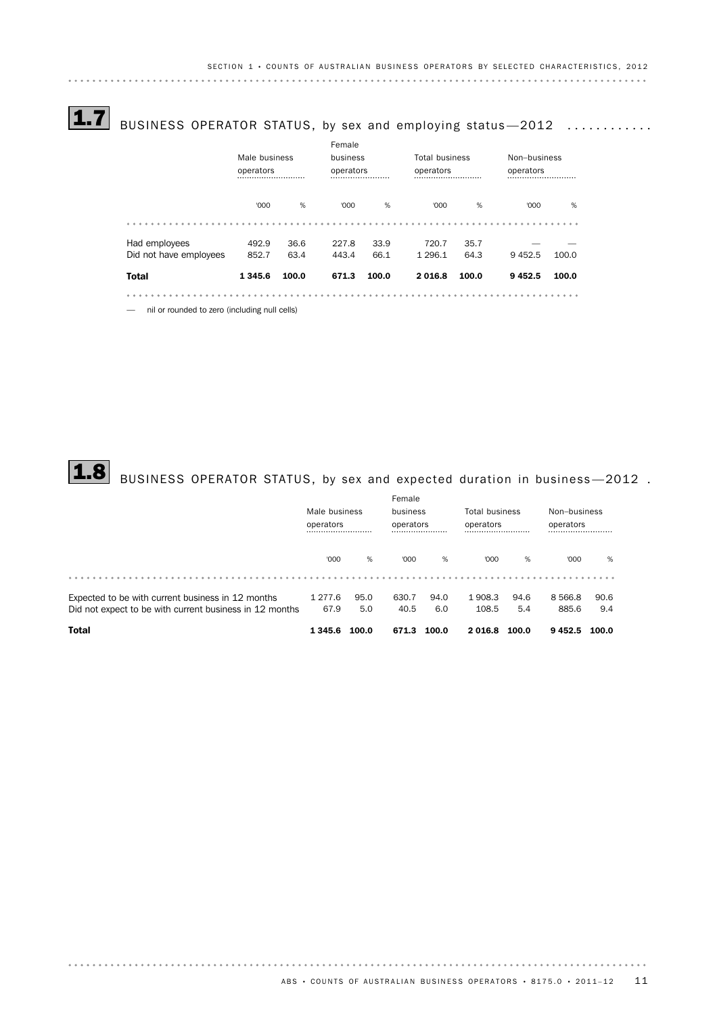# $\fbox{1.7}$  BUSINESS OPERATOR STATUS, by sex and employing status  $-2012$  ............

|                                               |                            |       | Female |                       |           |                       |              |       |  |  |
|-----------------------------------------------|----------------------------|-------|--------|-----------------------|-----------|-----------------------|--------------|-------|--|--|
|                                               | Male business<br>operators |       |        | business<br>operators |           | <b>Total business</b> | Non-business |       |  |  |
|                                               |                            |       |        |                       |           | operators             |              |       |  |  |
|                                               | '000                       | %     | '000   | %                     | '000      | %                     | '000         | %     |  |  |
|                                               |                            |       |        |                       |           |                       |              |       |  |  |
| Had employees                                 | 492.9                      | 36.6  | 227.8  | 33.9                  | 720.7     | 35.7                  |              |       |  |  |
| Did not have employees                        | 852.7                      | 63.4  | 443.4  | 66.1                  | 1 2 9 6.1 | 64.3                  | 9452.5       | 100.0 |  |  |
| <b>Total</b>                                  | 1345.6                     | 100.0 | 671.3  | 100.0                 | 2016.8    | 100.0                 | 9452.5       | 100.0 |  |  |
|                                               |                            |       |        |                       |           |                       |              |       |  |  |
| nil or rounded to zero (including null cells) |                            |       |        |                       |           |                       |              |       |  |  |

# $\textbf{1.8} \text{ }$  BUSINESS OPERATOR STATUS, by sex and expected duration in business—2012 .

|                                                         |               |       | Female   |               |                       |               |              |               |  |
|---------------------------------------------------------|---------------|-------|----------|---------------|-----------------------|---------------|--------------|---------------|--|
|                                                         | Male business |       | business |               | <b>Total business</b> |               | Non-business |               |  |
|                                                         | operators<br> |       |          | operators<br> |                       | operators<br> |              | operators<br> |  |
|                                                         | '000          | %     | '000     | %             | '000                  | %             | '000         | %             |  |
|                                                         |               |       |          |               |                       |               |              |               |  |
| Expected to be with current business in 12 months       | 1 277.6       | 95.0  | 630.7    | 94.0          | 1908.3                | 94.6          | 8 5 6 6.8    | 90.6          |  |
| Did not expect to be with current business in 12 months | 67.9          | 5.0   | 40.5     | 6.0           | 108.5                 | 5.4           | 885.6        | 9.4           |  |
| <b>Total</b>                                            | 1 3 4 5 . 6   | 100.0 | 671.3    | 100.0         | 2016.8                | 100.0         | 9452.5       | 100.0         |  |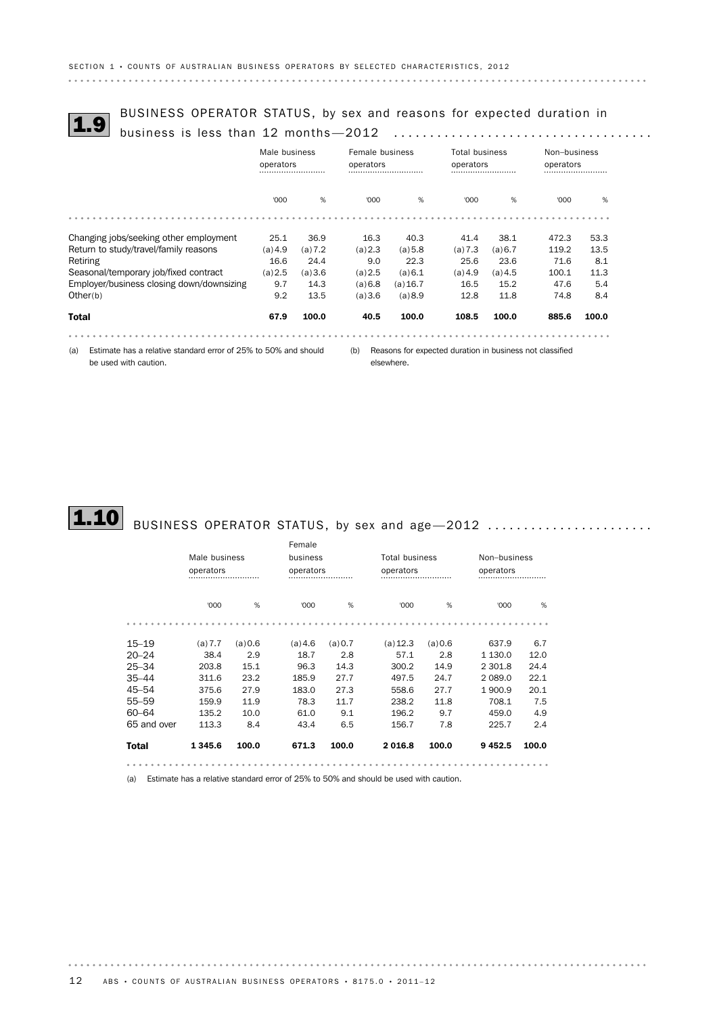# BUSINESS OPERATOR STATUS, by sex and reasons for expected duration in 1.9 business is less than 12 months —2012 ....................................

|                                           | Male business<br>operators<br> |         |         | Female business<br>operators<br> |         | <b>Total business</b><br>operators<br> |       | Non-business<br>operators<br> |  |
|-------------------------------------------|--------------------------------|---------|---------|----------------------------------|---------|----------------------------------------|-------|-------------------------------|--|
|                                           | '000                           | %       | 000'    | %                                | '000    | %                                      | '000  | %                             |  |
|                                           |                                |         |         |                                  |         |                                        |       |                               |  |
| Changing jobs/seeking other employment    | 25.1                           | 36.9    | 16.3    | 40.3                             | 41.4    | 38.1                                   | 472.3 | 53.3                          |  |
| Return to study/travel/family reasons     | (a) 4.9                        | (a) 7.2 | (a) 2.3 | (a) 5.8                          | (a) 7.3 | (a) 6.7                                | 119.2 | 13.5                          |  |
| Retiring                                  | 16.6                           | 24.4    | 9.0     | 22.3                             | 25.6    | 23.6                                   | 71.6  | 8.1                           |  |
| Seasonal/temporary job/fixed contract     | (a) 2.5                        | (a)3.6  | (a) 2.5 | (a) 6.1                          | (a) 4.9 | (a) 4.5                                | 100.1 | 11.3                          |  |
| Employer/business closing down/downsizing | 9.7                            | 14.3    | (a) 6.8 | (a) 16.7                         | 16.5    | 15.2                                   | 47.6  | 5.4                           |  |
| Other(b)                                  | 9.2                            | 13.5    | (a)3.6  | (a) 8.9                          | 12.8    | 11.8                                   | 74.8  | 8.4                           |  |
| <b>Total</b>                              | 67.9                           | 100.0   | 40.5    | 100.0                            | 108.5   | 100.0                                  | 885.6 | 100.0                         |  |

(a) Estimate has a relative standard error of 25% to 50% and should be used with caution.

(b) Reasons for expected duration in business not classified

elsewhere.



# $\fbox{\bf 1.10}$  BUSINESS OPERATOR STATUS, by sex and age $-$ 2012  $\ldots\ldots\ldots\ldots\ldots\ldots\ldots$

|              |               |         | Female    |           |                                                                                       |         |              |       |  |
|--------------|---------------|---------|-----------|-----------|---------------------------------------------------------------------------------------|---------|--------------|-------|--|
|              | Male business |         | business  |           | Total business                                                                        |         | Non-business |       |  |
|              | operators     |         |           | operators |                                                                                       |         | operators    |       |  |
|              | '000          | %       | '000      | %         | '000                                                                                  | %       | '000         | %     |  |
|              |               |         |           |           |                                                                                       |         |              |       |  |
| $15 - 19$    | (a) 7.7       | (a) 0.6 | $(a)$ 4.6 | (a) 0.7   | (a) 12.3                                                                              | (a) 0.6 | 637.9        | 6.7   |  |
| $20 - 24$    | 38.4          | 2.9     | 18.7      | 2.8       | 57.1                                                                                  | 2.8     | 1 1 3 0 . 0  | 12.0  |  |
| $25 - 34$    | 203.8         | 15.1    | 96.3      | 14.3      | 300.2                                                                                 | 14.9    | 2 301.8      | 24.4  |  |
| $35 - 44$    | 311.6         | 23.2    | 185.9     | 27.7      | 497.5                                                                                 | 24.7    | 2 0 8 9.0    | 22.1  |  |
| $45 - 54$    | 375.6         | 27.9    | 183.0     | 27.3      | 558.6                                                                                 | 27.7    | 1900.9       | 20.1  |  |
| $55 - 59$    | 159.9         | 11.9    | 78.3      | 11.7      | 238.2                                                                                 | 11.8    | 708.1        | 7.5   |  |
| 60-64        | 135.2         | 10.0    | 61.0      | 9.1       | 196.2                                                                                 | 9.7     | 459.0        | 4.9   |  |
| 65 and over  | 113.3         | 8.4     | 43.4      | 6.5       | 156.7                                                                                 | 7.8     | 225.7        | 2.4   |  |
| <b>Total</b> | 1345.6        | 100.0   | 671.3     | 100.0     | 2016.8                                                                                | 100.0   | 9452.5       | 100.0 |  |
|              |               |         |           |           |                                                                                       |         |              |       |  |
| (a)          |               |         |           |           | Estimate has a relative standard error of 25% to 50% and should be used with caution. |         |              |       |  |

12 ABS • COUNTS OF AUSTRALIAN BUSINESS OPERATORS • 8175.0 • 2011-12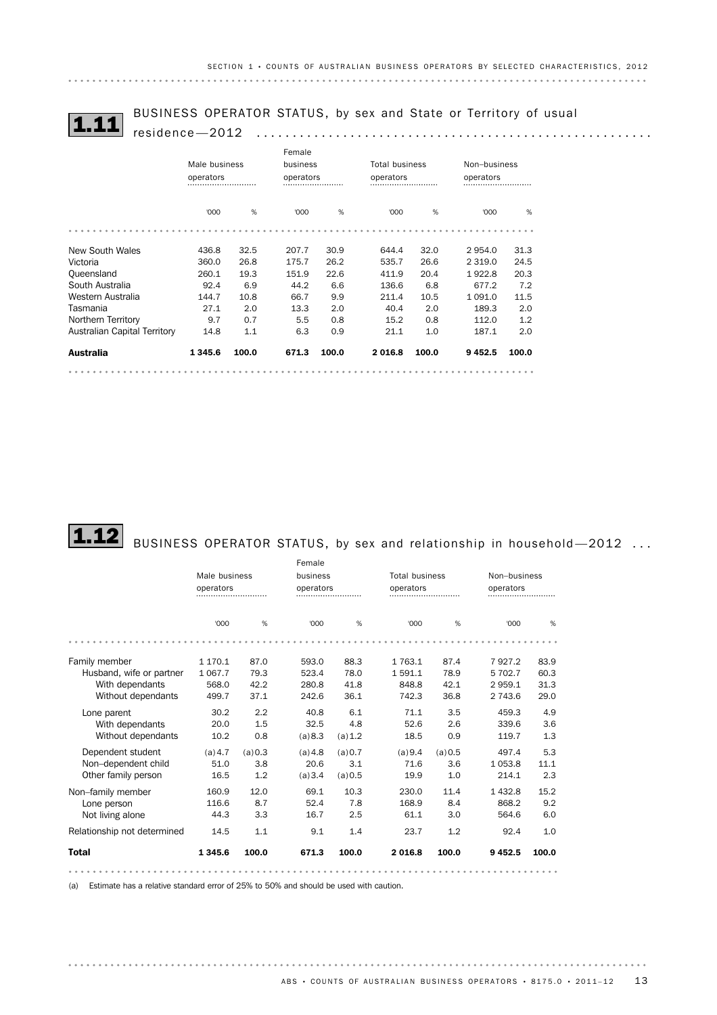# BUSINESS OPERATOR STATUS, by sex and State or Territory of usual 1.11 residence—2012 .......................................................

|                              | Male business<br>operators<br> |       |       | Female<br>business<br>operators |        | <b>Total business</b><br>operators<br> |             | Non-business<br>operators<br> |  |
|------------------------------|--------------------------------|-------|-------|---------------------------------|--------|----------------------------------------|-------------|-------------------------------|--|
|                              | '000                           | %     | '000  | %                               | '000   | %                                      | '000        | %                             |  |
|                              |                                |       |       |                                 |        |                                        |             |                               |  |
| New South Wales              | 436.8                          | 32.5  | 207.7 | 30.9                            | 644.4  | 32.0                                   | 2954.0      | 31.3                          |  |
| Victoria                     | 360.0                          | 26.8  | 175.7 | 26.2                            | 535.7  | 26.6                                   | 2 3 1 9 . 0 | 24.5                          |  |
| Queensland                   | 260.1                          | 19.3  | 151.9 | 22.6                            | 411.9  | 20.4                                   | 1922.8      | 20.3                          |  |
| South Australia              | 92.4                           | 6.9   | 44.2  | 6.6                             | 136.6  | 6.8                                    | 677.2       | 7.2                           |  |
| Western Australia            | 144.7                          | 10.8  | 66.7  | 9.9                             | 211.4  | 10.5                                   | 1 0 9 1 .0  | 11.5                          |  |
| Tasmania                     | 27.1                           | 2.0   | 13.3  | 2.0                             | 40.4   | 2.0                                    | 189.3       | 2.0                           |  |
| Northern Territory           | 9.7                            | 0.7   | 5.5   | 0.8                             | 15.2   | 0.8                                    | 112.0       | 1.2                           |  |
| Australian Capital Territory | 14.8                           | 1.1   | 6.3   | 0.9                             | 21.1   | 1.0                                    | 187.1       | 2.0                           |  |
| <b>Australia</b>             | 1345.6                         | 100.0 | 671.3 | 100.0                           | 2016.8 | 100.0                                  | 9452.5      | 100.0                         |  |

# $\textbf{1.12} \Big|$  BUSINESS OPERATOR STATUS, by sex and relationship in household—2012  $\dots$

|                             |               |         | Female   |           |                       |           |              |           |  |
|-----------------------------|---------------|---------|----------|-----------|-----------------------|-----------|--------------|-----------|--|
|                             | Male business |         | business |           | <b>Total business</b> |           | Non-business |           |  |
|                             | operators     |         |          | operators |                       | operators |              | operators |  |
|                             | '000          | %       | '000     | %         | '000                  | %         | '000         | %         |  |
|                             |               |         |          |           |                       |           |              |           |  |
| Family member               | 1 170.1       | 87.0    | 593.0    | 88.3      | 1 763.1               | 87.4      | 7927.2       | 83.9      |  |
| Husband, wife or partner    | 1 0 6 7 . 7   | 79.3    | 523.4    | 78.0      | 1591.1                | 78.9      | 5 702.7      | 60.3      |  |
| With dependants             | 568.0         | 42.2    | 280.8    | 41.8      | 848.8                 | 42.1      | 2959.1       | 31.3      |  |
| Without dependants          | 499.7         | 37.1    | 242.6    | 36.1      | 742.3                 | 36.8      | 2 743.6      | 29.0      |  |
| Lone parent                 | 30.2          | 2.2     | 40.8     | 6.1       | 71.1                  | 3.5       | 459.3        | 4.9       |  |
| With dependants             | 20.0          | 1.5     | 32.5     | 4.8       | 52.6                  | 2.6       | 339.6        | 3.6       |  |
| Without dependants          | 10.2          | 0.8     | (a)8.3   | (a) 1.2   | 18.5                  | 0.9       | 119.7        | 1.3       |  |
| Dependent student           | (a) 4.7       | (a) 0.3 | (a) 4.8  | (a) 0.7   | (a) 9.4               | (a) 0.5   | 497.4        | 5.3       |  |
| Non-dependent child         | 51.0          | 3.8     | 20.6     | 3.1       | 71.6                  | 3.6       | 1053.8       | 11.1      |  |
| Other family person         | 16.5          | 1.2     | (a)3.4   | (a) 0.5   | 19.9                  | 1.0       | 214.1        | 2.3       |  |
| Non-family member           | 160.9         | 12.0    | 69.1     | 10.3      | 230.0                 | 11.4      | 1432.8       | 15.2      |  |
| Lone person                 | 116.6         | 8.7     | 52.4     | 7.8       | 168.9                 | 8.4       | 868.2        | 9.2       |  |
| Not living alone            | 44.3          | 3.3     | 16.7     | 2.5       | 61.1                  | 3.0       | 564.6        | 6.0       |  |
| Relationship not determined | 14.5          | 1.1     | 9.1      | 1.4       | 23.7                  | 1.2       | 92.4         | 1.0       |  |
| <b>Total</b>                | 1 3 4 5 . 6   | 100.0   | 671.3    | 100.0     | 2016.8                | 100.0     | 9 4 5 2.5    | 100.0     |  |
|                             |               |         |          |           |                       |           |              |           |  |

(a) Estimate has a relative standard error of 25% to 50% and should be used with caution.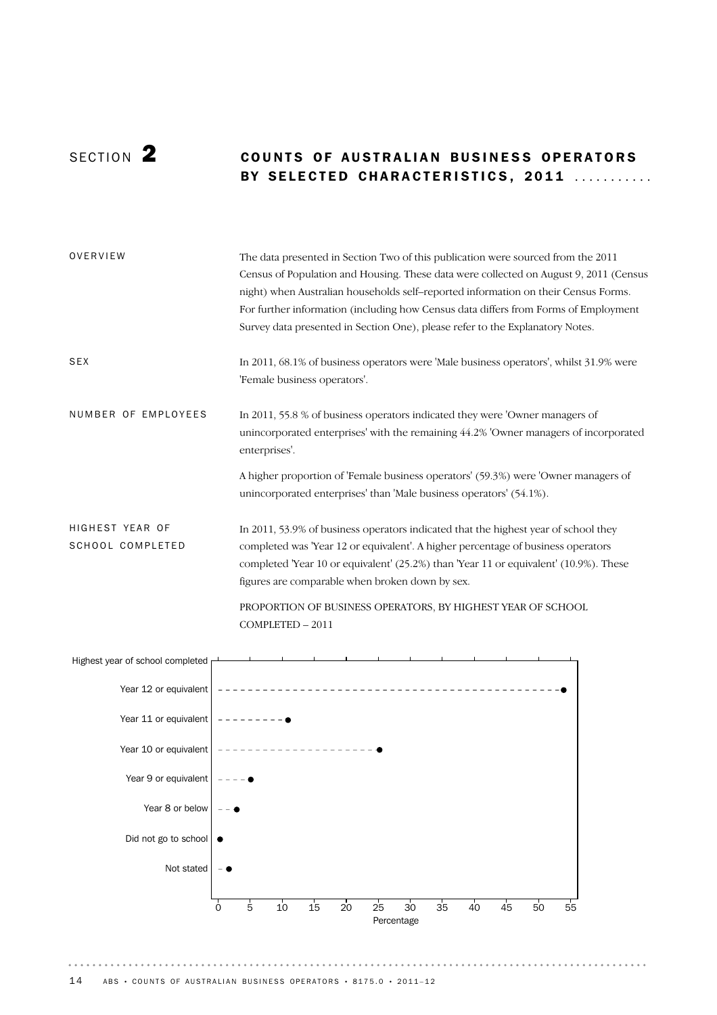## SECTION 2 **COUNTS OF AUSTRALIAN BUSINESS OPERATORS** BY SELECTED CHARACTERISTICS, 2011 ...........

| OVERVIEW                                   | The data presented in Section Two of this publication were sourced from the 2011<br>Census of Population and Housing. These data were collected on August 9, 2011 (Census<br>night) when Australian households self-reported information on their Census Forms.<br>For further information (including how Census data differs from Forms of Employment<br>Survey data presented in Section One), please refer to the Explanatory Notes. |
|--------------------------------------------|-----------------------------------------------------------------------------------------------------------------------------------------------------------------------------------------------------------------------------------------------------------------------------------------------------------------------------------------------------------------------------------------------------------------------------------------|
| <b>SEX</b>                                 | In 2011, 68.1% of business operators were 'Male business operators', whilst 31.9% were<br>'Female business operators'.                                                                                                                                                                                                                                                                                                                  |
| NUMBER OF EMPLOYEES                        | In 2011, 55.8 % of business operators indicated they were 'Owner managers of<br>unincorporated enterprises' with the remaining 44.2% 'Owner managers of incorporated<br>enterprises'.                                                                                                                                                                                                                                                   |
|                                            | A higher proportion of 'Female business operators' (59.3%) were 'Owner managers of<br>unincorporated enterprises' than 'Male business operators' (54.1%).                                                                                                                                                                                                                                                                               |
| HIGHEST YEAR OF<br><b>SCHOOL COMPLETED</b> | In 2011, 53.9% of business operators indicated that the highest year of school they<br>completed was 'Year 12 or equivalent'. A higher percentage of business operators<br>completed 'Year 10 or equivalent' (25.2%) than 'Year 11 or equivalent' (10.9%). These<br>figures are comparable when broken down by sex.                                                                                                                     |
|                                            | PROPORTION OF BUSINESS OPERATORS, BY HIGHEST YEAR OF SCHOOL<br>$COMPLETED - 2011$                                                                                                                                                                                                                                                                                                                                                       |

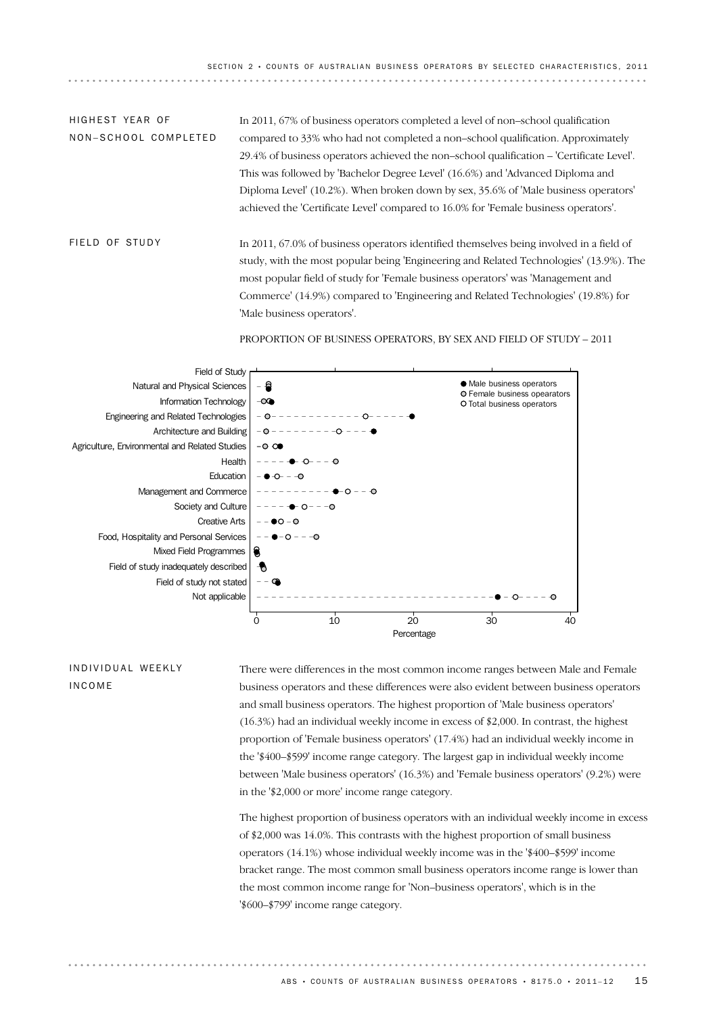In 2011, 67% of business operators completed a level of non–school qualification compared to 33% who had not completed a non–school qualification. Approximately 29.4% of business operators achieved the non–school qualification – 'Certificate Level'. This was followed by 'Bachelor Degree Level' (16.6%) and 'Advanced Diploma and Diploma Level' (10.2%). When broken down by sex, 35.6% of 'Male business operators' achieved the 'Certificate Level' compared to 16.0% for 'Female business operators'. HIGHEST YFAR OF NON-SCHOOL COMPLETED

In 2011, 67.0% of business operators identified themselves being involved in a field of study, with the most popular being 'Engineering and Related Technologies' (13.9%). The most popular field of study for 'Female business operators' was 'Management and Commerce' (14.9%) compared to 'Engineering and Related Technologies' (19.8%) for 'Male business operators'. FIFID OF STUDY

PROPORTION OF BUSINESS OPERATORS, BY SEX AND FIELD OF STUDY – 2011



IN D IV I D U A L WE FK LY INCOME

There were differences in the most common income ranges between Male and Female business operators and these differences were also evident between business operators and small business operators. The highest proportion of 'Male business operators' (16.3%) had an individual weekly income in excess of \$2,000. In contrast, the highest proportion of 'Female business operators' (17.4%) had an individual weekly income in the '\$400–\$599' income range category. The largest gap in individual weekly income between 'Male business operators' (16.3%) and 'Female business operators' (9.2%) were in the '\$2,000 or more' income range category.

The highest proportion of business operators with an individual weekly income in excess of \$2,000 was 14.0%. This contrasts with the highest proportion of small business operators (14.1%) whose individual weekly income was in the '\$400–\$599' income bracket range. The most common small business operators income range is lower than the most common income range for 'Non–business operators', which is in the '\$600–\$799' income range category.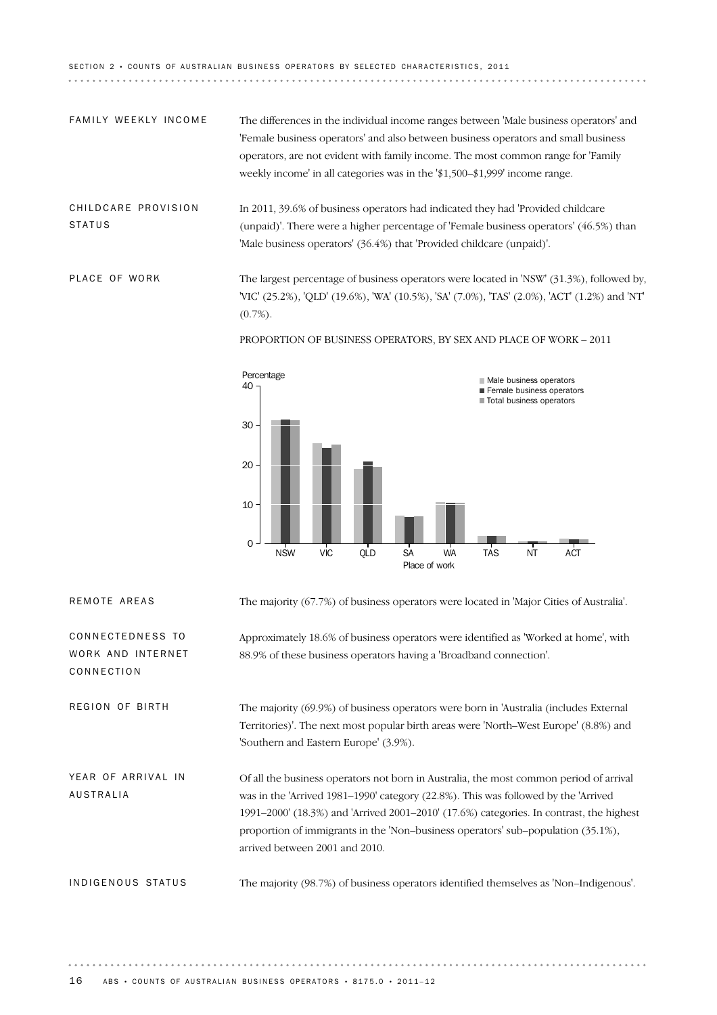SECTION 2 · COUNTS OF AUSTRALIAN BUSINESS OPERATORS BY SELECTED CHARACTERISTICS, 2011 

The differences in the individual income ranges between 'Male business operators' and 'Female business operators' and also between business operators and small business operators, are not evident with family income. The most common range for 'Family weekly income' in all categories was in the '\$1,500–\$1,999' income range. FAMILY WEEKLY INCOME

In 2011, 39.6% of business operators had indicated they had 'Provided childcare (unpaid)'. There were a higher percentage of 'Female business operators' (46.5%) than 'Male business operators' (36.4%) that 'Provided childcare (unpaid)'. CHIL D CARE PROVISION **STATUS** 

The largest percentage of business operators were located in 'NSW' (31.3%), followed by, 'VIC' (25.2%), 'QLD' (19.6%), 'WA' (10.5%), 'SA' (7.0%), 'TAS' (2.0%), 'ACT' (1.2%) and 'NT'  $(0.7\%)$ . PLACE OF WORK

PROPORTION OF BUSINESS OPERATORS, BY SEX AND PLACE OF WORK – 2011



REMOTE AREAS The majority (67.7%) of business operators were located in 'Major Cities of Australia'.

Approximately 18.6% of business operators were identified as 'Worked at home', with 88.9% of these business operators having a 'Broadband connection'.

The majority (69.9%) of business operators were born in 'Australia (includes External Territories)'. The next most popular birth areas were 'North–West Europe' (8.8%) and 'Southern and Eastern Europe' (3.9%). REGION OF BIRTH

Of all the business operators not born in Australia, the most common period of arrival was in the 'Arrived 1981–1990' category (22.8%). This was followed by the 'Arrived 1991–2000' (18.3%) and 'Arrived 2001–2010' (17.6%) categories. In contrast, the highest proportion of immigrants in the 'Non–business operators' sub–population (35.1%), arrived between 2001 and 2010. YEAR OF ARRIVAL IN AUSTRALIA

IN D I G E N O U S ST A T U S The majority (98.7%) of business operators identified themselves as 'Non–Indigenous'.

CONNECTEDNESS TO WORK AND INTERNET

CONNECTION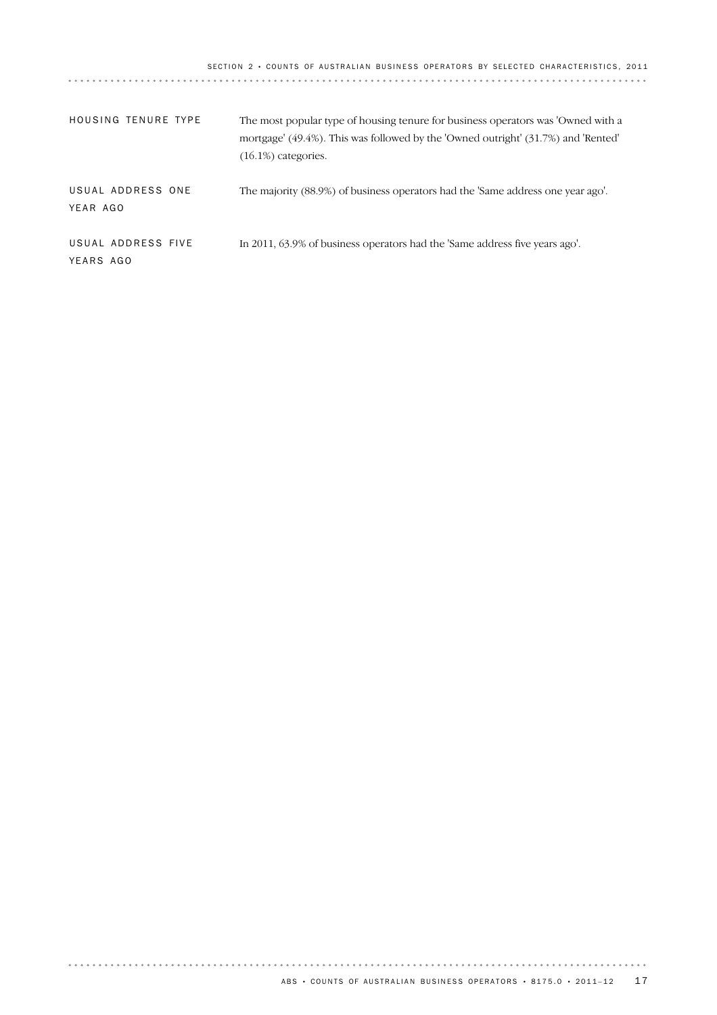SECTION 2 · COUNTS OF AUSTRALIAN BUSINESS OPERATORS BY SELECTED CHARACTERISTICS, 2011

| <b>HOUSING TENURE TYPE</b>      | The most popular type of housing tenure for business operators was 'Owned with a<br>mortgage' (49.4%). This was followed by the 'Owned outright' (31.7%) and 'Rented'<br>$(16.1\%)$ categories. |
|---------------------------------|-------------------------------------------------------------------------------------------------------------------------------------------------------------------------------------------------|
| USUAL ADDRESS ONE<br>YEAR AGO   | The majority (88.9%) of business operators had the 'Same address one year ago'.                                                                                                                 |
| USUAL ADDRESS FIVE<br>YEARS AGO | In 2011, 63.9% of business operators had the 'Same address five years ago'.                                                                                                                     |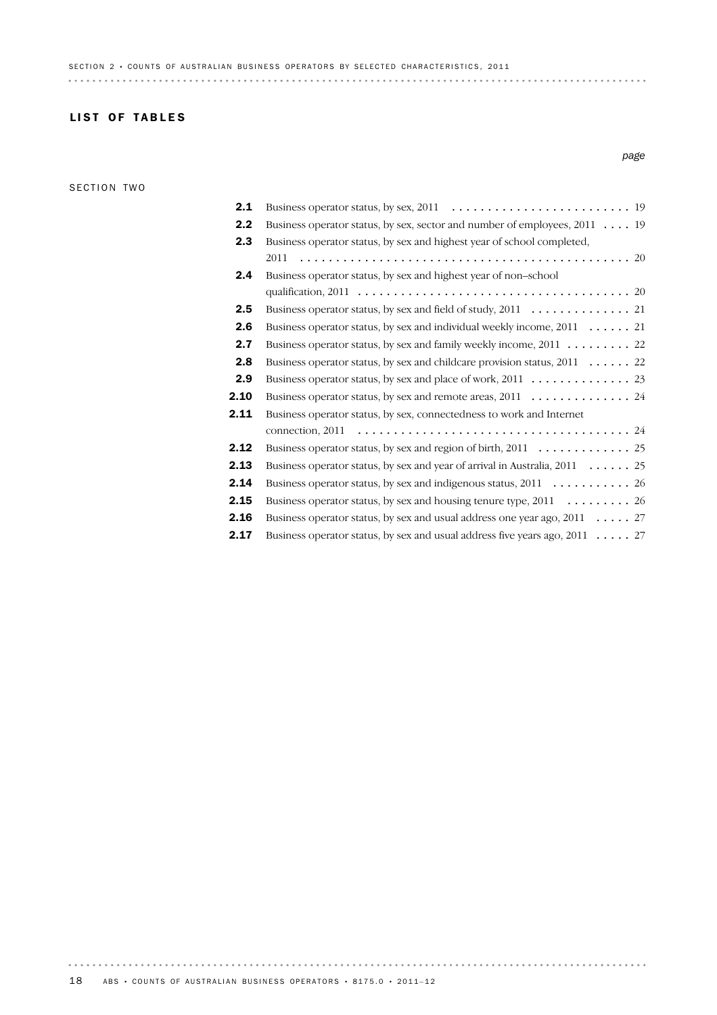## **LIST OF TABLES**

### SECTION TWO

## **2.17** Business operator status, by sex and usual address five years ago,  $2011$  ..... 27 **2.16** Business operator status, by sex and usual address one year ago,  $2011$  ..... 27 **2.15** Business operator status, by sex and housing tenure type,  $2011$  .............. 26 2.14 Business operator status, by sex and indigenous status, 2011 ........... 26 **2.13** Business operator status, by sex and year of arrival in Australia,  $2011$  ...... 25 2.12 Business operator status, by sex and region of birth, 2011 ............. 25 24 connection, 2011 ...................................... Business operator status, by sex, connectedness to work and Internet 2.11 2.10 Business operator status, by sex and remote areas, 2011 .............. 24 2.9 Business operator status, by sex and place of work, 2011 .............. 23 **2.8** Business operator status, by sex and childcare provision status,  $2011$  ...... 22 **2.7** Business operator status, by sex and family weekly income, 2011 . . . . . . . . . 22 2.6 Business operator status, by sex and individual weekly income, 2011 . . . . . . 21 2.5 Business operator status, by sex and field of study, 2011 .............. 21 20 qualification, 2011 ...................................... Business operator status, by sex and highest year of non–school 2.4 20 .............................................. Business operator status, by sex and highest year of school completed, 2011 2.3 2.2 Business operator status, by sex, sector and number of employees, 2011 . . . . 19 2.1 Business operator status, by sex, 2011 ......................... 19

18 ABS • COUNTS OF AUSTRALIAN BUSINESS OPERATORS • 8175.0 • 2011-12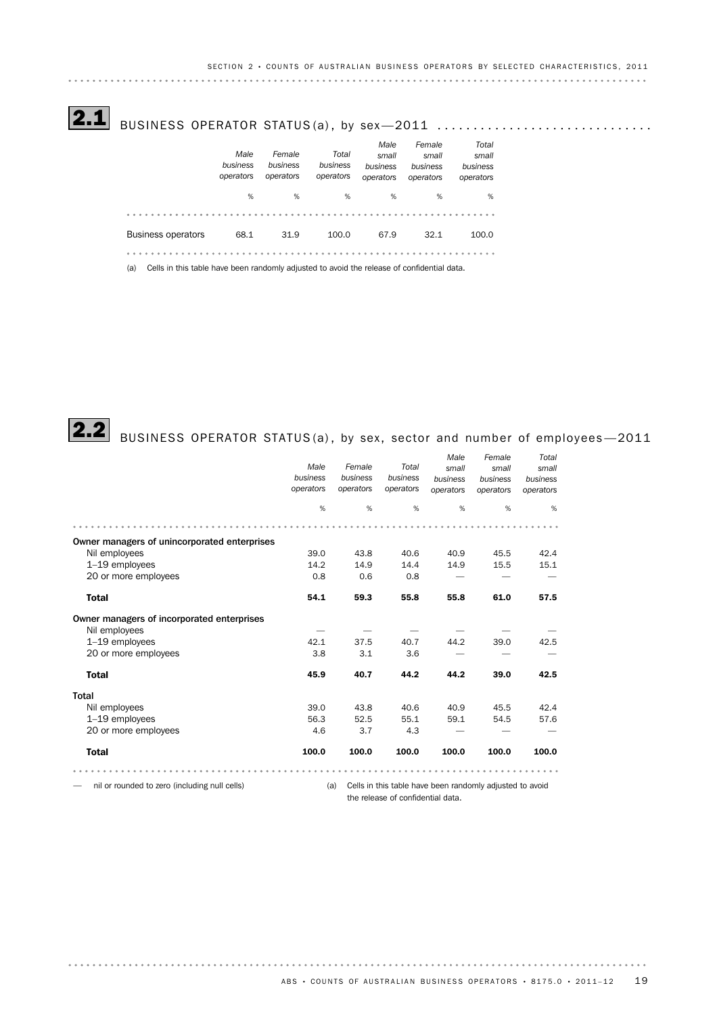$\overline{\textbf{2.1}}$  business operator status(a), by sex—2011  $\ldots\ldots\ldots\ldots\ldots\ldots\ldots\ldots\ldots$ 

|                                                                                                   | Male<br>business<br>operators | Female<br>business<br>operators | Total<br>business<br>operators | Male<br>small<br>business<br>operators | Female<br>small<br>business<br>operators | Total<br>small<br>business<br>operators |
|---------------------------------------------------------------------------------------------------|-------------------------------|---------------------------------|--------------------------------|----------------------------------------|------------------------------------------|-----------------------------------------|
|                                                                                                   | %                             | %                               | %                              | %                                      | %                                        | %                                       |
|                                                                                                   |                               |                                 |                                |                                        |                                          |                                         |
| <b>Business operators</b>                                                                         | 68.1                          | 31.9                            | 100.0                          | 67.9                                   | 32.1                                     | 100.0                                   |
|                                                                                                   |                               |                                 |                                |                                        |                                          |                                         |
| Cells in this table have been randomly adjusted to avoid the release of confidential data.<br>(a) |                               |                                 |                                |                                        |                                          |                                         |



# $\textbf{2.2} \text{ }$  BUSINESS OPERATOR STATUS(a), by sex, sector and number of employees—2011

|                                               |           |           |           | Male      | Female                                                   | Total     |
|-----------------------------------------------|-----------|-----------|-----------|-----------|----------------------------------------------------------|-----------|
|                                               | Male      | Female    | Total     | small     | small                                                    | small     |
|                                               | business  | business  | business  | business  | business                                                 | business  |
|                                               | operators | operators | operators | operators | operators                                                | operators |
|                                               | %         | %         | %         | %         | %                                                        | %         |
|                                               |           |           |           |           |                                                          |           |
| Owner managers of unincorporated enterprises  |           |           |           |           |                                                          |           |
| Nil employees                                 | 39.0      | 43.8      | 40.6      | 40.9      | 45.5                                                     | 42.4      |
| 1-19 employees                                | 14.2      | 14.9      | 14.4      | 14.9      | 15.5                                                     | 15.1      |
| 20 or more employees                          | 0.8       | 0.6       | 0.8       |           |                                                          |           |
| <b>Total</b>                                  | 54.1      | 59.3      | 55.8      | 55.8      | 61.0                                                     | 57.5      |
| Owner managers of incorporated enterprises    |           |           |           |           |                                                          |           |
| Nil employees                                 |           |           |           |           |                                                          |           |
| 1-19 employees                                | 42.1      | 37.5      | 40.7      | 44.2      | 39.0                                                     | 42.5      |
| 20 or more employees                          | 3.8       | 3.1       | 3.6       |           |                                                          |           |
| <b>Total</b>                                  | 45.9      | 40.7      | 44.2      | 44.2      | 39.0                                                     | 42.5      |
| <b>Total</b>                                  |           |           |           |           |                                                          |           |
| Nil employees                                 | 39.0      | 43.8      | 40.6      | 40.9      | 45.5                                                     | 42.4      |
| 1-19 employees                                | 56.3      | 52.5      | 55.1      | 59.1      | 54.5                                                     | 57.6      |
| 20 or more employees                          | 4.6       | 3.7       | 4.3       |           |                                                          |           |
| <b>Total</b>                                  | 100.0     | 100.0     | 100.0     | 100.0     | 100.0                                                    | 100.0     |
|                                               |           |           |           |           |                                                          |           |
| nil or rounded to zero (including null cells) |           | (a)       |           |           | Cells in this table have been randomly adjusted to avoid |           |

the release of confidential data.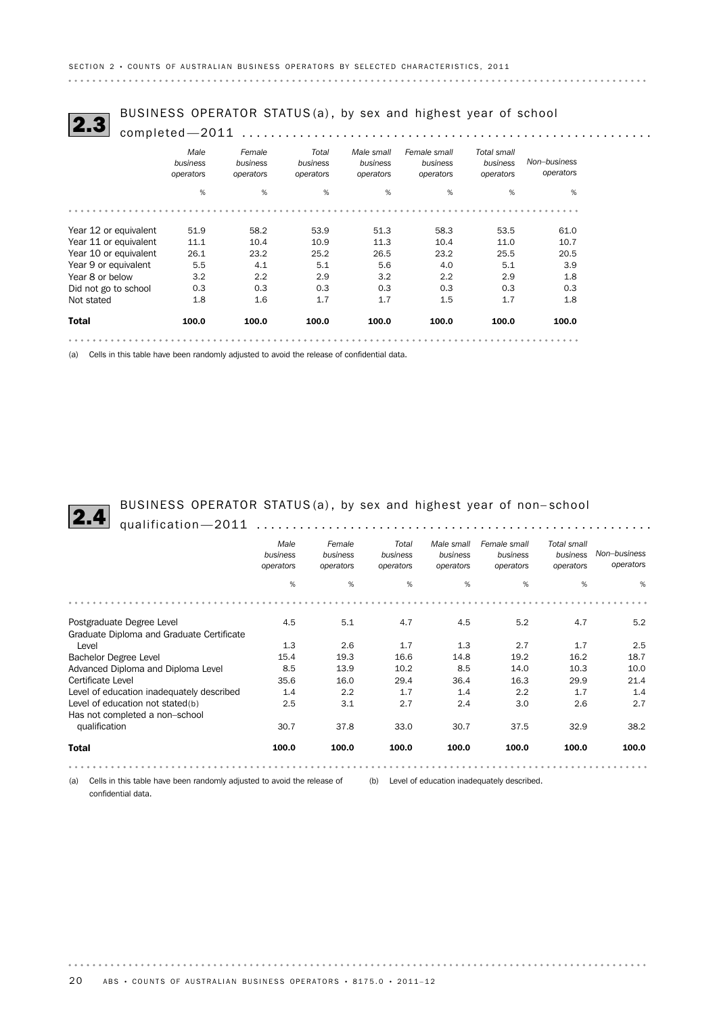# BUSINESS OPERATOR STATUS (a) , by sex and highest year of school 2.3 completed—2011 .........................................................

|                       | COMPICICU-ZUIL                |                                 |                                |                                     |                                       |                                      |                           |  |  |  |
|-----------------------|-------------------------------|---------------------------------|--------------------------------|-------------------------------------|---------------------------------------|--------------------------------------|---------------------------|--|--|--|
|                       | Male<br>business<br>operators | Female<br>business<br>operators | Total<br>business<br>operators | Male small<br>business<br>operators | Female small<br>business<br>operators | Total small<br>business<br>operators | Non-business<br>operators |  |  |  |
|                       | %                             | %                               | %                              | %                                   | %                                     | %                                    | %                         |  |  |  |
|                       |                               |                                 |                                |                                     |                                       |                                      |                           |  |  |  |
| Year 12 or equivalent | 51.9                          | 58.2                            | 53.9                           | 51.3                                | 58.3                                  | 53.5                                 | 61.0                      |  |  |  |
| Year 11 or equivalent | 11.1                          | 10.4                            | 10.9                           | 11.3                                | 10.4                                  | 11.0                                 | 10.7                      |  |  |  |
| Year 10 or equivalent | 26.1                          | 23.2                            | 25.2                           | 26.5                                | 23.2                                  | 25.5                                 | 20.5                      |  |  |  |
| Year 9 or equivalent  | 5.5                           | 4.1                             | 5.1                            | 5.6                                 | 4.0                                   | 5.1                                  | 3.9                       |  |  |  |
| Year 8 or below       | 3.2                           | 2.2                             | 2.9                            | 3.2                                 | 2.2                                   | 2.9                                  | 1.8                       |  |  |  |
| Did not go to school  | 0.3                           | 0.3                             | 0.3                            | 0.3                                 | 0.3                                   | 0.3                                  | 0.3                       |  |  |  |
| Not stated            | 1.8                           | 1.6                             | 1.7                            | 1.7                                 | $1.5\,$                               | 1.7                                  | 1.8                       |  |  |  |
| <b>Total</b>          | 100.0                         | 100.0                           | 100.0                          | 100.0                               | 100.0                                 | 100.0                                | 100.0                     |  |  |  |
|                       |                               |                                 |                                |                                     |                                       |                                      |                           |  |  |  |

(a) Cells in this table have been randomly adjusted to avoid the release of confidential data.

BUSINESS OPERATOR STATUS (a) , by sex and highest year of non– school 2.4 qualification—2011 .......................................................

|                                           | Male<br>business<br>operators | Female<br>business<br>operators | Total<br>business<br>operators | Male small<br>business<br>operators | Female small<br>business<br>operators | Total small<br>business<br>operators | Non-business<br>operators |
|-------------------------------------------|-------------------------------|---------------------------------|--------------------------------|-------------------------------------|---------------------------------------|--------------------------------------|---------------------------|
|                                           | %                             | %                               | %                              | %                                   | %                                     | %                                    | %                         |
|                                           |                               |                                 |                                |                                     |                                       |                                      |                           |
| Postgraduate Degree Level                 | 4.5                           | 5.1                             | 4.7                            | 4.5                                 | 5.2                                   | 4.7                                  | 5.2                       |
| Graduate Diploma and Graduate Certificate |                               |                                 |                                |                                     |                                       |                                      |                           |
| Level                                     | 1.3                           | 2.6                             | 1.7                            | 1.3                                 | 2.7                                   | 1.7                                  | 2.5                       |
| <b>Bachelor Degree Level</b>              | 15.4                          | 19.3                            | 16.6                           | 14.8                                | 19.2                                  | 16.2                                 | 18.7                      |
| Advanced Diploma and Diploma Level        | 8.5                           | 13.9                            | 10.2                           | 8.5                                 | 14.0                                  | 10.3                                 | 10.0                      |
| Certificate Level                         | 35.6                          | 16.0                            | 29.4                           | 36.4                                | 16.3                                  | 29.9                                 | 21.4                      |
| Level of education inadequately described | 1.4                           | 2.2                             | 1.7                            | 1.4                                 | 2.2                                   | 1.7                                  | 1.4                       |
| Level of education not stated(b)          | 2.5                           | 3.1                             | 2.7                            | 2.4                                 | 3.0                                   | 2.6                                  | 2.7                       |
| Has not completed a non-school            |                               |                                 |                                |                                     |                                       |                                      |                           |
| qualification                             | 30.7                          | 37.8                            | 33.0                           | 30.7                                | 37.5                                  | 32.9                                 | 38.2                      |
| <b>Total</b>                              | 100.0                         | 100.0                           | 100.0                          | 100.0                               | 100.0                                 | 100.0                                | 100.0                     |
|                                           |                               |                                 |                                |                                     |                                       |                                      |                           |

(a) Cells in this table have been randomly adjusted to avoid the release of (b) Level of education inadequately described. confidential data.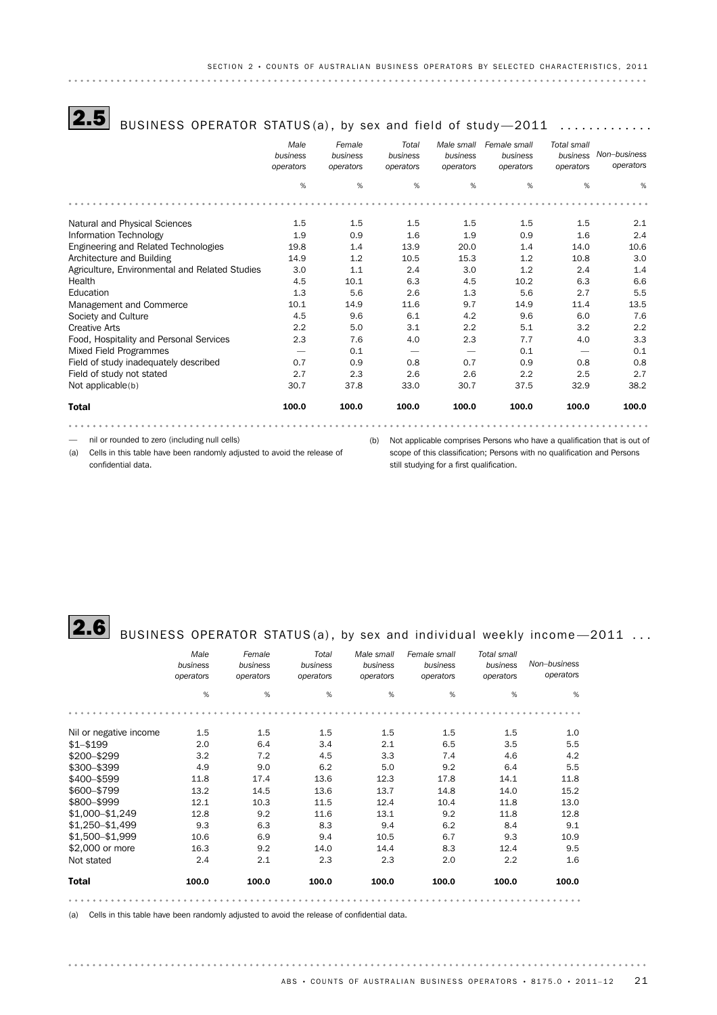# $\overline{\bf 2.5}$  BUSINESS OPERATOR STATUS(a), by sex and field of study—2011  $\,\ldots\ldots\ldots\ldots$

|                                                | Male<br>business<br>operators | Female<br>business<br>operators | Total<br>business<br>operators | Male small<br>business<br>operators | Female small<br>business<br>operators | <b>Total small</b><br>business<br>operators | Non-business<br>operators |
|------------------------------------------------|-------------------------------|---------------------------------|--------------------------------|-------------------------------------|---------------------------------------|---------------------------------------------|---------------------------|
|                                                | %                             | %                               | %                              | %                                   | %                                     | %                                           | %                         |
|                                                |                               |                                 |                                |                                     |                                       |                                             |                           |
| Natural and Physical Sciences                  | 1.5                           | 1.5                             | 1.5                            | 1.5                                 | 1.5                                   | 1.5                                         | 2.1                       |
| Information Technology                         | 1.9                           | 0.9                             | 1.6                            | 1.9                                 | 0.9                                   | 1.6                                         | 2.4                       |
| Engineering and Related Technologies           | 19.8                          | 1.4                             | 13.9                           | 20.0                                | 1.4                                   | 14.0                                        | 10.6                      |
| Architecture and Building                      | 14.9                          | 1.2                             | 10.5                           | 15.3                                | 1.2                                   | 10.8                                        | 3.0                       |
| Agriculture, Environmental and Related Studies | 3.0                           | 1.1                             | 2.4                            | 3.0                                 | 1.2                                   | 2.4                                         | 1.4                       |
| Health                                         | 4.5                           | 10.1                            | 6.3                            | 4.5                                 | 10.2                                  | 6.3                                         | 6.6                       |
| Education                                      | 1.3                           | 5.6                             | 2.6                            | 1.3                                 | 5.6                                   | 2.7                                         | 5.5                       |
| Management and Commerce                        | 10.1                          | 14.9                            | 11.6                           | 9.7                                 | 14.9                                  | 11.4                                        | 13.5                      |
| Society and Culture                            | 4.5                           | 9.6                             | 6.1                            | 4.2                                 | 9.6                                   | 6.0                                         | 7.6                       |
| Creative Arts                                  | 2.2                           | 5.0                             | 3.1                            | 2.2                                 | 5.1                                   | 3.2                                         | 2.2                       |
| Food, Hospitality and Personal Services        | 2.3                           | 7.6                             | 4.0                            | 2.3                                 | 7.7                                   | 4.0                                         | 3.3                       |
| <b>Mixed Field Programmes</b>                  |                               | 0.1                             |                                |                                     | 0.1                                   |                                             | 0.1                       |
| Field of study inadequately described          | 0.7                           | 0.9                             | 0.8                            | 0.7                                 | 0.9                                   | 0.8                                         | 0.8                       |
| Field of study not stated                      | 2.7                           | 2.3                             | 2.6                            | 2.6                                 | 2.2                                   | 2.5                                         | 2.7                       |
| Not applicable(b)                              | 30.7                          | 37.8                            | 33.0                           | 30.7                                | 37.5                                  | 32.9                                        | 38.2                      |
| <b>Total</b>                                   | 100.0                         | 100.0                           | 100.0                          | 100.0                               | 100.0                                 | 100.0                                       | 100.0                     |
|                                                |                               |                                 |                                |                                     |                                       |                                             |                           |

— nil or rounded to zero (including null cells)

(a) Cells in this table have been randomly adjusted to avoid the release of confidential data.

(b) Not applicable comprises Persons who have a qualification that is out of scope of this classification; Persons with no qualification and Persons still studying for a first qualification.

# **2.6** BUSINESS OPERATOR STATUS(a), by sex and individual weekly income - 2011 ...

|                        | Male<br>business<br>operators | Female<br>business<br>operators | Total<br>business<br>operators | Male small<br>business<br>operators | Female small<br>business<br>operators | Total small<br>business<br>operators | Non-business<br>operators |
|------------------------|-------------------------------|---------------------------------|--------------------------------|-------------------------------------|---------------------------------------|--------------------------------------|---------------------------|
|                        | %                             | %                               | %                              | %                                   | %                                     | %                                    | %                         |
|                        |                               |                                 |                                |                                     |                                       |                                      |                           |
| Nil or negative income | $1.5\,$                       | 1.5                             | 1.5                            | 1.5                                 | 1.5                                   | $1.5\,$                              | 1.0                       |
| $$1 - $199$            | 2.0                           | 6.4                             | 3.4                            | 2.1                                 | 6.5                                   | 3.5                                  | 5.5                       |
| \$200-\$299            | 3.2                           | 7.2                             | 4.5                            | 3.3                                 | 7.4                                   | 4.6                                  | 4.2                       |
| \$300-\$399            | 4.9                           | 9.0                             | 6.2                            | 5.0                                 | 9.2                                   | 6.4                                  | 5.5                       |
| \$400-\$599            | 11.8                          | 17.4                            | 13.6                           | 12.3                                | 17.8                                  | 14.1                                 | 11.8                      |
| \$600-\$799            | 13.2                          | 14.5                            | 13.6                           | 13.7                                | 14.8                                  | 14.0                                 | 15.2                      |
| \$800-\$999            | 12.1                          | 10.3                            | 11.5                           | 12.4                                | 10.4                                  | 11.8                                 | 13.0                      |
| \$1,000-\$1,249        | 12.8                          | 9.2                             | 11.6                           | 13.1                                | 9.2                                   | 11.8                                 | 12.8                      |
| \$1.250-\$1.499        | 9.3                           | 6.3                             | 8.3                            | 9.4                                 | 6.2                                   | 8.4                                  | 9.1                       |
| \$1,500-\$1,999        | 10.6                          | 6.9                             | 9.4                            | 10.5                                | 6.7                                   | 9.3                                  | 10.9                      |
| \$2,000 or more        | 16.3                          | 9.2                             | 14.0                           | 14.4                                | 8.3                                   | 12.4                                 | 9.5                       |
| Not stated             | 2.4                           | 2.1                             | 2.3                            | 2.3                                 | 2.0                                   | 2.2                                  | 1.6                       |
| <b>Total</b>           | 100.0                         | 100.0                           | 100.0                          | 100.0                               | 100.0                                 | 100.0                                | 100.0                     |
|                        |                               |                                 |                                |                                     |                                       |                                      |                           |

(a) Cells in this table have been randomly adjusted to avoid the release of confidential data.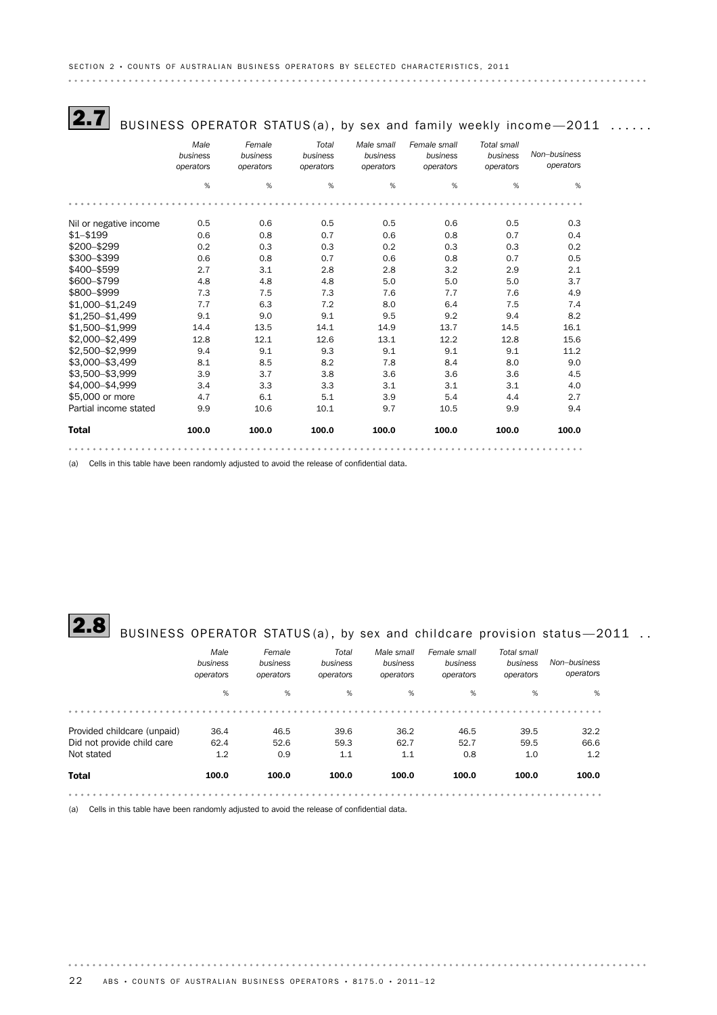# $\overline{\bf 2.7}$  BUSINESS OPERATOR STATUS(a), by sex and family weekly income—2011  $\,\ldots\ldots$

|                        | Male<br>business<br>operators | Female<br>business<br>operators | Total<br>business<br>operators | Male small<br>business<br>operators | Female small<br>business<br>operators | Total small<br>business<br>operators | Non-business<br>operators |
|------------------------|-------------------------------|---------------------------------|--------------------------------|-------------------------------------|---------------------------------------|--------------------------------------|---------------------------|
|                        | %                             | %                               | %                              | %                                   | %                                     | %                                    | %                         |
|                        |                               |                                 |                                |                                     |                                       |                                      |                           |
| Nil or negative income | 0.5                           | 0.6                             | 0.5                            | 0.5                                 | 0.6                                   | 0.5                                  | 0.3                       |
| $$1 - $199$            | 0.6                           | 0.8                             | 0.7                            | 0.6                                 | 0.8                                   | 0.7                                  | 0.4                       |
| \$200-\$299            | 0.2                           | 0.3                             | 0.3                            | 0.2                                 | 0.3                                   | 0.3                                  | 0.2                       |
| \$300-\$399            | 0.6                           | 0.8                             | 0.7                            | 0.6                                 | 0.8                                   | 0.7                                  | 0.5                       |
| \$400-\$599            | 2.7                           | 3.1                             | 2.8                            | 2.8                                 | 3.2                                   | 2.9                                  | 2.1                       |
| \$600-\$799            | 4.8                           | 4.8                             | 4.8                            | 5.0                                 | 5.0                                   | 5.0                                  | 3.7                       |
| \$800-\$999            | 7.3                           | 7.5                             | 7.3                            | 7.6                                 | 7.7                                   | 7.6                                  | 4.9                       |
| \$1,000-\$1,249        | 7.7                           | 6.3                             | 7.2                            | 8.0                                 | 6.4                                   | 7.5                                  | 7.4                       |
| \$1,250-\$1,499        | 9.1                           | 9.0                             | 9.1                            | 9.5                                 | 9.2                                   | 9.4                                  | 8.2                       |
| \$1,500-\$1,999        | 14.4                          | 13.5                            | 14.1                           | 14.9                                | 13.7                                  | 14.5                                 | 16.1                      |
| \$2,000-\$2,499        | 12.8                          | 12.1                            | 12.6                           | 13.1                                | 12.2                                  | 12.8                                 | 15.6                      |
| \$2,500-\$2,999        | 9.4                           | 9.1                             | 9.3                            | 9.1                                 | 9.1                                   | 9.1                                  | 11.2                      |
| \$3,000-\$3,499        | 8.1                           | 8.5                             | 8.2                            | 7.8                                 | 8.4                                   | 8.0                                  | 9.0                       |
| \$3,500-\$3,999        | 3.9                           | 3.7                             | 3.8                            | 3.6                                 | 3.6                                   | 3.6                                  | 4.5                       |
| \$4,000-\$4,999        | 3.4                           | 3.3                             | 3.3                            | 3.1                                 | 3.1                                   | 3.1                                  | 4.0                       |
| \$5,000 or more        | 4.7                           | 6.1                             | 5.1                            | 3.9                                 | 5.4                                   | 4.4                                  | 2.7                       |
| Partial income stated  | 9.9                           | 10.6                            | 10.1                           | 9.7                                 | 10.5                                  | 9.9                                  | 9.4                       |
| <b>Total</b>           | 100.0                         | 100.0                           | 100.0                          | 100.0                               | 100.0                                 | 100.0                                | 100.0                     |
|                        |                               |                                 |                                |                                     |                                       |                                      |                           |

(a) Cells in this table have been randomly adjusted to avoid the release of confidential data.

# **2.8** BUSINESS OPERATOR STATUS(a), by sex and childcare provision status - 2011 ..

|                             | Male<br>business<br>operators | Female<br>business<br>operators | Total<br>business<br>operators | Male small<br>business<br>operators | Female small<br>business<br>operators | Total small<br>business<br>operators | Non-business<br>operators |
|-----------------------------|-------------------------------|---------------------------------|--------------------------------|-------------------------------------|---------------------------------------|--------------------------------------|---------------------------|
|                             | %                             | %                               | %                              | %                                   | %                                     | %                                    | %                         |
|                             |                               |                                 |                                |                                     |                                       |                                      |                           |
| Provided childcare (unpaid) | 36.4                          | 46.5                            | 39.6                           | 36.2                                | 46.5                                  | 39.5                                 | 32.2                      |
| Did not provide child care  | 62.4                          | 52.6                            | 59.3                           | 62.7                                | 52.7                                  | 59.5                                 | 66.6                      |
| Not stated                  | 1.2                           | 0.9                             | 1.1                            | 1.1                                 | 0.8                                   | 1.0                                  | 1.2                       |
| <b>Total</b>                | 100.0                         | 100.0                           | 100.0                          | 100.0                               | 100.0                                 | 100.0                                | 100.0                     |
|                             |                               |                                 |                                |                                     |                                       |                                      |                           |

(a) Cells in this table have been randomly adjusted to avoid the release of confidential data.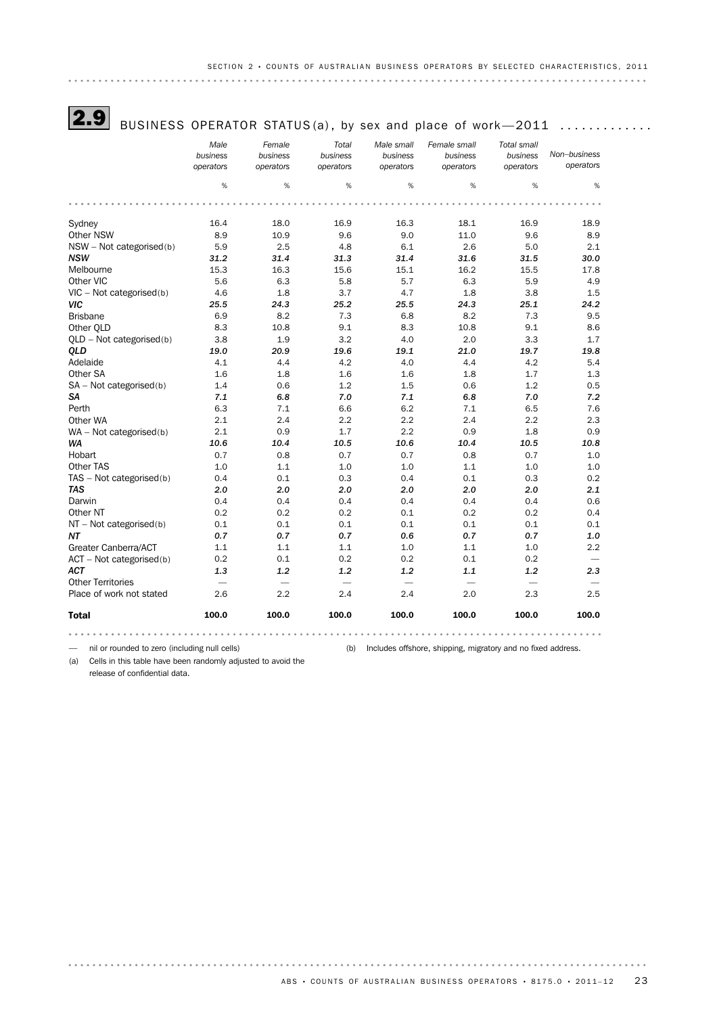

**2.9** BUSINESS OPERATOR STATUS(a), by sex and place of work—2011  $\dots\dots\dots\dots$ 

|                            | Male<br>business<br>operators | Female<br>business<br>operators | Total<br>business<br>operators | Male small<br>business<br>operators | Female small<br>business<br>operators | <b>Total small</b><br>business<br>operators | Non-business<br>operators |
|----------------------------|-------------------------------|---------------------------------|--------------------------------|-------------------------------------|---------------------------------------|---------------------------------------------|---------------------------|
|                            | %                             | %                               | %                              | %                                   | %                                     | %                                           | %                         |
|                            |                               |                                 |                                |                                     |                                       |                                             |                           |
| Sydney                     | 16.4                          | 18.0                            | 16.9                           | 16.3                                | 18.1                                  | 16.9                                        | 18.9                      |
| Other NSW                  | 8.9                           | 10.9                            | 9.6                            | 9.0                                 | 11.0                                  | 9.6                                         | 8.9                       |
| $NSW - Not categorized(b)$ | 5.9                           | 2.5                             | 4.8                            | 6.1                                 | 2.6                                   | 5.0                                         | 2.1                       |
| <b>NSW</b>                 | 31.2                          | 31.4                            | 31.3                           | 31.4                                | 31.6                                  | 31.5                                        | 30.0                      |
| Melbourne                  | 15.3                          | 16.3                            | 15.6                           | 15.1                                | 16.2                                  | 15.5                                        | 17.8                      |
| Other VIC                  | 5.6                           | 6.3                             | 5.8                            | 5.7                                 | 6.3                                   | 5.9                                         | 4.9                       |
| $VIC - Not categorized(b)$ | 4.6                           | 1.8                             | 3.7                            | 4.7                                 | 1.8                                   | 3.8                                         | 1.5                       |
| VIC                        | 25.5                          | 24.3                            | 25.2                           | 25.5                                | 24.3                                  | 25.1                                        | 24.2                      |
| <b>Brisbane</b>            | 6.9                           | 8.2                             | 7.3                            | 6.8                                 | 8.2                                   | 7.3                                         | 9.5                       |
| Other OLD                  | 8.3                           | 10.8                            | 9.1                            | 8.3                                 | 10.8                                  | 9.1                                         | 8.6                       |
| QLD - Not categorised(b)   | 3.8                           | 1.9                             | 3.2                            | 4.0                                 | 2.0                                   | 3.3                                         | 1.7                       |
| <b>OLD</b>                 | 19.0                          | 20.9                            | 19.6                           | 19.1                                | 21.0                                  | 19.7                                        | 19.8                      |
| Adelaide                   | 4.1                           | 4.4                             | 4.2                            | 4.0                                 | 4.4                                   | 4.2                                         | 5.4                       |
| Other SA                   | 1.6                           | 1.8                             | 1.6                            | 1.6                                 | 1.8                                   | 1.7                                         | 1.3                       |
| $SA - Not categorized(b)$  | 1.4                           | 0.6                             | 1.2                            | 1.5                                 | 0.6                                   | 1.2                                         | 0.5                       |
| SΑ                         | 7.1                           | 6.8                             | 7.0                            | 7.1                                 | 6.8                                   | 7.0                                         | 7.2                       |
| Perth                      | 6.3                           | 7.1                             | 6.6                            | 6.2                                 | 7.1                                   | 6.5                                         | 7.6                       |
| Other WA                   | 2.1                           | 2.4                             | 2.2                            | 2.2                                 | 2.4                                   | 2.2                                         | 2.3                       |
| WA - Not categorised(b)    | 2.1                           | 0.9                             | 1.7                            | 2.2                                 | 0.9                                   | 1.8                                         | 0.9                       |
| WA                         | 10.6                          | 10.4                            | 10.5                           | 10.6                                | 10.4                                  | 10.5                                        | 10.8                      |
| Hobart                     | 0.7                           | 0.8                             | 0.7                            | 0.7                                 | 0.8                                   | 0.7                                         | 1.0                       |
| Other TAS                  | 1.0                           | 1.1                             | 1.0                            | 1.0                                 | 1.1                                   | 1.0                                         | 1.0                       |
| TAS - Not categorised(b)   | 0.4                           | 0.1                             | 0.3                            | 0.4                                 | 0.1                                   | 0.3                                         | 0.2                       |
| <b>TAS</b>                 | 2.0                           | 2.0                             | 2.0                            | 2.0                                 | 2.0                                   | 2.0                                         | 2.1                       |
| Darwin                     | 0.4                           | 0.4                             | 0.4                            | 0.4                                 | 0.4                                   | 0.4                                         | 0.6                       |
| Other NT                   | 0.2                           | 0.2                             | 0.2                            | 0.1                                 | 0.2                                   | 0.2                                         | 0.4                       |
| $NT - Not categorized(b)$  | 0.1                           | 0.1                             | 0.1                            | 0.1                                 | 0.1                                   | 0.1                                         | 0.1                       |
| NΤ                         | 0.7                           | 0.7                             | 0.7                            | 0.6                                 | 0.7                                   | 0.7                                         | 1.0                       |
| Greater Canberra/ACT       | 1.1                           | 1.1                             | 1.1                            | 1.0                                 | 1.1                                   | 1.0                                         | 2.2                       |
| $ACT - Not categorized(b)$ | 0.2                           | 0.1                             | 0.2                            | 0.2                                 | 0.1                                   | 0.2                                         |                           |
| <b>ACT</b>                 | 1.3                           | 1.2                             | 1.2                            | 1.2                                 | 1.1                                   | 1.2                                         | 2.3                       |
| <b>Other Territories</b>   |                               | $\overline{\phantom{a}}$        |                                |                                     | $\overbrace{\phantom{1232211}}$       | $\overbrace{\phantom{1232211}}$             |                           |
| Place of work not stated   | 2.6                           | 2.2                             | 2.4                            | 2.4                                 | 2.0                                   | 2.3                                         | 2.5                       |
| <b>Total</b>               | 100.0                         | 100.0                           | 100.0                          | 100.0                               | 100.0                                 | 100.0                                       | 100.0                     |
|                            |                               |                                 |                                |                                     |                                       |                                             |                           |

— nil or rounded to zero (including null cells) (b) Includes offshore, shipping, migratory and no fixed address.

(a) Cells in this table have been randomly adjusted to avoid the release of confidential data.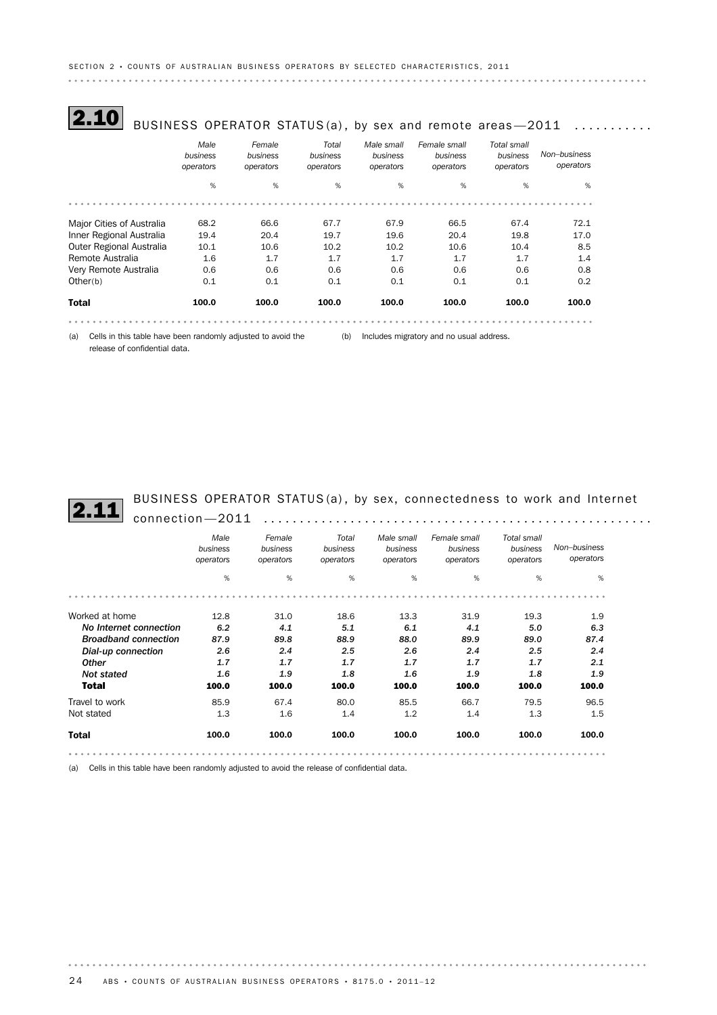$\textbf{2.10}[\,$  BUSINESS OPERATOR STATUS(a), by sex and remote areas—2011  $\,$  ...........

|                                                                     | Male<br>business<br>operators | Female<br>business<br>operators | Total<br>business<br>operators | Male small<br>business<br>operators | Female small<br>business<br>operators    | Total small<br>business<br>operators | Non-business<br>operators |
|---------------------------------------------------------------------|-------------------------------|---------------------------------|--------------------------------|-------------------------------------|------------------------------------------|--------------------------------------|---------------------------|
|                                                                     | %                             | %                               | %                              | %                                   | %                                        | %                                    | %                         |
|                                                                     |                               |                                 |                                |                                     |                                          |                                      |                           |
| Major Cities of Australia                                           | 68.2                          | 66.6                            | 67.7                           | 67.9                                | 66.5                                     | 67.4                                 | 72.1                      |
| Inner Regional Australia                                            | 19.4                          | 20.4                            | 19.7                           | 19.6                                | 20.4                                     | 19.8                                 | 17.0                      |
| Outer Regional Australia                                            | 10.1                          | 10.6                            | 10.2                           | 10.2                                | 10.6                                     | 10.4                                 | 8.5                       |
| Remote Australia                                                    | 1.6                           | 1.7                             | 1.7                            | 1.7                                 | 1.7                                      | 1.7                                  | 1.4                       |
| Very Remote Australia                                               | 0.6                           | 0.6                             | 0.6                            | 0.6                                 | 0.6                                      | 0.6                                  | 0.8                       |
| Other(b)                                                            | 0.1                           | 0.1                             | 0.1                            | 0.1                                 | 0.1                                      | 0.1                                  | 0.2                       |
| <b>Total</b>                                                        | 100.0                         | 100.0                           | 100.0                          | 100.0                               | 100.0                                    | 100.0                                | 100.0                     |
|                                                                     |                               |                                 |                                |                                     |                                          |                                      |                           |
| Cells in this table have been randomly adjusted to avoid the<br>(a) |                               |                                 | (b)                            |                                     | Includes migratory and no usual address. |                                      |                           |

release of confidential data.

BUSINESS OPERATOR STATUS (a) , by sex, connectedness to work and Internet 2.11 connection—2011 ......................................................

|                             | Male<br>business<br>operators | Female<br>business<br>operators | Total<br>business<br>operators | Male small<br>business<br>operators | Female small<br>business<br>operators | Total small<br>business<br>operators | Non-business<br>operators |
|-----------------------------|-------------------------------|---------------------------------|--------------------------------|-------------------------------------|---------------------------------------|--------------------------------------|---------------------------|
|                             | %                             | $\%$                            | %                              | %                                   | %                                     | %                                    | %                         |
|                             |                               |                                 |                                |                                     |                                       |                                      |                           |
| Worked at home              | 12.8                          | 31.0                            | 18.6                           | 13.3                                | 31.9                                  | 19.3                                 | 1.9                       |
| No Internet connection      | 6.2                           | 4.1                             | 5.1                            | 6.1                                 | 4.1                                   | 5.0                                  | 6.3                       |
| <b>Broadband connection</b> | 87.9                          | 89.8                            | 88.9                           | 88.0                                | 89.9                                  | 89.0                                 | 87.4                      |
| Dial-up connection          | 2.6                           | 2.4                             | 2.5                            | 2.6                                 | 2.4                                   | 2.5                                  | 2.4                       |
| <b>Other</b>                | 1.7                           | 1.7                             | 1.7                            | 1.7                                 | 1.7                                   | 1.7                                  | 2.1                       |
| <b>Not stated</b>           | 1.6                           | 1.9                             | 1.8                            | 1.6                                 | 1.9                                   | 1.8                                  | 1.9                       |
| <b>Total</b>                | 100.0                         | 100.0                           | 100.0                          | 100.0                               | 100.0                                 | 100.0                                | 100.0                     |
| Travel to work              | 85.9                          | 67.4                            | 80.0                           | 85.5                                | 66.7                                  | 79.5                                 | 96.5                      |
| Not stated                  | 1.3                           | 1.6                             | 1.4                            | 1.2                                 | 1.4                                   | 1.3                                  | 1.5                       |
| <b>Total</b>                | 100.0                         | 100.0                           | 100.0                          | 100.0                               | 100.0                                 | 100.0                                | 100.0                     |
|                             |                               |                                 |                                |                                     |                                       |                                      |                           |

(a) Cells in this table have been randomly adjusted to avoid the release of confidential data.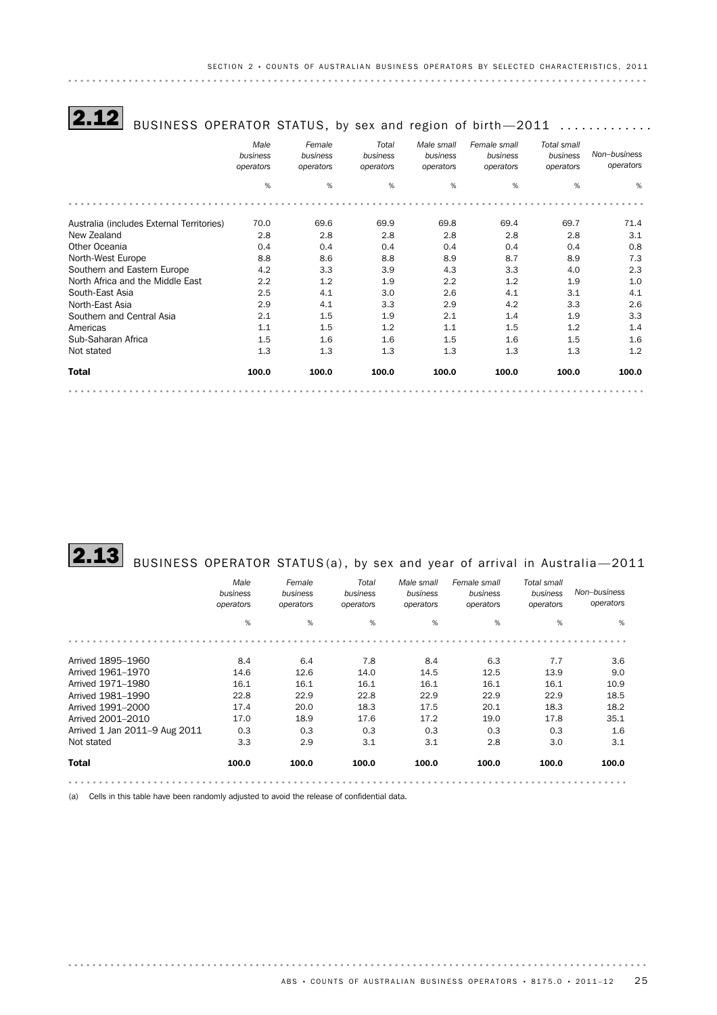| BUSINESS OPERATOR STATUS, by sex and region of birth-2011 |                               |                                 |                                |                                     |                                       |                                      |                           |
|-----------------------------------------------------------|-------------------------------|---------------------------------|--------------------------------|-------------------------------------|---------------------------------------|--------------------------------------|---------------------------|
|                                                           | Male<br>business<br>operators | Female<br>business<br>operators | Total<br>business<br>operators | Male small<br>business<br>operators | Female small<br>business<br>operators | Total small<br>business<br>operators | Non-business<br>operators |
|                                                           | %                             | %                               | %                              | %                                   | %                                     | %                                    | %                         |
|                                                           |                               |                                 |                                |                                     |                                       |                                      |                           |
| Australia (includes External Territories)                 | 70.0                          | 69.6                            | 69.9                           | 69.8                                | 69.4                                  | 69.7                                 | 71.4                      |
| New Zealand                                               | 2.8                           | 2.8                             | 2.8                            | 2.8                                 | 2.8                                   | 2.8                                  | 3.1                       |
| Other Oceania                                             | 0.4                           | 0.4                             | 0.4                            | 0.4                                 | 0.4                                   | 0.4                                  | 0.8                       |
| North-West Europe                                         | 8.8                           | 8.6                             | 8.8                            | 8.9                                 | 8.7                                   | 8.9                                  | 7.3                       |
| Southern and Eastern Europe                               | 4.2                           | 3.3                             | 3.9                            | 4.3                                 | 3.3                                   | 4.0                                  | 2.3                       |
| North Africa and the Middle East                          | 2.2                           | 1.2                             | 1.9                            | 2.2                                 | 1.2                                   | 1.9                                  | 1.0                       |
| South-East Asia                                           | 2.5                           | 4.1                             | 3.0                            | 2.6                                 | 4.1                                   | 3.1                                  | 4.1                       |
| North-East Asia                                           | 2.9                           | 4.1                             | 3.3                            | 2.9                                 | 4.2                                   | 3.3                                  | 2.6                       |
| Southern and Central Asia                                 | 2.1                           | 1.5                             | 1.9                            | 2.1                                 | 1.4                                   | 1.9                                  | 3.3                       |
| Americas                                                  | 1.1                           | 1.5                             | 1.2                            | 1.1                                 | 1.5                                   | 1.2                                  | 1.4                       |
| Sub-Saharan Africa                                        | 1.5                           | 1.6                             | 1.6                            | 1.5                                 | 1.6                                   | 1.5                                  | 1.6                       |
| Not stated                                                | 1.3                           | 1.3                             | 1.3                            | 1.3                                 | 1.3                                   | 1.3                                  | 1.2                       |
| <b>Total</b>                                              | 100.0                         | 100.0                           | 100.0                          | 100.0                               | 100.0                                 | 100.0                                | 100.0                     |
|                                                           |                               |                                 |                                |                                     |                                       |                                      |                           |

 $\textbf{2.13} \quad$  BUSINESS OPERATOR STATUS(a), by sex and year of arrival in Australia—2011

|                               | Male<br>business<br>operators | Female<br>business<br>operators | Total<br>business<br>operators | Male small<br>business<br>operators | Female small<br>business<br>operators | Total small<br>business<br>operators | Non-business<br>operators |
|-------------------------------|-------------------------------|---------------------------------|--------------------------------|-------------------------------------|---------------------------------------|--------------------------------------|---------------------------|
|                               | %                             | $\%$                            | %                              | %                                   | %                                     | %                                    | %                         |
|                               |                               |                                 |                                |                                     |                                       |                                      |                           |
| Arrived 1895-1960             | 8.4                           | 6.4                             | 7.8                            | 8.4                                 | 6.3                                   | 7.7                                  | 3.6                       |
| Arrived 1961-1970             | 14.6                          | 12.6                            | 14.0                           | 14.5                                | 12.5                                  | 13.9                                 | 9.0                       |
| Arrived 1971-1980             | 16.1                          | 16.1                            | 16.1                           | 16.1                                | 16.1                                  | 16.1                                 | 10.9                      |
| Arrived 1981-1990             | 22.8                          | 22.9                            | 22.8                           | 22.9                                | 22.9                                  | 22.9                                 | 18.5                      |
| Arrived 1991-2000             | 17.4                          | 20.0                            | 18.3                           | 17.5                                | 20.1                                  | 18.3                                 | 18.2                      |
| Arrived 2001-2010             | 17.0                          | 18.9                            | 17.6                           | 17.2                                | 19.0                                  | 17.8                                 | 35.1                      |
| Arrived 1 Jan 2011-9 Aug 2011 | 0.3                           | 0.3                             | 0.3                            | 0.3                                 | 0.3                                   | 0.3                                  | 1.6                       |
| Not stated                    | 3.3                           | 2.9                             | 3.1                            | 3.1                                 | 2.8                                   | 3.0                                  | 3.1                       |
| <b>Total</b>                  | 100.0                         | 100.0                           | 100.0                          | 100.0                               | 100.0                                 | 100.0                                | 100.0                     |
|                               |                               |                                 |                                |                                     |                                       |                                      |                           |

(a) Cells in this table have been randomly adjusted to avoid the release of confidential data.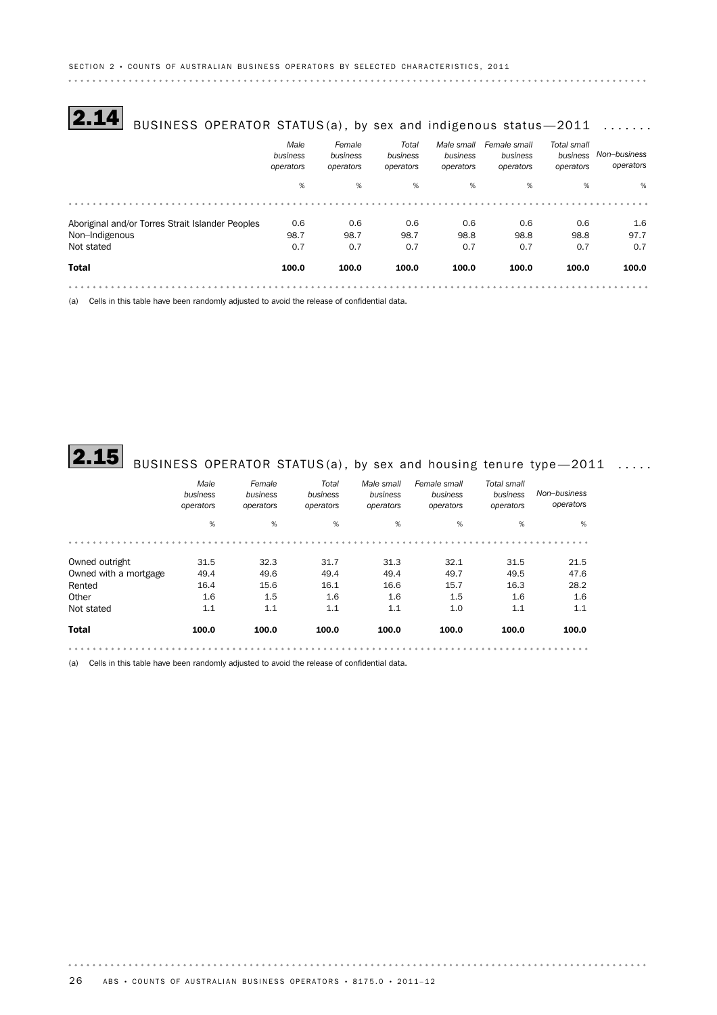# $\overline{\textbf{2.14}}\,$  BUSINESS OPERATOR STATUS(a), by sex and indigenous status—2011  $\,\,\ldots\ldots\,$

|                                                  | Male<br>business<br>operators | Female<br>business<br>operators | Total<br>business<br>operators | Male small<br>business<br>operators | Female small<br>business<br>operators | Total small<br>business<br>operators | Non-business<br>operators |
|--------------------------------------------------|-------------------------------|---------------------------------|--------------------------------|-------------------------------------|---------------------------------------|--------------------------------------|---------------------------|
|                                                  | %                             | %                               | %                              | %                                   | %                                     | %                                    | %                         |
|                                                  |                               |                                 |                                |                                     |                                       |                                      |                           |
| Aboriginal and/or Torres Strait Islander Peoples | 0.6                           | 0.6                             | 0.6                            | 0.6                                 | 0.6                                   | 0.6                                  | 1.6                       |
| Non-Indigenous                                   | 98.7                          | 98.7                            | 98.7                           | 98.8                                | 98.8                                  | 98.8                                 | 97.7                      |
| Not stated                                       | 0.7                           | 0.7                             | 0.7                            | 0.7                                 | 0.7                                   | 0.7                                  | 0.7                       |
| <b>Total</b>                                     | 100.0                         | 100.0                           | 100.0                          | 100.0                               | 100.0                                 | 100.0                                | 100.0                     |
|                                                  |                               |                                 |                                |                                     |                                       |                                      |                           |

(a) Cells in this table have been randomly adjusted to avoid the release of confidential data.

# $\overline{\bf 2.15}$  BUSINESS OPERATOR STATUS(a), by sex and housing tenure type—2011  $\,\,\ldots.\,$

|                       | Male<br>business<br>operators | Female<br>business<br>operators | Total<br>business<br>operators | Male small<br>business<br>operators | Female small<br>business<br>operators | Total small<br>business<br>operators | Non-business<br>operators |
|-----------------------|-------------------------------|---------------------------------|--------------------------------|-------------------------------------|---------------------------------------|--------------------------------------|---------------------------|
|                       | %                             | %                               | %                              | %                                   | %                                     | %                                    | %                         |
|                       |                               |                                 |                                |                                     |                                       |                                      |                           |
| Owned outright        | 31.5                          | 32.3                            | 31.7                           | 31.3                                | 32.1                                  | 31.5                                 | 21.5                      |
| Owned with a mortgage | 49.4                          | 49.6                            | 49.4                           | 49.4                                | 49.7                                  | 49.5                                 | 47.6                      |
| Rented                | 16.4                          | 15.6                            | 16.1                           | 16.6                                | 15.7                                  | 16.3                                 | 28.2                      |
| Other                 | 1.6                           | 1.5                             | 1.6                            | 1.6                                 | 1.5                                   | 1.6                                  | 1.6                       |
| Not stated            | 1.1                           | 1.1                             | 1.1                            | 1.1                                 | 1.0                                   | 1.1                                  | 1.1                       |
| <b>Total</b>          | 100.0                         | 100.0                           | 100.0                          | 100.0                               | 100.0                                 | 100.0                                | 100.0                     |
|                       |                               |                                 |                                |                                     |                                       |                                      |                           |

(a) Cells in this table have been randomly adjusted to avoid the release of confidential data.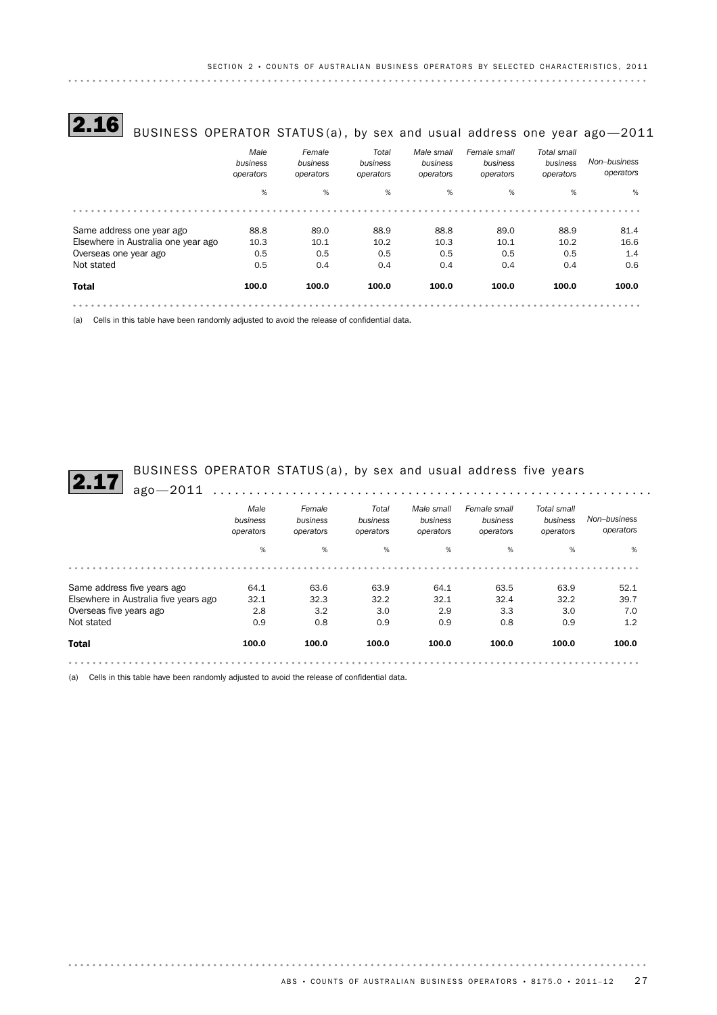# **2.16** BUSINESS OPERATOR STATUS(a), by sex and usual address one year ago-2011

|                                     | Male<br>business<br>operators | Female<br>business<br>operators | Total<br>business<br>operators | Male small<br>business<br>operators | Female small<br>business<br>operators | Total small<br>business<br>operators | Non-business<br>operators |
|-------------------------------------|-------------------------------|---------------------------------|--------------------------------|-------------------------------------|---------------------------------------|--------------------------------------|---------------------------|
|                                     | %                             | %                               | %                              | %                                   | %                                     | %                                    | %                         |
|                                     |                               |                                 |                                |                                     |                                       |                                      |                           |
| Same address one year ago           | 88.8                          | 89.0                            | 88.9                           | 88.8                                | 89.0                                  | 88.9                                 | 81.4                      |
| Elsewhere in Australia one year ago | 10.3                          | 10.1                            | 10.2                           | 10.3                                | 10.1                                  | 10.2                                 | 16.6                      |
| Overseas one year ago               | 0.5                           | 0.5                             | 0.5                            | 0.5                                 | 0.5                                   | 0.5                                  | 1.4                       |
| Not stated                          | 0.5                           | 0.4                             | 0.4                            | 0.4                                 | 0.4                                   | 0.4                                  | 0.6                       |
| <b>Total</b>                        | 100.0                         | 100.0                           | 100.0                          | 100.0                               | 100.0                                 | 100.0                                | 100.0                     |
|                                     |                               |                                 |                                |                                     |                                       |                                      |                           |

(a) Cells in this table have been randomly adjusted to avoid the release of confidential data.

BUSINESS OPERATOR STATUS(a), by sex and usual address five years and usual address five years

|                                       | Male<br>business<br>operators | Female<br>business<br>operators | Total<br>business<br>operators | Male small<br>business<br>operators | Female small<br>business<br>operators | Total small<br>business<br>operators | Non-business<br>operators |
|---------------------------------------|-------------------------------|---------------------------------|--------------------------------|-------------------------------------|---------------------------------------|--------------------------------------|---------------------------|
|                                       | %                             | %                               | %                              | %                                   | %                                     | %                                    | %                         |
|                                       |                               |                                 |                                |                                     |                                       |                                      |                           |
| Same address five years ago           | 64.1                          | 63.6                            | 63.9                           | 64.1                                | 63.5                                  | 63.9                                 | 52.1                      |
| Elsewhere in Australia five years ago | 32.1                          | 32.3                            | 32.2                           | 32.1                                | 32.4                                  | 32.2                                 | 39.7                      |
| Overseas five years ago               | 2.8                           | 3.2                             | 3.0                            | 2.9                                 | 3.3                                   | 3.0                                  | 7.0                       |
| Not stated                            | 0.9                           | 0.8                             | 0.9                            | 0.9                                 | 0.8                                   | 0.9                                  | 1.2                       |
| <b>Total</b>                          | 100.0                         | 100.0                           | 100.0                          | 100.0                               | 100.0                                 | 100.0                                | 100.0                     |

(a) Cells in this table have been randomly adjusted to avoid the release of confidential data.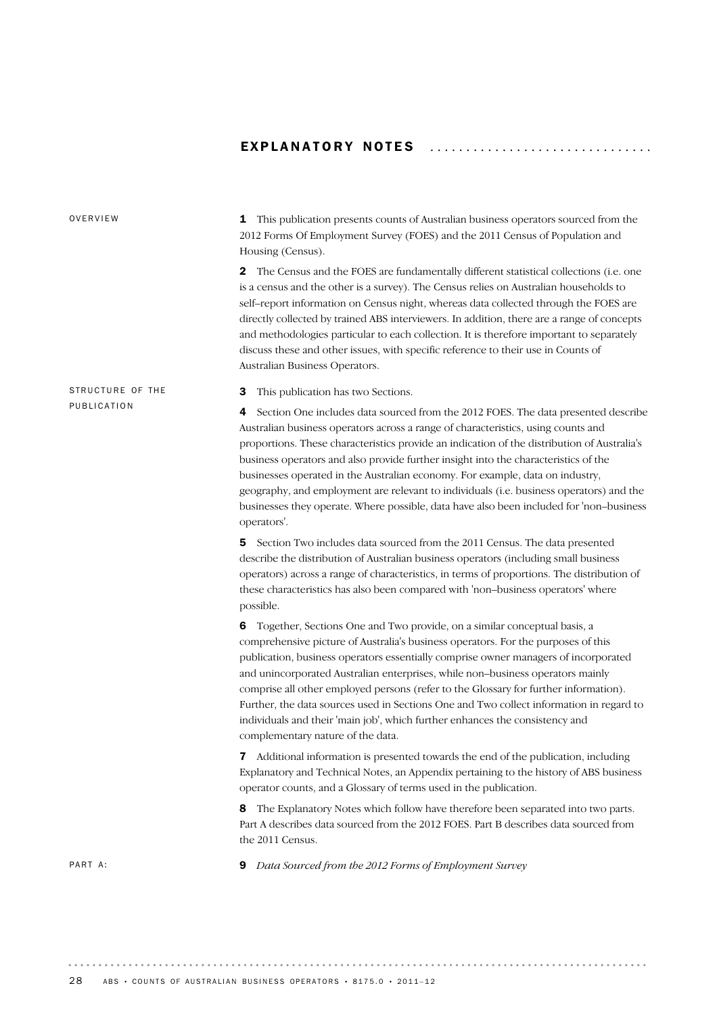## EXPLANATORY NOTES ................................

| OVERVIEW         | This publication presents counts of Australian business operators sourced from the<br>1<br>2012 Forms Of Employment Survey (FOES) and the 2011 Census of Population and<br>Housing (Census).                                                                                                                                                                                                                                                                                                                                                                                                                                                            |  |  |  |
|------------------|---------------------------------------------------------------------------------------------------------------------------------------------------------------------------------------------------------------------------------------------------------------------------------------------------------------------------------------------------------------------------------------------------------------------------------------------------------------------------------------------------------------------------------------------------------------------------------------------------------------------------------------------------------|--|--|--|
|                  | The Census and the FOES are fundamentally different statistical collections (i.e. one<br>2<br>is a census and the other is a survey). The Census relies on Australian households to<br>self-report information on Census night, whereas data collected through the FOES are<br>directly collected by trained ABS interviewers. In addition, there are a range of concepts<br>and methodologies particular to each collection. It is therefore important to separately<br>discuss these and other issues, with specific reference to their use in Counts of<br>Australian Business Operators.                                                            |  |  |  |
| STRUCTURE OF THE | This publication has two Sections.<br>З                                                                                                                                                                                                                                                                                                                                                                                                                                                                                                                                                                                                                 |  |  |  |
| PUBLICATION      | Section One includes data sourced from the 2012 FOES. The data presented describe<br>4<br>Australian business operators across a range of characteristics, using counts and<br>proportions. These characteristics provide an indication of the distribution of Australia's<br>business operators and also provide further insight into the characteristics of the<br>businesses operated in the Australian economy. For example, data on industry,<br>geography, and employment are relevant to individuals (i.e. business operators) and the<br>businesses they operate. Where possible, data have also been included for 'non-business<br>operators'. |  |  |  |
|                  | Section Two includes data sourced from the 2011 Census. The data presented<br>5<br>describe the distribution of Australian business operators (including small business<br>operators) across a range of characteristics, in terms of proportions. The distribution of<br>these characteristics has also been compared with 'non-business operators' where<br>possible.                                                                                                                                                                                                                                                                                  |  |  |  |
|                  | Together, Sections One and Two provide, on a similar conceptual basis, a<br>6<br>comprehensive picture of Australia's business operators. For the purposes of this<br>publication, business operators essentially comprise owner managers of incorporated<br>and unincorporated Australian enterprises, while non-business operators mainly<br>comprise all other employed persons (refer to the Glossary for further information).<br>Further, the data sources used in Sections One and Two collect information in regard to<br>individuals and their 'main job', which further enhances the consistency and<br>complementary nature of the data.     |  |  |  |
|                  | Additional information is presented towards the end of the publication, including<br>7<br>Explanatory and Technical Notes, an Appendix pertaining to the history of ABS business<br>operator counts, and a Glossary of terms used in the publication.                                                                                                                                                                                                                                                                                                                                                                                                   |  |  |  |
|                  | The Explanatory Notes which follow have therefore been separated into two parts.<br>8<br>Part A describes data sourced from the 2012 FOES. Part B describes data sourced from<br>the 2011 Census.                                                                                                                                                                                                                                                                                                                                                                                                                                                       |  |  |  |
| PART A:          | Data Sourced from the 2012 Forms of Employment Survey<br>9                                                                                                                                                                                                                                                                                                                                                                                                                                                                                                                                                                                              |  |  |  |
|                  |                                                                                                                                                                                                                                                                                                                                                                                                                                                                                                                                                                                                                                                         |  |  |  |

28 ABS • COUNTS OF AUSTRALIAN BUSINESS OPERATORS • 8175.0 • 2011-12

 $\alpha$  ,  $\alpha$  ,  $\alpha$  ,  $\alpha$  ,  $\alpha$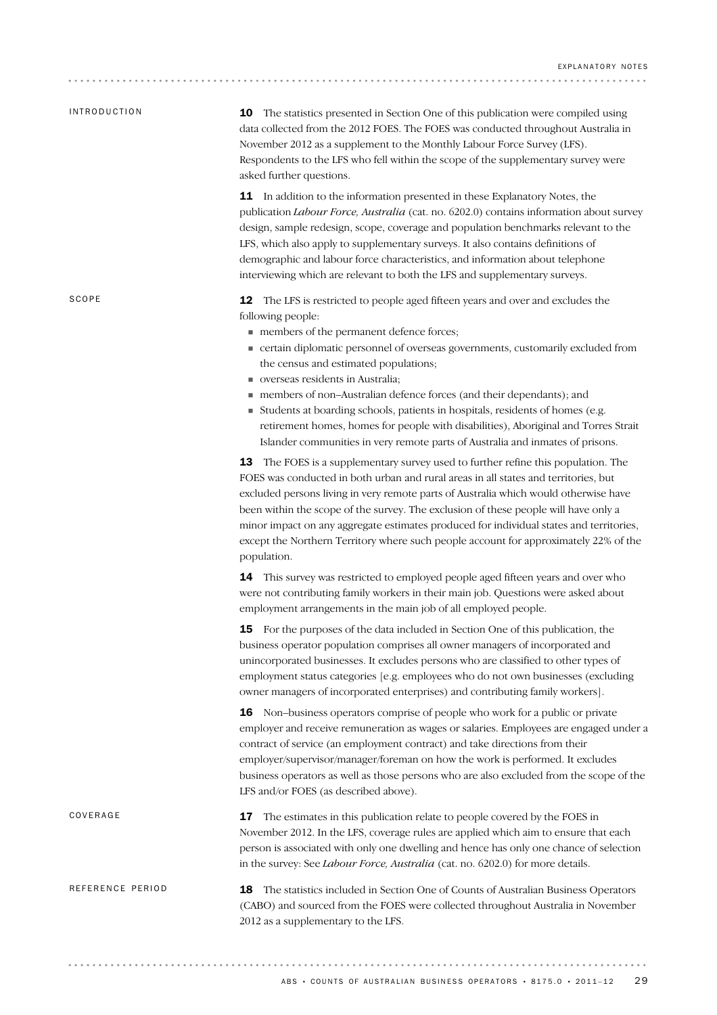| <i><b>INTRODUCTION</b></i> | <b>10</b> The statistics presented in Section One of this publication were compiled using<br>data collected from the 2012 FOES. The FOES was conducted throughout Australia in<br>November 2012 as a supplement to the Monthly Labour Force Survey (LFS).<br>Respondents to the LFS who fell within the scope of the supplementary survey were<br>asked further questions.                                                                                                                                                                                                                                                                         |
|----------------------------|----------------------------------------------------------------------------------------------------------------------------------------------------------------------------------------------------------------------------------------------------------------------------------------------------------------------------------------------------------------------------------------------------------------------------------------------------------------------------------------------------------------------------------------------------------------------------------------------------------------------------------------------------|
|                            | <b>11</b> In addition to the information presented in these Explanatory Notes, the<br>publication Labour Force, Australia (cat. no. 6202.0) contains information about survey<br>design, sample redesign, scope, coverage and population benchmarks relevant to the<br>LFS, which also apply to supplementary surveys. It also contains definitions of<br>demographic and labour force characteristics, and information about telephone<br>interviewing which are relevant to both the LFS and supplementary surveys.                                                                                                                              |
| SCOPE                      | <b>12</b> The LFS is restricted to people aged fifteen years and over and excludes the<br>following people:<br>members of the permanent defence forces;<br>• certain diplomatic personnel of overseas governments, customarily excluded from<br>the census and estimated populations;<br>verseas residents in Australia;<br>members of non-Australian defence forces (and their dependants); and<br>Students at boarding schools, patients in hospitals, residents of homes (e.g.<br>retirement homes, homes for people with disabilities), Aboriginal and Torres Strait                                                                           |
|                            | Islander communities in very remote parts of Australia and inmates of prisons.<br><b>13</b> The FOES is a supplementary survey used to further refine this population. The<br>FOES was conducted in both urban and rural areas in all states and territories, but<br>excluded persons living in very remote parts of Australia which would otherwise have<br>been within the scope of the survey. The exclusion of these people will have only a<br>minor impact on any aggregate estimates produced for individual states and territories,<br>except the Northern Territory where such people account for approximately 22% of the<br>population. |
|                            | 14 This survey was restricted to employed people aged fifteen years and over who<br>were not contributing family workers in their main job. Questions were asked about<br>employment arrangements in the main job of all employed people.                                                                                                                                                                                                                                                                                                                                                                                                          |
|                            | <b>15</b> For the purposes of the data included in Section One of this publication, the<br>business operator population comprises all owner managers of incorporated and<br>unincorporated businesses. It excludes persons who are classified to other types of<br>employment status categories [e.g. employees who do not own businesses (excluding<br>owner managers of incorporated enterprises) and contributing family workers].                                                                                                                                                                                                              |
|                            | 16 Non-business operators comprise of people who work for a public or private<br>employer and receive remuneration as wages or salaries. Employees are engaged under a<br>contract of service (an employment contract) and take directions from their<br>employer/supervisor/manager/foreman on how the work is performed. It excludes<br>business operators as well as those persons who are also excluded from the scope of the<br>LFS and/or FOES (as described above).                                                                                                                                                                         |
| COVERAGE                   | 17<br>The estimates in this publication relate to people covered by the FOES in<br>November 2012. In the LFS, coverage rules are applied which aim to ensure that each<br>person is associated with only one dwelling and hence has only one chance of selection<br>in the survey: See Labour Force, Australia (cat. no. 6202.0) for more details.                                                                                                                                                                                                                                                                                                 |
| REFERENCE PERIOD           | 18 The statistics included in Section One of Counts of Australian Business Operators<br>(CABO) and sourced from the FOES were collected throughout Australia in November<br>2012 as a supplementary to the LFS.                                                                                                                                                                                                                                                                                                                                                                                                                                    |
|                            |                                                                                                                                                                                                                                                                                                                                                                                                                                                                                                                                                                                                                                                    |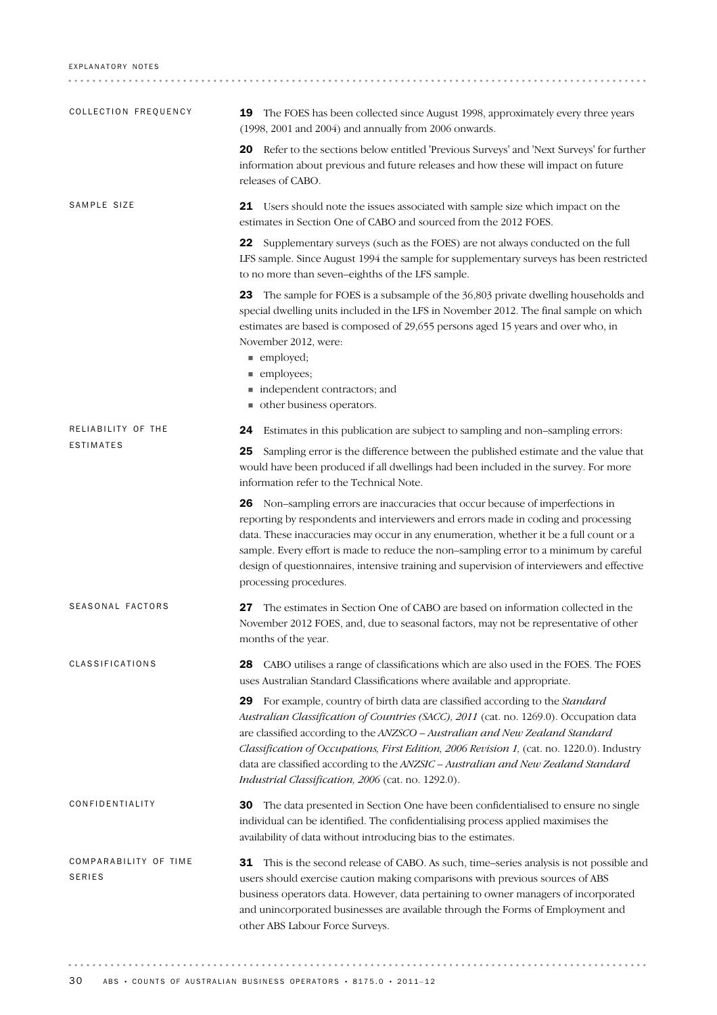| COLLECTION FREQUENCY                   | <b>19</b> The FOES has been collected since August 1998, approximately every three years<br>(1998, 2001 and 2004) and annually from 2006 onwards.                                                                                                                                                                                                                                                                                                                                                           |  |  |  |  |  |
|----------------------------------------|-------------------------------------------------------------------------------------------------------------------------------------------------------------------------------------------------------------------------------------------------------------------------------------------------------------------------------------------------------------------------------------------------------------------------------------------------------------------------------------------------------------|--|--|--|--|--|
|                                        | 20 Refer to the sections below entitled 'Previous Surveys' and 'Next Surveys' for further<br>information about previous and future releases and how these will impact on future<br>releases of CABO.                                                                                                                                                                                                                                                                                                        |  |  |  |  |  |
| SAMPLE SIZE                            | 21 Users should note the issues associated with sample size which impact on the<br>estimates in Section One of CABO and sourced from the 2012 FOES.                                                                                                                                                                                                                                                                                                                                                         |  |  |  |  |  |
|                                        | Supplementary surveys (such as the FOES) are not always conducted on the full<br>22<br>LFS sample. Since August 1994 the sample for supplementary surveys has been restricted<br>to no more than seven-eighths of the LFS sample.                                                                                                                                                                                                                                                                           |  |  |  |  |  |
|                                        | 23 The sample for FOES is a subsample of the 36,803 private dwelling households and<br>special dwelling units included in the LFS in November 2012. The final sample on which<br>estimates are based is composed of 29,655 persons aged 15 years and over who, in<br>November 2012, were:<br>■ employed;<br>$\blacksquare$ employees;<br>independent contractors; and<br>other business operators.<br>ш                                                                                                     |  |  |  |  |  |
| RELIABILITY OF THE                     | Estimates in this publication are subject to sampling and non-sampling errors:<br>24                                                                                                                                                                                                                                                                                                                                                                                                                        |  |  |  |  |  |
| <b>ESTIMATES</b>                       | Sampling error is the difference between the published estimate and the value that<br>25<br>would have been produced if all dwellings had been included in the survey. For more<br>information refer to the Technical Note.                                                                                                                                                                                                                                                                                 |  |  |  |  |  |
|                                        | 26 Non-sampling errors are inaccuracies that occur because of imperfections in<br>reporting by respondents and interviewers and errors made in coding and processing<br>data. These inaccuracies may occur in any enumeration, whether it be a full count or a<br>sample. Every effort is made to reduce the non-sampling error to a minimum by careful<br>design of questionnaires, intensive training and supervision of interviewers and effective<br>processing procedures.                             |  |  |  |  |  |
| SEASONAL FACTORS                       | The estimates in Section One of CABO are based on information collected in the<br>27<br>November 2012 FOES, and, due to seasonal factors, may not be representative of other<br>months of the year.                                                                                                                                                                                                                                                                                                         |  |  |  |  |  |
| CLASSIFICATIONS                        | CABO utilises a range of classifications which are also used in the FOES. The FOES<br>28<br>uses Australian Standard Classifications where available and appropriate.                                                                                                                                                                                                                                                                                                                                       |  |  |  |  |  |
|                                        | For example, country of birth data are classified according to the <i>Standard</i><br>29<br>Australian Classification of Countries (SACC), 2011 (cat. no. 1269.0). Occupation data<br>are classified according to the ANZSCO - Australian and New Zealand Standard<br>Classification of Occupations, First Edition, 2006 Revision 1, (cat. no. 1220.0). Industry<br>data are classified according to the ANZSIC - Australian and New Zealand Standard<br>Industrial Classification, 2006 (cat. no. 1292.0). |  |  |  |  |  |
| CONFIDENTIALITY                        | The data presented in Section One have been confidentialised to ensure no single<br>30<br>individual can be identified. The confidentialising process applied maximises the<br>availability of data without introducing bias to the estimates.                                                                                                                                                                                                                                                              |  |  |  |  |  |
| COMPARABILITY OF TIME<br><b>SERIES</b> | This is the second release of CABO. As such, time-series analysis is not possible and<br>31<br>users should exercise caution making comparisons with previous sources of ABS<br>business operators data. However, data pertaining to owner managers of incorporated<br>and unincorporated businesses are available through the Forms of Employment and<br>other ABS Labour Force Surveys.                                                                                                                   |  |  |  |  |  |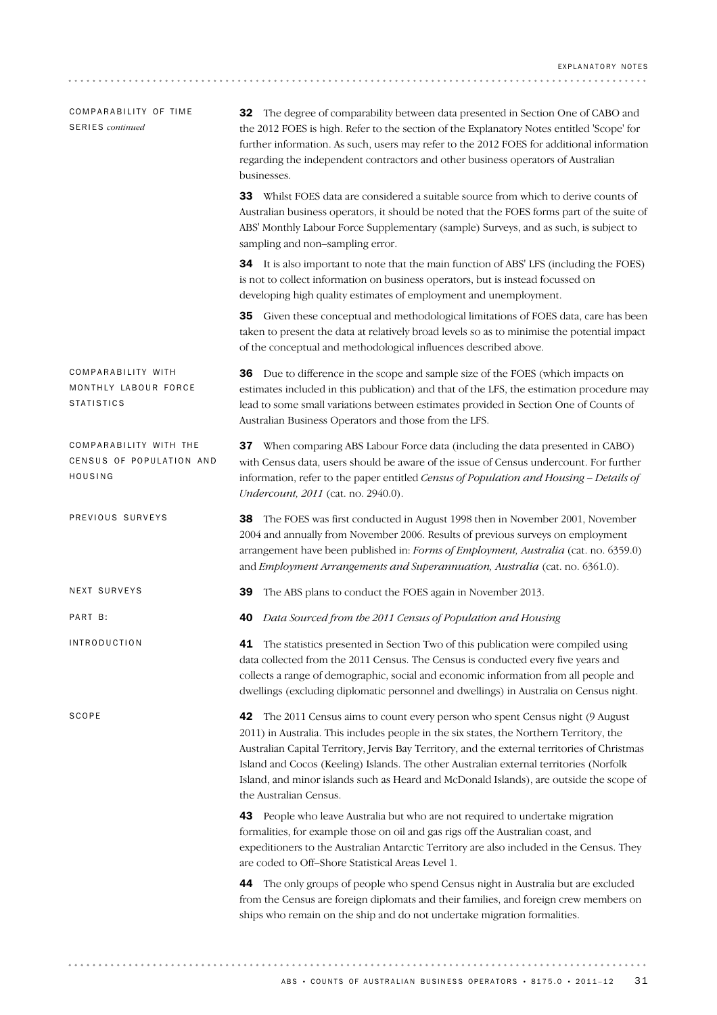| COMPARABILITY OF TIME<br><b>SERIES</b> continued                | <b>32</b> The degree of comparability between data presented in Section One of CABO and<br>the 2012 FOES is high. Refer to the section of the Explanatory Notes entitled 'Scope' for<br>further information. As such, users may refer to the 2012 FOES for additional information<br>regarding the independent contractors and other business operators of Australian<br>businesses.                                                                                                      |
|-----------------------------------------------------------------|-------------------------------------------------------------------------------------------------------------------------------------------------------------------------------------------------------------------------------------------------------------------------------------------------------------------------------------------------------------------------------------------------------------------------------------------------------------------------------------------|
|                                                                 | <b>33</b> Whilst FOES data are considered a suitable source from which to derive counts of<br>Australian business operators, it should be noted that the FOES forms part of the suite of<br>ABS' Monthly Labour Force Supplementary (sample) Surveys, and as such, is subject to<br>sampling and non-sampling error.                                                                                                                                                                      |
|                                                                 | 34 It is also important to note that the main function of ABS' LFS (including the FOES)<br>is not to collect information on business operators, but is instead focussed on<br>developing high quality estimates of employment and unemployment.                                                                                                                                                                                                                                           |
|                                                                 | 35 Given these conceptual and methodological limitations of FOES data, care has been<br>taken to present the data at relatively broad levels so as to minimise the potential impact<br>of the conceptual and methodological influences described above.                                                                                                                                                                                                                                   |
| COMPARABILITY WITH<br>MONTHLY LABOUR FORCE<br><b>STATISTICS</b> | 36 Due to difference in the scope and sample size of the FOES (which impacts on<br>estimates included in this publication) and that of the LFS, the estimation procedure may<br>lead to some small variations between estimates provided in Section One of Counts of<br>Australian Business Operators and those from the LFS.                                                                                                                                                             |
| COMPARABILITY WITH THE<br>CENSUS OF POPULATION AND<br>HOUSING   | 37 When comparing ABS Labour Force data (including the data presented in CABO)<br>with Census data, users should be aware of the issue of Census undercount. For further<br>information, refer to the paper entitled Census of Population and Housing - Details of<br><i>Undercount, 2011</i> (cat. no. 2940.0).                                                                                                                                                                          |
| PREVIOUS SURVEYS                                                | <b>38</b> The FOES was first conducted in August 1998 then in November 2001, November<br>2004 and annually from November 2006. Results of previous surveys on employment<br>arrangement have been published in: Forms of Employment, Australia (cat. no. 6359.0)<br>and Employment Arrangements and Superannuation, Australia (cat. no. 6361.0).                                                                                                                                          |
| NEXT SURVEYS                                                    | The ABS plans to conduct the FOES again in November 2013.<br>39                                                                                                                                                                                                                                                                                                                                                                                                                           |
| PART B:                                                         | Data Sourced from the 2011 Census of Population and Housing<br>40                                                                                                                                                                                                                                                                                                                                                                                                                         |
| <b>INTRODUCTION</b>                                             | The statistics presented in Section Two of this publication were compiled using<br>41<br>data collected from the 2011 Census. The Census is conducted every five years and<br>collects a range of demographic, social and economic information from all people and<br>dwellings (excluding diplomatic personnel and dwellings) in Australia on Census night.                                                                                                                              |
| SCOPE                                                           | 42 The 2011 Census aims to count every person who spent Census night (9 August<br>2011) in Australia. This includes people in the six states, the Northern Territory, the<br>Australian Capital Territory, Jervis Bay Territory, and the external territories of Christmas<br>Island and Cocos (Keeling) Islands. The other Australian external territories (Norfolk<br>Island, and minor islands such as Heard and McDonald Islands), are outside the scope of<br>the Australian Census. |
|                                                                 | 43 People who leave Australia but who are not required to undertake migration<br>formalities, for example those on oil and gas rigs off the Australian coast, and<br>expeditioners to the Australian Antarctic Territory are also included in the Census. They<br>are coded to Off-Shore Statistical Areas Level 1.                                                                                                                                                                       |
|                                                                 | The only groups of people who spend Census night in Australia but are excluded<br>44<br>from the Census are foreign diplomats and their families, and foreign crew members on<br>ships who remain on the ship and do not undertake migration formalities.                                                                                                                                                                                                                                 |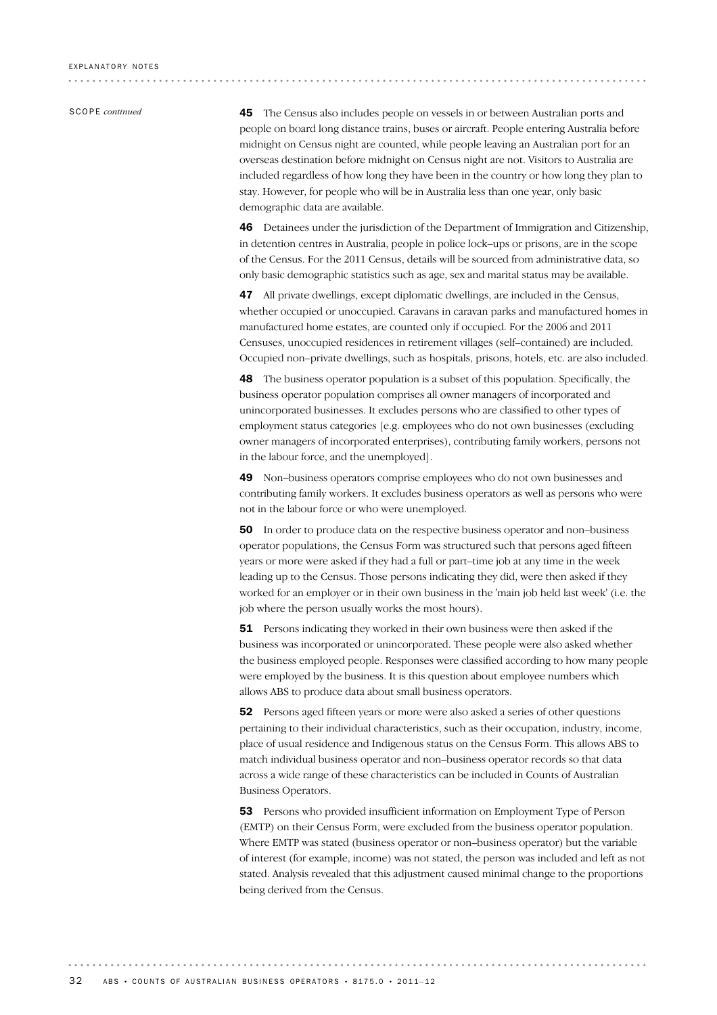SCOPE *continued*

45 The Census also includes people on vessels in or between Australian ports and people on board long distance trains, buses or aircraft. People entering Australia before midnight on Census night are counted, while people leaving an Australian port for an overseas destination before midnight on Census night are not. Visitors to Australia are included regardless of how long they have been in the country or how long they plan to stay. However, for people who will be in Australia less than one year, only basic demographic data are available.

46 Detainees under the jurisdiction of the Department of Immigration and Citizenship, in detention centres in Australia, people in police lock–ups or prisons, are in the scope of the Census. For the 2011 Census, details will be sourced from administrative data, so only basic demographic statistics such as age, sex and marital status may be available.

47 All private dwellings, except diplomatic dwellings, are included in the Census, whether occupied or unoccupied. Caravans in caravan parks and manufactured homes in manufactured home estates, are counted only if occupied. For the 2006 and 2011 Censuses, unoccupied residences in retirement villages (self–contained) are included. Occupied non–private dwellings, such as hospitals, prisons, hotels, etc. are also included.

48 The business operator population is a subset of this population. Specifically, the business operator population comprises all owner managers of incorporated and unincorporated businesses. It excludes persons who are classified to other types of employment status categories [e.g. employees who do not own businesses (excluding owner managers of incorporated enterprises), contributing family workers, persons not in the labour force, and the unemployed].

49 Non–business operators comprise employees who do not own businesses and contributing family workers. It excludes business operators as well as persons who were not in the labour force or who were unemployed.

50 In order to produce data on the respective business operator and non–business operator populations, the Census Form was structured such that persons aged fifteen years or more were asked if they had a full or part–time job at any time in the week leading up to the Census. Those persons indicating they did, were then asked if they worked for an employer or in their own business in the 'main job held last week' (i.e. the job where the person usually works the most hours).

51 Persons indicating they worked in their own business were then asked if the business was incorporated or unincorporated. These people were also asked whether the business employed people. Responses were classified according to how many people were employed by the business. It is this question about employee numbers which allows ABS to produce data about small business operators.

52 Persons aged fifteen years or more were also asked a series of other questions pertaining to their individual characteristics, such as their occupation, industry, income, place of usual residence and Indigenous status on the Census Form. This allows ABS to match individual business operator and non–business operator records so that data across a wide range of these characteristics can be included in Counts of Australian Business Operators.

53 Persons who provided insufficient information on Employment Type of Person (EMTP) on their Census Form, were excluded from the business operator population. Where EMTP was stated (business operator or non–business operator) but the variable of interest (for example, income) was not stated, the person was included and left as not stated. Analysis revealed that this adjustment caused minimal change to the proportions being derived from the Census.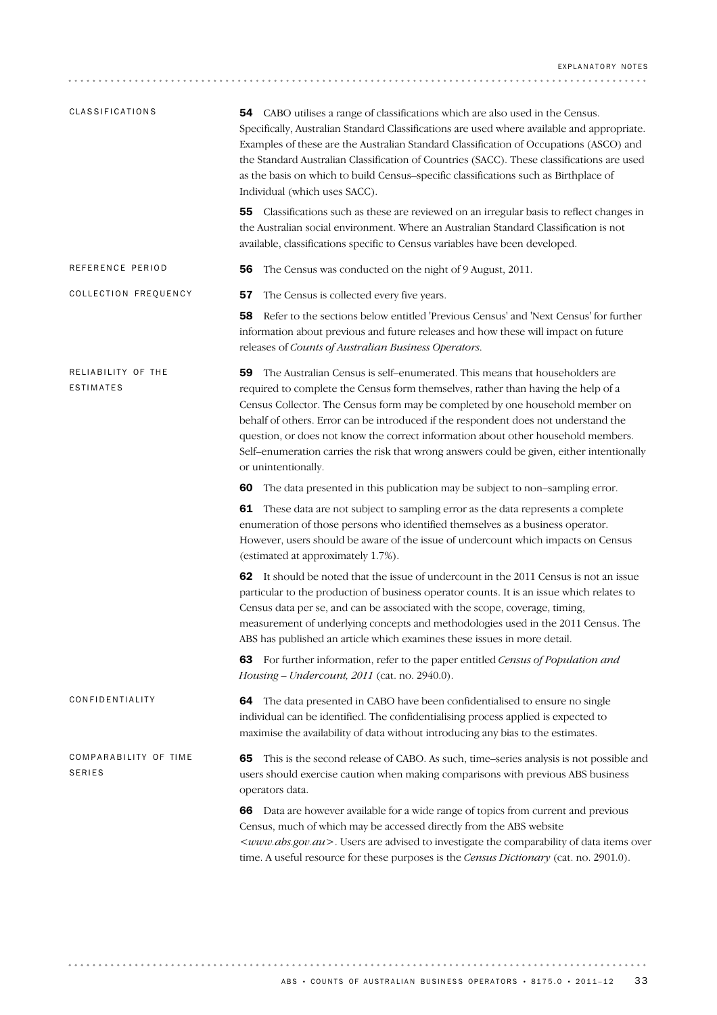| <b>CLASSIFICATIONS</b>                 | <b>54</b> CABO utilises a range of classifications which are also used in the Census.<br>Specifically, Australian Standard Classifications are used where available and appropriate.<br>Examples of these are the Australian Standard Classification of Occupations (ASCO) and<br>the Standard Australian Classification of Countries (SACC). These classifications are used<br>as the basis on which to build Census-specific classifications such as Birthplace of<br>Individual (which uses SACC).                                                  |  |  |  |  |
|----------------------------------------|--------------------------------------------------------------------------------------------------------------------------------------------------------------------------------------------------------------------------------------------------------------------------------------------------------------------------------------------------------------------------------------------------------------------------------------------------------------------------------------------------------------------------------------------------------|--|--|--|--|
|                                        | Classifications such as these are reviewed on an irregular basis to reflect changes in<br>55<br>the Australian social environment. Where an Australian Standard Classification is not<br>available, classifications specific to Census variables have been developed.                                                                                                                                                                                                                                                                                  |  |  |  |  |
| REFERENCE PERIOD                       | The Census was conducted on the night of 9 August, 2011.<br>56                                                                                                                                                                                                                                                                                                                                                                                                                                                                                         |  |  |  |  |
| COLLECTION FREQUENCY                   | 57<br>The Census is collected every five years.                                                                                                                                                                                                                                                                                                                                                                                                                                                                                                        |  |  |  |  |
|                                        | Refer to the sections below entitled 'Previous Census' and 'Next Census' for further<br>58<br>information about previous and future releases and how these will impact on future<br>releases of Counts of Australian Business Operators.                                                                                                                                                                                                                                                                                                               |  |  |  |  |
| RELIABILITY OF THE<br>ESTIMATES        | The Australian Census is self-enumerated. This means that householders are<br>59<br>required to complete the Census form themselves, rather than having the help of a<br>Census Collector. The Census form may be completed by one household member on<br>behalf of others. Error can be introduced if the respondent does not understand the<br>question, or does not know the correct information about other household members.<br>Self-enumeration carries the risk that wrong answers could be given, either intentionally<br>or unintentionally. |  |  |  |  |
|                                        | The data presented in this publication may be subject to non-sampling error.<br>60                                                                                                                                                                                                                                                                                                                                                                                                                                                                     |  |  |  |  |
|                                        | These data are not subject to sampling error as the data represents a complete<br>61<br>enumeration of those persons who identified themselves as a business operator.<br>However, users should be aware of the issue of undercount which impacts on Census<br>(estimated at approximately 1.7%).                                                                                                                                                                                                                                                      |  |  |  |  |
|                                        | 62 It should be noted that the issue of undercount in the 2011 Census is not an issue<br>particular to the production of business operator counts. It is an issue which relates to<br>Census data per se, and can be associated with the scope, coverage, timing,<br>measurement of underlying concepts and methodologies used in the 2011 Census. The<br>ABS has published an article which examines these issues in more detail.                                                                                                                     |  |  |  |  |
|                                        | For further information, refer to the paper entitled Census of Population and<br>63<br>Housing - Undercount, 2011 (cat. no. 2940.0).                                                                                                                                                                                                                                                                                                                                                                                                                   |  |  |  |  |
| CONFIDENTIALITY                        | The data presented in CABO have been confidentialised to ensure no single<br>64<br>individual can be identified. The confidentialising process applied is expected to<br>maximise the availability of data without introducing any bias to the estimates.                                                                                                                                                                                                                                                                                              |  |  |  |  |
| COMPARABILITY OF TIME<br><b>SERIES</b> | This is the second release of CABO. As such, time-series analysis is not possible and<br>65<br>users should exercise caution when making comparisons with previous ABS business<br>operators data.                                                                                                                                                                                                                                                                                                                                                     |  |  |  |  |
|                                        | 66 Data are however available for a wide range of topics from current and previous<br>Census, much of which may be accessed directly from the ABS website<br><www.abs.gov.au>. Users are advised to investigate the comparability of data items over<br/>time. A useful resource for these purposes is the Census Dictionary (cat. no. 2901.0).</www.abs.gov.au>                                                                                                                                                                                       |  |  |  |  |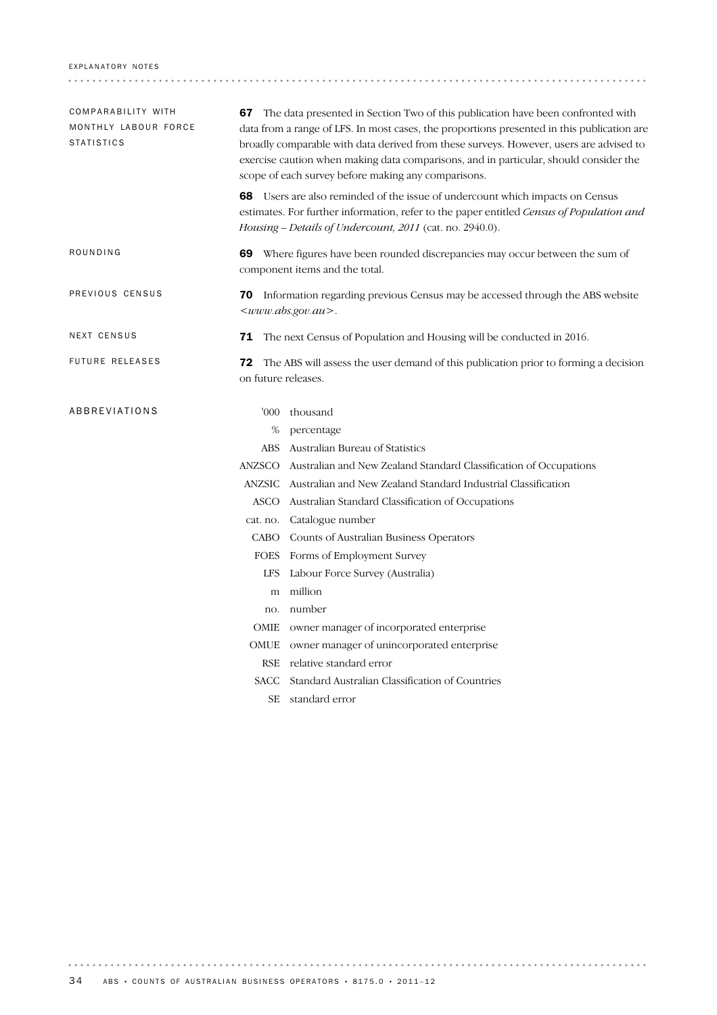### EXPLANATORY NOTES

| COMPARABILITY WITH<br>MONTHLY LABOUR FORCE<br><b>STATISTICS</b> | <b>67</b> The data presented in Section Two of this publication have been confronted with<br>data from a range of LFS. In most cases, the proportions presented in this publication are<br>broadly comparable with data derived from these surveys. However, users are advised to |                                                                                                                                                                                                                                                     |  |  |  |  |
|-----------------------------------------------------------------|-----------------------------------------------------------------------------------------------------------------------------------------------------------------------------------------------------------------------------------------------------------------------------------|-----------------------------------------------------------------------------------------------------------------------------------------------------------------------------------------------------------------------------------------------------|--|--|--|--|
|                                                                 |                                                                                                                                                                                                                                                                                   | exercise caution when making data comparisons, and in particular, should consider the<br>scope of each survey before making any comparisons.                                                                                                        |  |  |  |  |
|                                                                 |                                                                                                                                                                                                                                                                                   | <b>68</b> Users are also reminded of the issue of undercount which impacts on Census<br>estimates. For further information, refer to the paper entitled Census of Population and<br><i>Housing – Details of Undercount, 2011</i> (cat. no. 2940.0). |  |  |  |  |
| ROUNDING                                                        |                                                                                                                                                                                                                                                                                   | 69 Where figures have been rounded discrepancies may occur between the sum of<br>component items and the total.                                                                                                                                     |  |  |  |  |
| PREVIOUS CENSUS                                                 |                                                                                                                                                                                                                                                                                   | 70 Information regarding previous Census may be accessed through the ABS website<br><www.abs.gov.au>.</www.abs.gov.au>                                                                                                                              |  |  |  |  |
| NEXT CENSUS                                                     |                                                                                                                                                                                                                                                                                   | 71 The next Census of Population and Housing will be conducted in 2016.                                                                                                                                                                             |  |  |  |  |
| <b>FUTURE RELEASES</b>                                          | 72<br>on future releases.                                                                                                                                                                                                                                                         | The ABS will assess the user demand of this publication prior to forming a decision                                                                                                                                                                 |  |  |  |  |
| ABBREVIATIONS                                                   | '000'                                                                                                                                                                                                                                                                             | thousand                                                                                                                                                                                                                                            |  |  |  |  |
|                                                                 | %                                                                                                                                                                                                                                                                                 | percentage                                                                                                                                                                                                                                          |  |  |  |  |
|                                                                 | ABS .                                                                                                                                                                                                                                                                             | Australian Bureau of Statistics                                                                                                                                                                                                                     |  |  |  |  |
|                                                                 |                                                                                                                                                                                                                                                                                   | ANZSCO Australian and New Zealand Standard Classification of Occupations                                                                                                                                                                            |  |  |  |  |
|                                                                 |                                                                                                                                                                                                                                                                                   | ANZSIC Australian and New Zealand Standard Industrial Classification                                                                                                                                                                                |  |  |  |  |
|                                                                 |                                                                                                                                                                                                                                                                                   | ASCO Australian Standard Classification of Occupations                                                                                                                                                                                              |  |  |  |  |
|                                                                 |                                                                                                                                                                                                                                                                                   | cat. no. Catalogue number                                                                                                                                                                                                                           |  |  |  |  |
|                                                                 |                                                                                                                                                                                                                                                                                   | CABO Counts of Australian Business Operators                                                                                                                                                                                                        |  |  |  |  |
|                                                                 |                                                                                                                                                                                                                                                                                   | FOES Forms of Employment Survey                                                                                                                                                                                                                     |  |  |  |  |
|                                                                 | <b>LFS</b>                                                                                                                                                                                                                                                                        | Labour Force Survey (Australia)                                                                                                                                                                                                                     |  |  |  |  |
|                                                                 | m                                                                                                                                                                                                                                                                                 | million                                                                                                                                                                                                                                             |  |  |  |  |
|                                                                 | no.                                                                                                                                                                                                                                                                               | number                                                                                                                                                                                                                                              |  |  |  |  |
|                                                                 |                                                                                                                                                                                                                                                                                   | OMIE owner manager of incorporated enterprise                                                                                                                                                                                                       |  |  |  |  |
|                                                                 |                                                                                                                                                                                                                                                                                   | OMUE owner manager of unincorporated enterprise                                                                                                                                                                                                     |  |  |  |  |
|                                                                 |                                                                                                                                                                                                                                                                                   | RSE relative standard error                                                                                                                                                                                                                         |  |  |  |  |
|                                                                 |                                                                                                                                                                                                                                                                                   | SACC Standard Australian Classification of Countries                                                                                                                                                                                                |  |  |  |  |
|                                                                 | SЕ                                                                                                                                                                                                                                                                                | standard error                                                                                                                                                                                                                                      |  |  |  |  |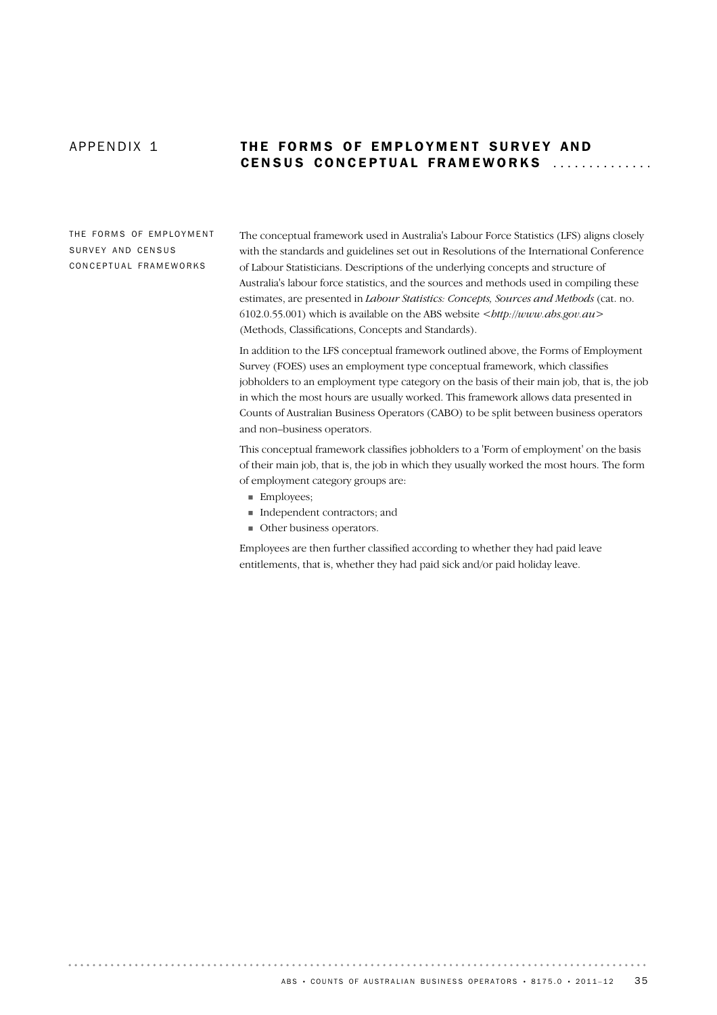. . . . . . . . . . . .

## APPENDIX 1 THE FORMS OF EMPLOYMENT SURVEY AND CENSUS CONCEPTUAL FRAMEWORKS

THE FORMS OF EMPLOYMENT SURVEY AND CENSUS CONCEPTUAL FRAMEWORKS

The conceptual framework used in Australia's Labour Force Statistics (LFS) aligns closely with the standards and guidelines set out in Resolutions of the International Conference of Labour Statisticians. Descriptions of the underlying concepts and structure of Australia's labour force statistics, and the sources and methods used in compiling these estimates, are presented in *Labour Statistics: Concepts, Sources and Methods* (cat. no. 6102.0.55.001) which is available on the ABS website <*http://www.abs.gov.au*> (Methods, Classifications, Concepts and Standards).

In addition to the LFS conceptual framework outlined above, the Forms of Employment Survey (FOES) uses an employment type conceptual framework, which classifies jobholders to an employment type category on the basis of their main job, that is, the job in which the most hours are usually worked. This framework allows data presented in Counts of Australian Business Operators (CABO) to be split between business operators and non–business operators.

This conceptual framework classifies jobholders to a 'Form of employment' on the basis of their main job, that is, the job in which they usually worked the most hours. The form of employment category groups are:

- **Employees:**
- ! Independent contractors; and
- **Other business operators.**

Employees are then further classified according to whether they had paid leave entitlements, that is, whether they had paid sick and/or paid holiday leave.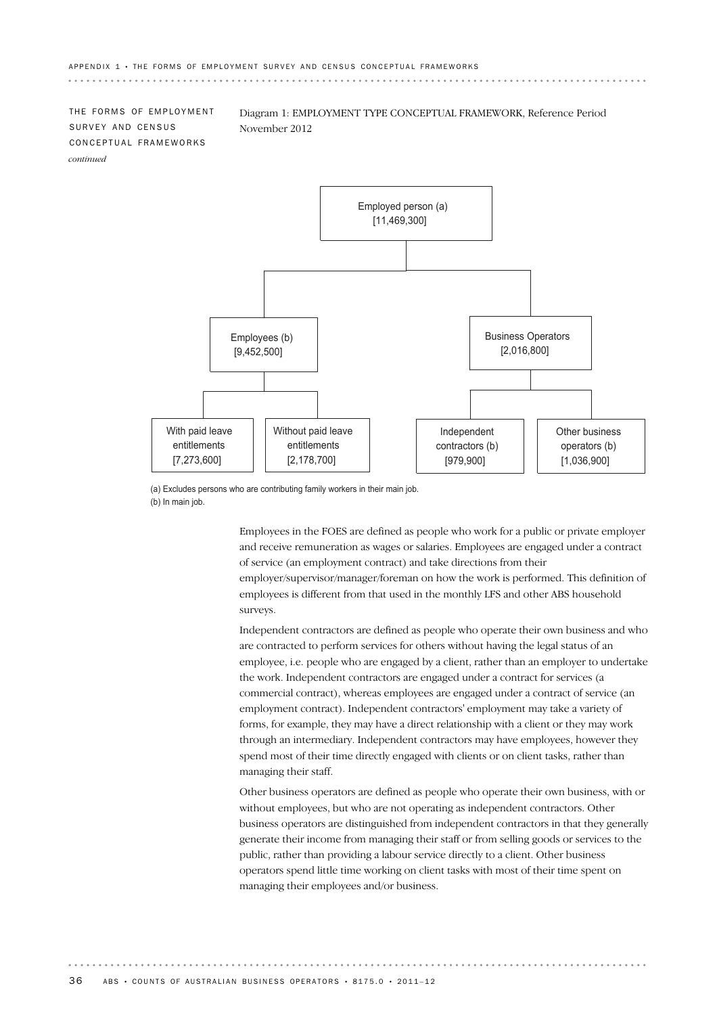THE FORMS OF EMPLOYMENT SURVEY AND CENSUS CONCEPTUAL FRAMEWORKS *continued*

Diagram 1: EMPLOYMENT TYPE CONCEPTUAL FRAMEWORK, Reference Period November 2012



(a) Excludes persons who are contributing family workers in their main job. (b) In main job.

> Employees in the FOES are defined as people who work for a public or private employer and receive remuneration as wages or salaries. Employees are engaged under a contract of service (an employment contract) and take directions from their employer/supervisor/manager/foreman on how the work is performed. This definition of employees is different from that used in the monthly LFS and other ABS household surveys.

> Independent contractors are defined as people who operate their own business and who are contracted to perform services for others without having the legal status of an employee, i.e. people who are engaged by a client, rather than an employer to undertake the work. Independent contractors are engaged under a contract for services (a commercial contract), whereas employees are engaged under a contract of service (an employment contract). Independent contractors' employment may take a variety of forms, for example, they may have a direct relationship with a client or they may work through an intermediary. Independent contractors may have employees, however they spend most of their time directly engaged with clients or on client tasks, rather than managing their staff.

> Other business operators are defined as people who operate their own business, with or without employees, but who are not operating as independent contractors. Other business operators are distinguished from independent contractors in that they generally generate their income from managing their staff or from selling goods or services to the public, rather than providing a labour service directly to a client. Other business operators spend little time working on client tasks with most of their time spent on managing their employees and/or business.

36 ABS • COUNTS OF AUSTRALIAN BUSINESS OPERATORS • 8175.0 • 2011-12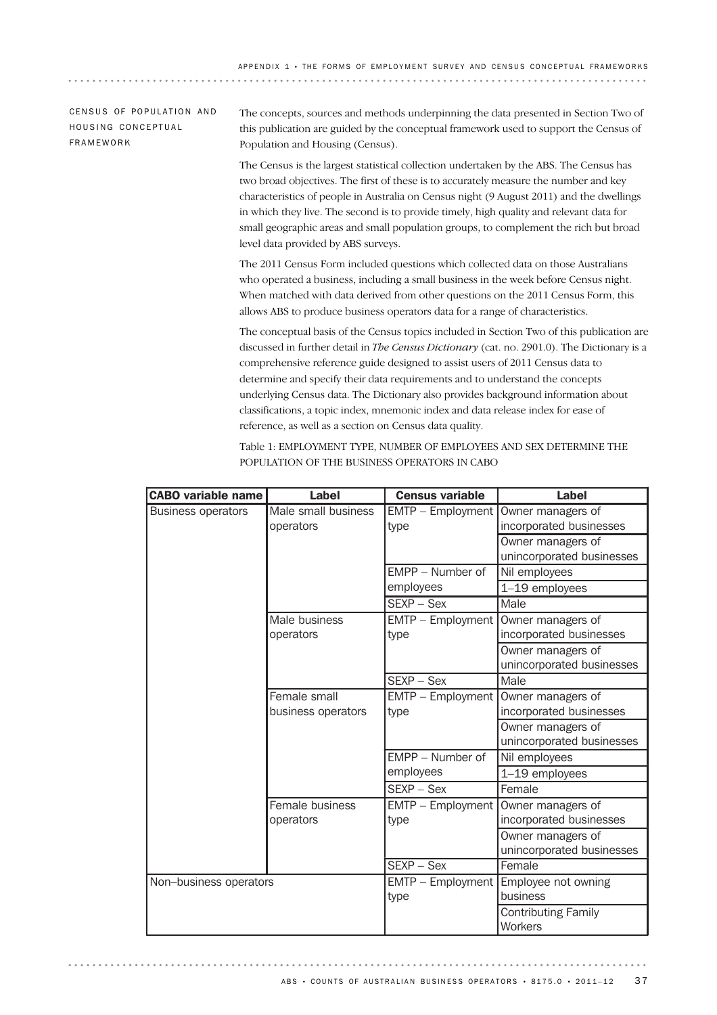## CENSUS OF POPULATION AND HOUSING CONCEPTUAL FRAMEWORK

The concepts, sources and methods underpinning the data presented in Section Two of this publication are guided by the conceptual framework used to support the Census of Population and Housing (Census).

The Census is the largest statistical collection undertaken by the ABS. The Census has two broad objectives. The first of these is to accurately measure the number and key characteristics of people in Australia on Census night (9 August 2011) and the dwellings in which they live. The second is to provide timely, high quality and relevant data for small geographic areas and small population groups, to complement the rich but broad level data provided by ABS surveys.

The 2011 Census Form included questions which collected data on those Australians who operated a business, including a small business in the week before Census night. When matched with data derived from other questions on the 2011 Census Form, this allows ABS to produce business operators data for a range of characteristics.

The conceptual basis of the Census topics included in Section Two of this publication are discussed in further detail in *The Census Dictionary* (cat. no. 2901.0). The Dictionary is a comprehensive reference guide designed to assist users of 2011 Census data to determine and specify their data requirements and to understand the concepts underlying Census data. The Dictionary also provides background information about classifications, a topic index, mnemonic index and data release index for ease of reference, as well as a section on Census data quality.

Table 1: EMPLOYMENT TYPE, NUMBER OF EMPLOYEES AND SEX DETERMINE THE POPULATION OF THE BUSINESS OPERATORS IN CABO

| <b>CABO variable name</b> | Label                              | <b>Census variable</b>      | Label                                          |  |  |
|---------------------------|------------------------------------|-----------------------------|------------------------------------------------|--|--|
| <b>Business operators</b> | Male small business<br>operators   | EMTP - Employment<br>type   | Owner managers of<br>incorporated businesses   |  |  |
|                           |                                    |                             | Owner managers of<br>unincorporated businesses |  |  |
|                           |                                    | FMPP - Number of            | Nil employees                                  |  |  |
|                           |                                    | employees                   | 1-19 employees                                 |  |  |
|                           |                                    | $SEXP - Sex$                | Male                                           |  |  |
|                           | Male business<br>operators         | $EMTP - Employment$<br>type | Owner managers of<br>incorporated businesses   |  |  |
|                           |                                    |                             | Owner managers of<br>unincorporated businesses |  |  |
|                           |                                    | $SEXP - Sex$                | Male                                           |  |  |
|                           | Female small<br>business operators | EMTP - Employment<br>type   | Owner managers of<br>incorporated businesses   |  |  |
|                           |                                    |                             | Owner managers of<br>unincorporated businesses |  |  |
|                           |                                    | EMPP - Number of            | Nil employees                                  |  |  |
|                           |                                    | employees                   | $1-19$ employees                               |  |  |
|                           |                                    | $SEXP - Sex$                | Female                                         |  |  |
|                           | Female business<br>operators       | EMTP - Employment<br>type   | Owner managers of<br>incorporated businesses   |  |  |
|                           |                                    |                             | Owner managers of<br>unincorporated businesses |  |  |
|                           |                                    | SEXP - Sex                  | Female                                         |  |  |
| Non-business operators    |                                    | EMTP - Employment<br>type   | Employee not owning<br>business                |  |  |
|                           |                                    |                             | <b>Contributing Family</b><br>Workers          |  |  |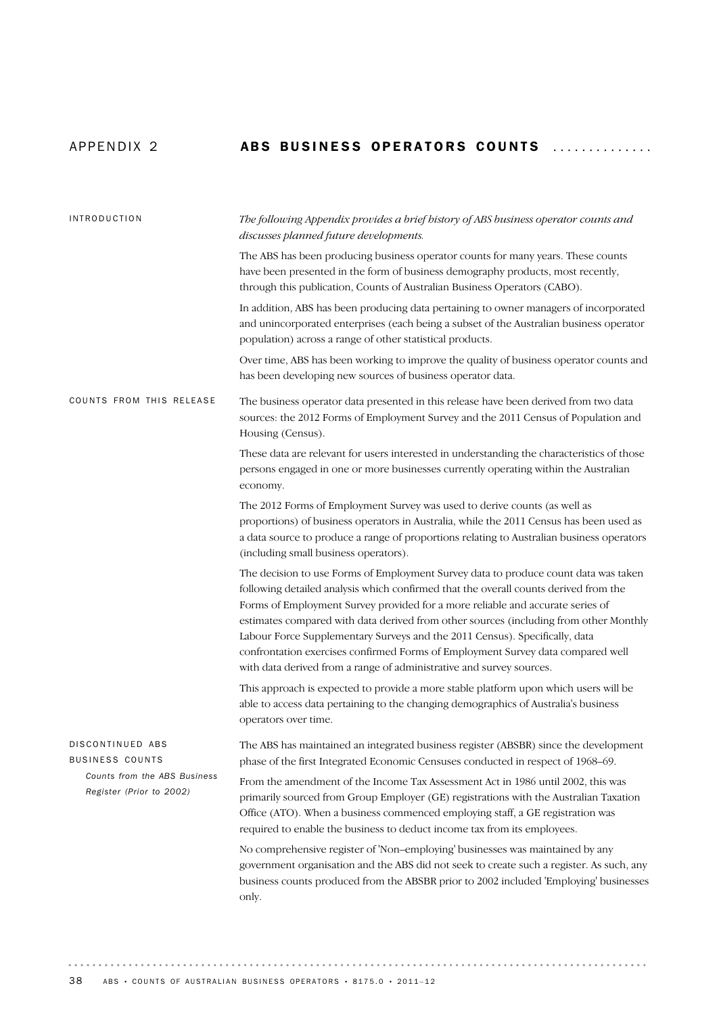## APPENDIX 2 ABS BUSINESS OPERATORS COUNTS ..............

| <b>INTRODUCTION</b>                                      | The following Appendix provides a brief history of ABS business operator counts and<br>discusses planned future developments.                                                                                                                                                                                                                                                                                                                                                                                                                                                                    |  |  |  |  |
|----------------------------------------------------------|--------------------------------------------------------------------------------------------------------------------------------------------------------------------------------------------------------------------------------------------------------------------------------------------------------------------------------------------------------------------------------------------------------------------------------------------------------------------------------------------------------------------------------------------------------------------------------------------------|--|--|--|--|
|                                                          | The ABS has been producing business operator counts for many years. These counts<br>have been presented in the form of business demography products, most recently,<br>through this publication, Counts of Australian Business Operators (CABO).                                                                                                                                                                                                                                                                                                                                                 |  |  |  |  |
|                                                          | In addition, ABS has been producing data pertaining to owner managers of incorporated<br>and unincorporated enterprises (each being a subset of the Australian business operator<br>population) across a range of other statistical products.                                                                                                                                                                                                                                                                                                                                                    |  |  |  |  |
|                                                          | Over time, ABS has been working to improve the quality of business operator counts and<br>has been developing new sources of business operator data.                                                                                                                                                                                                                                                                                                                                                                                                                                             |  |  |  |  |
| COUNTS FROM THIS RELEASE                                 | The business operator data presented in this release have been derived from two data<br>sources: the 2012 Forms of Employment Survey and the 2011 Census of Population and<br>Housing (Census).                                                                                                                                                                                                                                                                                                                                                                                                  |  |  |  |  |
|                                                          | These data are relevant for users interested in understanding the characteristics of those<br>persons engaged in one or more businesses currently operating within the Australian<br>economy.                                                                                                                                                                                                                                                                                                                                                                                                    |  |  |  |  |
|                                                          | The 2012 Forms of Employment Survey was used to derive counts (as well as<br>proportions) of business operators in Australia, while the 2011 Census has been used as<br>a data source to produce a range of proportions relating to Australian business operators<br>(including small business operators).                                                                                                                                                                                                                                                                                       |  |  |  |  |
|                                                          | The decision to use Forms of Employment Survey data to produce count data was taken<br>following detailed analysis which confirmed that the overall counts derived from the<br>Forms of Employment Survey provided for a more reliable and accurate series of<br>estimates compared with data derived from other sources (including from other Monthly<br>Labour Force Supplementary Surveys and the 2011 Census). Specifically, data<br>confrontation exercises confirmed Forms of Employment Survey data compared well<br>with data derived from a range of administrative and survey sources. |  |  |  |  |
|                                                          | This approach is expected to provide a more stable platform upon which users will be<br>able to access data pertaining to the changing demographics of Australia's business<br>operators over time.                                                                                                                                                                                                                                                                                                                                                                                              |  |  |  |  |
| DISCONTINUED ABS<br><b>BUSINESS COUNTS</b>               | The ABS has maintained an integrated business register (ABSBR) since the development<br>phase of the first Integrated Economic Censuses conducted in respect of 1968–69.                                                                                                                                                                                                                                                                                                                                                                                                                         |  |  |  |  |
| Counts from the ABS Business<br>Register (Prior to 2002) | From the amendment of the Income Tax Assessment Act in 1986 until 2002, this was<br>primarily sourced from Group Employer (GE) registrations with the Australian Taxation<br>Office (ATO). When a business commenced employing staff, a GE registration was<br>required to enable the business to deduct income tax from its employees.                                                                                                                                                                                                                                                          |  |  |  |  |
|                                                          | No comprehensive register of 'Non-employing' businesses was maintained by any<br>government organisation and the ABS did not seek to create such a register. As such, any<br>business counts produced from the ABSBR prior to 2002 included 'Employing' businesses<br>only.                                                                                                                                                                                                                                                                                                                      |  |  |  |  |

 $\alpha$  ,  $\alpha$  ,  $\alpha$  ,  $\alpha$  ,  $\alpha$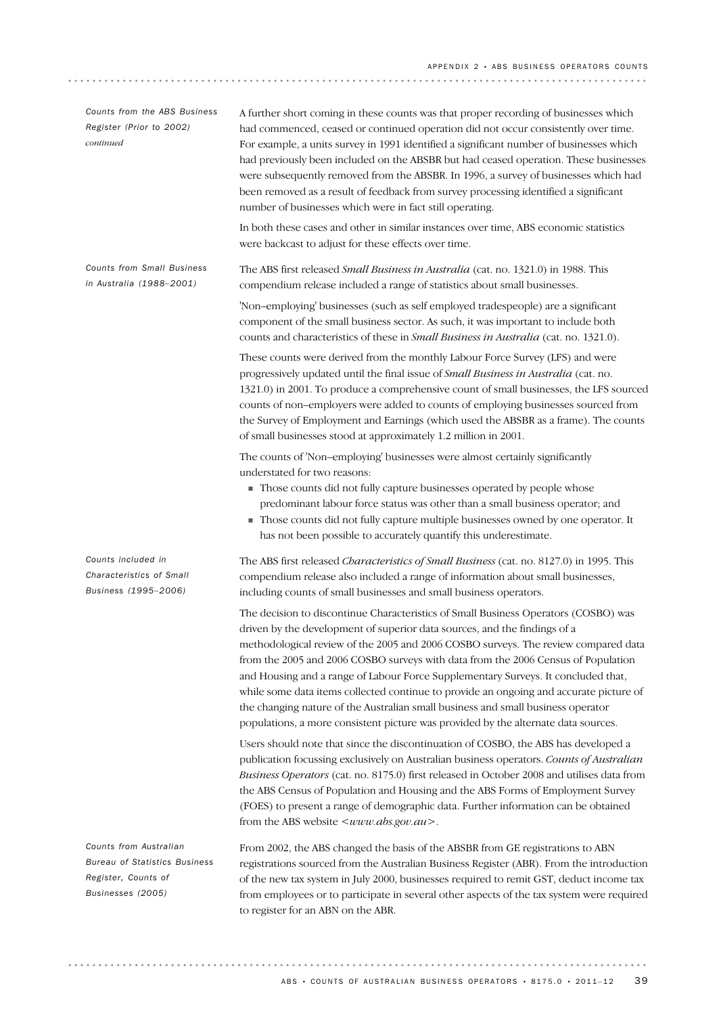| Counts from the ABS Business<br>Register (Prior to 2002)<br>continued                                      | A further short coming in these counts was that proper recording of businesses which<br>had commenced, ceased or continued operation did not occur consistently over time.<br>For example, a units survey in 1991 identified a significant number of businesses which<br>had previously been included on the ABSBR but had ceased operation. These businesses<br>were subsequently removed from the ABSBR. In 1996, a survey of businesses which had<br>been removed as a result of feedback from survey processing identified a significant<br>number of businesses which were in fact still operating.                                                                                             |
|------------------------------------------------------------------------------------------------------------|------------------------------------------------------------------------------------------------------------------------------------------------------------------------------------------------------------------------------------------------------------------------------------------------------------------------------------------------------------------------------------------------------------------------------------------------------------------------------------------------------------------------------------------------------------------------------------------------------------------------------------------------------------------------------------------------------|
|                                                                                                            | In both these cases and other in similar instances over time, ABS economic statistics<br>were backcast to adjust for these effects over time.                                                                                                                                                                                                                                                                                                                                                                                                                                                                                                                                                        |
| <b>Counts from Small Business</b><br>in Australia (1988-2001)                                              | The ABS first released <i>Small Business in Australia</i> (cat. no. 1321.0) in 1988. This<br>compendium release included a range of statistics about small businesses.                                                                                                                                                                                                                                                                                                                                                                                                                                                                                                                               |
|                                                                                                            | 'Non-employing' businesses (such as self employed tradespeople) are a significant<br>component of the small business sector. As such, it was important to include both<br>counts and characteristics of these in Small Business in Australia (cat. no. 1321.0).                                                                                                                                                                                                                                                                                                                                                                                                                                      |
|                                                                                                            | These counts were derived from the monthly Labour Force Survey (LFS) and were<br>progressively updated until the final issue of Small Business in Australia (cat. no.<br>1321.0) in 2001. To produce a comprehensive count of small businesses, the LFS sourced<br>counts of non-employers were added to counts of employing businesses sourced from<br>the Survey of Employment and Earnings (which used the ABSBR as a frame). The counts<br>of small businesses stood at approximately 1.2 million in 2001.                                                                                                                                                                                       |
|                                                                                                            | The counts of 'Non-employing' businesses were almost certainly significantly<br>understated for two reasons:<br>Those counts did not fully capture businesses operated by people whose<br>predominant labour force status was other than a small business operator; and<br>Those counts did not fully capture multiple businesses owned by one operator. It<br>has not been possible to accurately quantify this underestimate.                                                                                                                                                                                                                                                                      |
| Counts included in<br>Characteristics of Small<br>Business (1995-2006)                                     | The ABS first released Characteristics of Small Business (cat. no. 8127.0) in 1995. This<br>compendium release also included a range of information about small businesses,<br>including counts of small businesses and small business operators.                                                                                                                                                                                                                                                                                                                                                                                                                                                    |
|                                                                                                            | The decision to discontinue Characteristics of Small Business Operators (COSBO) was<br>driven by the development of superior data sources, and the findings of a<br>methodological review of the 2005 and 2006 COSBO surveys. The review compared data<br>from the 2005 and 2006 COSBO surveys with data from the 2006 Census of Population<br>and Housing and a range of Labour Force Supplementary Surveys. It concluded that,<br>while some data items collected continue to provide an ongoing and accurate picture of<br>the changing nature of the Australian small business and small business operator<br>populations, a more consistent picture was provided by the alternate data sources. |
|                                                                                                            | Users should note that since the discontinuation of COSBO, the ABS has developed a<br>publication focussing exclusively on Australian business operators. Counts of Australian<br>Business Operators (cat. no. 8175.0) first released in October 2008 and utilises data from<br>the ABS Census of Population and Housing and the ABS Forms of Employment Survey<br>(FOES) to present a range of demographic data. Further information can be obtained<br>from the ABS website < www.abs.gov.au >.                                                                                                                                                                                                    |
| Counts from Australian<br><b>Bureau of Statistics Business</b><br>Register, Counts of<br>Businesses (2005) | From 2002, the ABS changed the basis of the ABSBR from GE registrations to ABN<br>registrations sourced from the Australian Business Register (ABR). From the introduction<br>of the new tax system in July 2000, businesses required to remit GST, deduct income tax<br>from employees or to participate in several other aspects of the tax system were required                                                                                                                                                                                                                                                                                                                                   |

to register for an ABN on the ABR.

 $\begin{array}{cccccccccccccc} \bullet & \bullet & \bullet & \bullet & \bullet & \bullet & \bullet & \bullet \end{array}$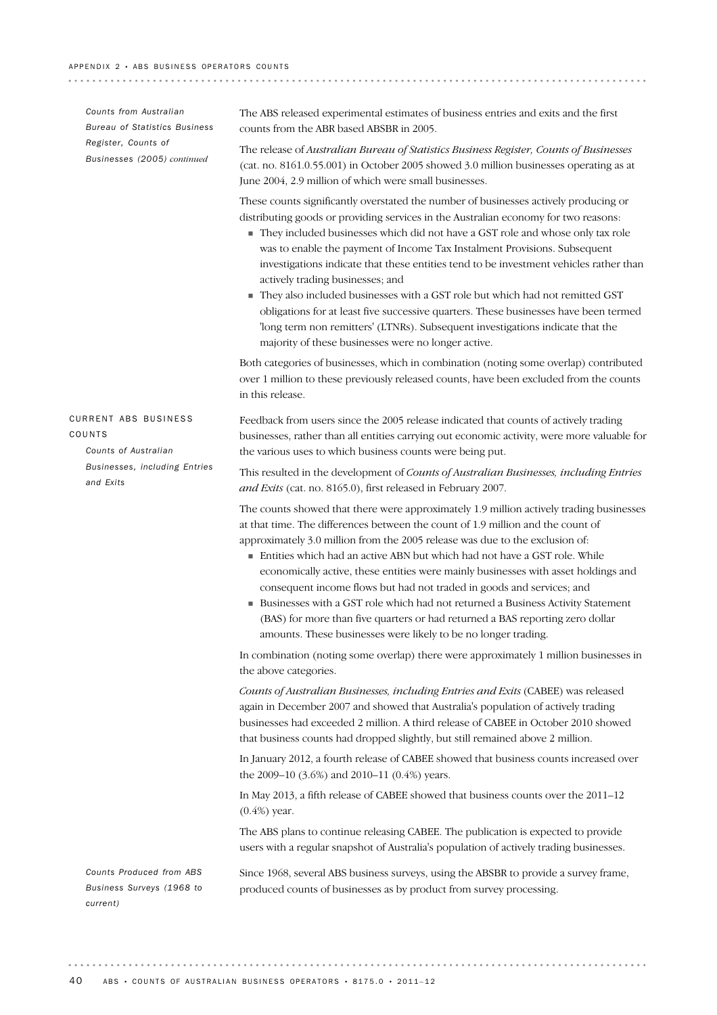*Counts from Australian Bureau of Statistics Business Register, Counts of Businesses (2005) continued*

CURRENT ABS BUSINESS

*Counts of Australian*

*Businesses, including Entries*

COUNTS

*and Exits*

The ABS released experimental estimates of business entries and exits and the first counts from the ABR based ABSBR in 2005.

. . . . . . . . . . . . . . .

The release of *Australian Bureau of Statistics Business Register, Counts of Businesses* (cat. no. 8161.0.55.001) in October 2005 showed 3.0 million businesses operating as at June 2004, 2.9 million of which were small businesses.

These counts significantly overstated the number of businesses actively producing or distributing goods or providing services in the Australian economy for two reasons:

- ! They included businesses which did not have a GST role and whose only tax role was to enable the payment of Income Tax Instalment Provisions. Subsequent investigations indicate that these entities tend to be investment vehicles rather than actively trading businesses; and
- ! They also included businesses with a GST role but which had not remitted GST obligations for at least five successive quarters. These businesses have been termed 'long term non remitters' (LTNRs). Subsequent investigations indicate that the majority of these businesses were no longer active.

Both categories of businesses, which in combination (noting some overlap) contributed over 1 million to these previously released counts, have been excluded from the counts in this release.

Feedback from users since the 2005 release indicated that counts of actively trading businesses, rather than all entities carrying out economic activity, were more valuable for the various uses to which business counts were being put.

This resulted in the development of *Counts of Australian Businesses, including Entries and Exits* (cat. no. 8165.0), first released in February 2007.

The counts showed that there were approximately 1.9 million actively trading businesses at that time. The differences between the count of 1.9 million and the count of approximately 3.0 million from the 2005 release was due to the exclusion of:

- ! Entities which had an active ABN but which had not have a GST role. While economically active, these entities were mainly businesses with asset holdings and consequent income flows but had not traded in goods and services; and
- ! Businesses with a GST role which had not returned a Business Activity Statement (BAS) for more than five quarters or had returned a BAS reporting zero dollar amounts. These businesses were likely to be no longer trading.

In combination (noting some overlap) there were approximately 1 million businesses in the above categories.

*Counts of Australian Businesses, including Entries and Exits* (CABEE) was released again in December 2007 and showed that Australia's population of actively trading businesses had exceeded 2 million. A third release of CABEE in October 2010 showed that business counts had dropped slightly, but still remained above 2 million.

In January 2012, a fourth release of CABEE showed that business counts increased over the 2009–10 (3.6%) and 2010–11 (0.4%) years.

In May 2013, a fifth release of CABEE showed that business counts over the 2011–12 (0.4%) year.

The ABS plans to continue releasing CABEE. The publication is expected to provide users with a regular snapshot of Australia's population of actively trading businesses.

*Counts Produced from ABS Business Surveys (1968 to current)*

Since 1968, several ABS business surveys, using the ABSBR to provide a survey frame, produced counts of businesses as by product from survey processing.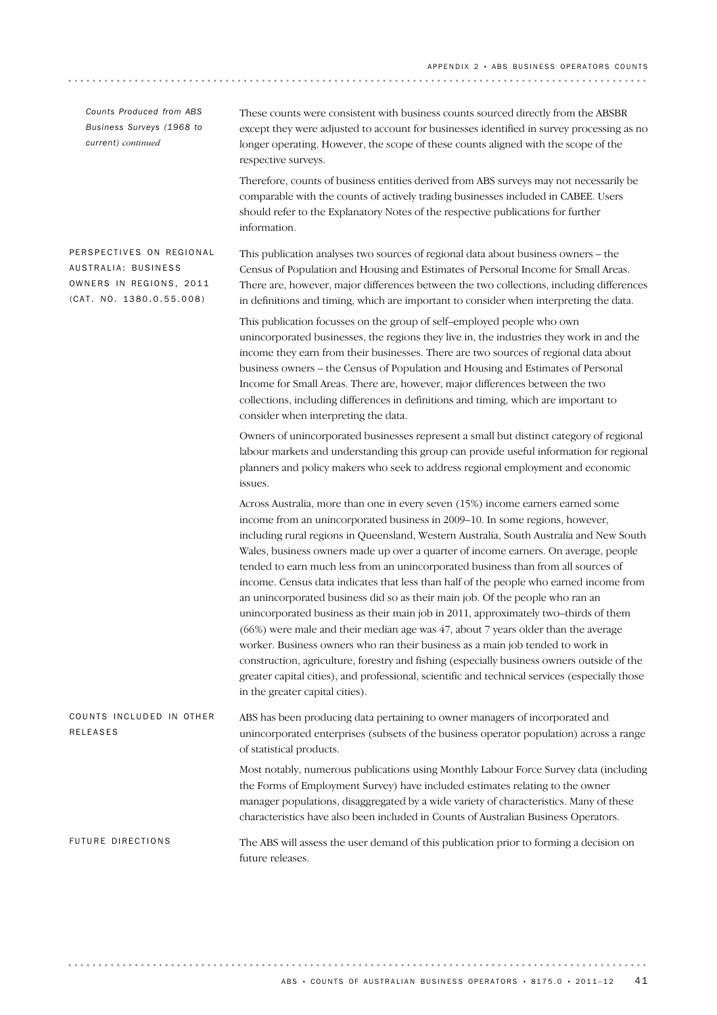*Counts Produced from ABS Business Surveys (1968 to current) continued*

These counts were consistent with business counts sourced directly from the ABSBR except they were adjusted to account for businesses identified in survey processing as no longer operating. However, the scope of these counts aligned with the scope of the respective surveys.

Therefore, counts of business entities derived from ABS surveys may not necessarily be comparable with the counts of actively trading businesses included in CABEE. Users should refer to the Explanatory Notes of the respective publications for further information.

PERSPECTIVES ON REGIONAL AUSTRALIA: BUSINESS OWNERS IN REGIONS, 2011  $(CAT. NO. 1380.0.55.008)$ 

This publication analyses two sources of regional data about business owners – the Census of Population and Housing and Estimates of Personal Income for Small Areas. There are, however, major differences between the two collections, including differences in definitions and timing, which are important to consider when interpreting the data.

This publication focusses on the group of self–employed people who own unincorporated businesses, the regions they live in, the industries they work in and the income they earn from their businesses. There are two sources of regional data about business owners – the Census of Population and Housing and Estimates of Personal Income for Small Areas. There are, however, major differences between the two collections, including differences in definitions and timing, which are important to consider when interpreting the data.

Owners of unincorporated businesses represent a small but distinct category of regional labour markets and understanding this group can provide useful information for regional planners and policy makers who seek to address regional employment and economic issues.

Across Australia, more than one in every seven (15%) income earners earned some income from an unincorporated business in 2009–10. In some regions, however, including rural regions in Queensland, Western Australia, South Australia and New South Wales, business owners made up over a quarter of income earners. On average, people tended to earn much less from an unincorporated business than from all sources of income. Census data indicates that less than half of the people who earned income from an unincorporated business did so as their main job. Of the people who ran an unincorporated business as their main job in 2011, approximately two–thirds of them (66%) were male and their median age was 47, about 7 years older than the average worker. Business owners who ran their business as a main job tended to work in construction, agriculture, forestry and fishing (especially business owners outside of the greater capital cities), and professional, scientific and technical services (especially those in the greater capital cities).

ABS has been producing data pertaining to owner managers of incorporated and unincorporated enterprises (subsets of the business operator population) across a range of statistical products. COUNTS INCLUDED IN OTHER RELEASES

> Most notably, numerous publications using Monthly Labour Force Survey data (including the Forms of Employment Survey) have included estimates relating to the owner manager populations, disaggregated by a wide variety of characteristics. Many of these characteristics have also been included in Counts of Australian Business Operators.

FUTURE DIRECTIONS

The ABS will assess the user demand of this publication prior to forming a decision on future releases.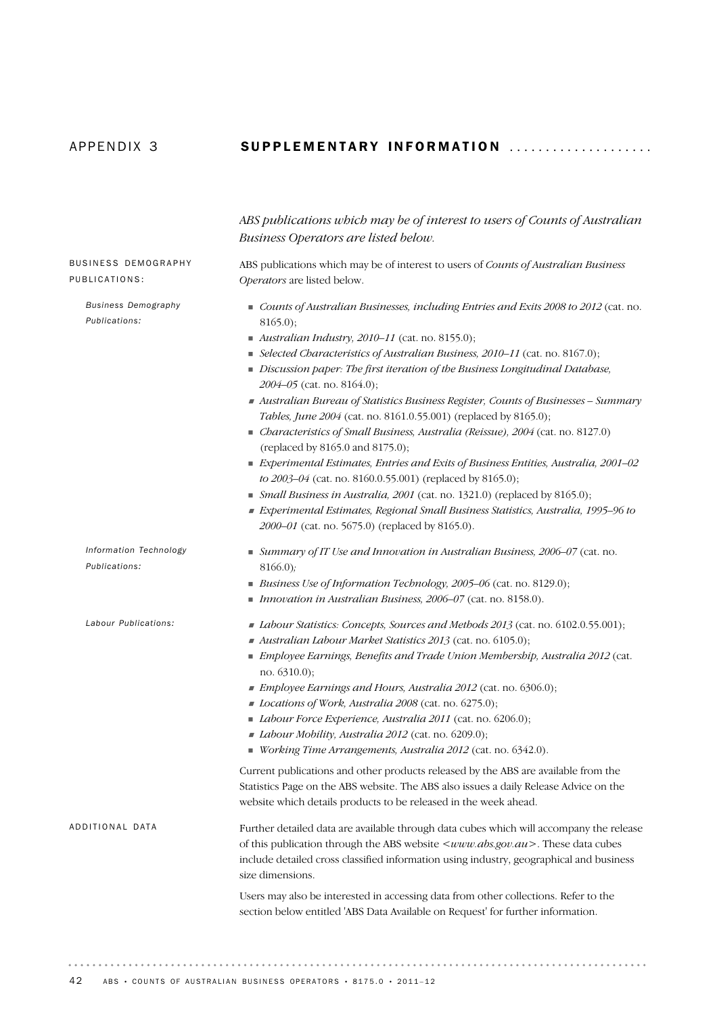## APPENDIX 3 **SUPPLEMENTARY INFORMATION** ....................

|                                             | ABS publications which may be of interest to users of Counts of Australian                                                                                                                                                                                                                                  |
|---------------------------------------------|-------------------------------------------------------------------------------------------------------------------------------------------------------------------------------------------------------------------------------------------------------------------------------------------------------------|
|                                             | Business Operators are listed below.                                                                                                                                                                                                                                                                        |
| <b>BUSINESS DEMOGRAPHY</b>                  | ABS publications which may be of interest to users of Counts of Australian Business                                                                                                                                                                                                                         |
| PUBLICATIONS:                               | Operators are listed below.                                                                                                                                                                                                                                                                                 |
| <b>Business Demography</b><br>Publications: | Counts of Australian Businesses, including Entries and Exits 2008 to 2012 (cat. no.<br>$8165.0$ ;<br>$\blacksquare$ Australian Industry, 2010-11 (cat. no. 8155.0);                                                                                                                                         |
|                                             | Selected Characteristics of Australian Business, 2010-11 (cat. no. 8167.0);<br>Discussion paper: The first iteration of the Business Longitudinal Database,<br>2004-05 (cat. no. 8164.0);                                                                                                                   |
|                                             | Australian Bureau of Statistics Business Register, Counts of Businesses – Summary<br>Tables, June 2004 (cat. no. 8161.0.55.001) (replaced by 8165.0);                                                                                                                                                       |
|                                             | Characteristics of Small Business, Australia (Reissue), 2004 (cat. no. 8127.0)<br>(replaced by 8165.0 and 8175.0);                                                                                                                                                                                          |
|                                             | Experimental Estimates, Entries and Exits of Business Entities, Australia, 2001–02<br>to 2003-04 (cat. no. 8160.0.55.001) (replaced by 8165.0);                                                                                                                                                             |
|                                             | • Small Business in Australia, 2001 (cat. no. 1321.0) (replaced by 8165.0);<br>Experimental Estimates, Regional Small Business Statistics, Australia, 1995-96 to<br>2000-01 (cat. no. 5675.0) (replaced by 8165.0).                                                                                         |
| Information Technology<br>Publications:     | Summary of IT Use and Innovation in Australian Business, 2006–07 (cat. no.<br>8166.0;<br>Business Use of Information Technology, 2005-06 (cat. no. 8129.0);                                                                                                                                                 |
|                                             | Innovation in Australian Business, $2006 - 07$ (cat. no. 8158.0).                                                                                                                                                                                                                                           |
| Labour Publications:                        | Labour Statistics: Concepts, Sources and Methods 2013 (cat. no. 6102.0.55.001);<br>Australian Labour Market Statistics 2013 (cat. no. 6105.0);<br>Employee Earnings, Benefits and Trade Union Membership, Australia 2012 (cat.<br>no. 6310.0);                                                              |
|                                             | Employee Earnings and Hours, Australia 2012 (cat. no. 6306.0);                                                                                                                                                                                                                                              |
|                                             | Locations of Work, Australia 2008 (cat. no. 6275.0);                                                                                                                                                                                                                                                        |
|                                             | Labour Force Experience, Australia 2011 (cat. no. 6206.0);<br>Labour Mobility, Australia 2012 (cat. no. 6209.0);<br>Working Time Arrangements, Australia 2012 (cat. no. 6342.0).                                                                                                                            |
|                                             | Current publications and other products released by the ABS are available from the<br>Statistics Page on the ABS website. The ABS also issues a daily Release Advice on the<br>website which details products to be released in the week ahead.                                                             |
| ADDITIONAL DATA                             | Further detailed data are available through data cubes which will accompany the release<br>of this publication through the ABS website <www.abs.gov.au>. These data cubes<br/>include detailed cross classified information using industry, geographical and business<br/>size dimensions.</www.abs.gov.au> |
|                                             | Users may also be interested in accessing data from other collections. Refer to the<br>section below entitled 'ABS Data Available on Request' for further information.                                                                                                                                      |
|                                             |                                                                                                                                                                                                                                                                                                             |

 $\alpha$  ,  $\alpha$  ,  $\alpha$  ,  $\alpha$  ,  $\alpha$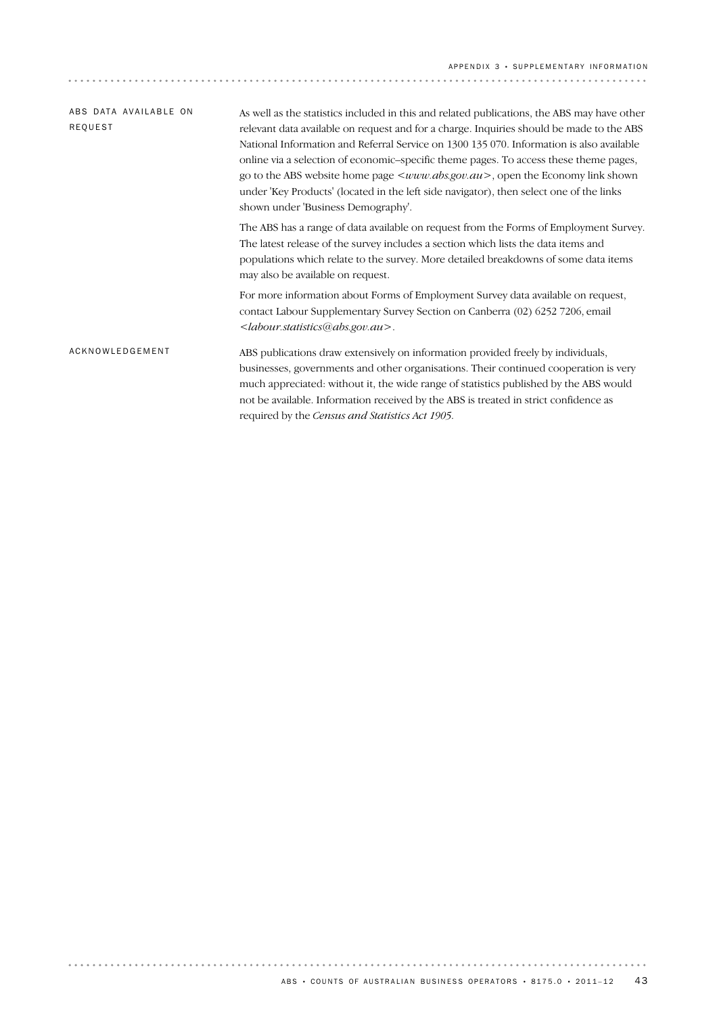| ABS DATA AVAILABLE ON | As well as the statistics included in this and related publications, the ABS may have other                                                                                                                                                                                                                                                                                                                                                                                                            |  |  |  |  |
|-----------------------|--------------------------------------------------------------------------------------------------------------------------------------------------------------------------------------------------------------------------------------------------------------------------------------------------------------------------------------------------------------------------------------------------------------------------------------------------------------------------------------------------------|--|--|--|--|
| REQUEST               | relevant data available on request and for a charge. Inquiries should be made to the ABS<br>National Information and Referral Service on 1300 135 070. Information is also available<br>online via a selection of economic–specific theme pages. To access these theme pages,<br>go to the ABS website home page $\leq www.abs.gov.au>$ , open the Economy link shown<br>under 'Key Products' (located in the left side navigator), then select one of the links<br>shown under 'Business Demography'. |  |  |  |  |
|                       | The ABS has a range of data available on request from the Forms of Employment Survey.<br>The latest release of the survey includes a section which lists the data items and<br>populations which relate to the survey. More detailed breakdowns of some data items<br>may also be available on request.                                                                                                                                                                                                |  |  |  |  |
|                       | For more information about Forms of Employment Survey data available on request,<br>contact Labour Supplementary Survey Section on Canberra (02) 6252 7206, email<br><labour.statistics@abs.gov.au>.</labour.statistics@abs.gov.au>                                                                                                                                                                                                                                                                    |  |  |  |  |
| ACKNOWLEDGEMENT       | ABS publications draw extensively on information provided freely by individuals,<br>businesses, governments and other organisations. Their continued cooperation is very<br>much appreciated: without it, the wide range of statistics published by the ABS would<br>not be available. Information received by the ABS is treated in strict confidence as<br>required by the Census and Statistics Act 1905.                                                                                           |  |  |  |  |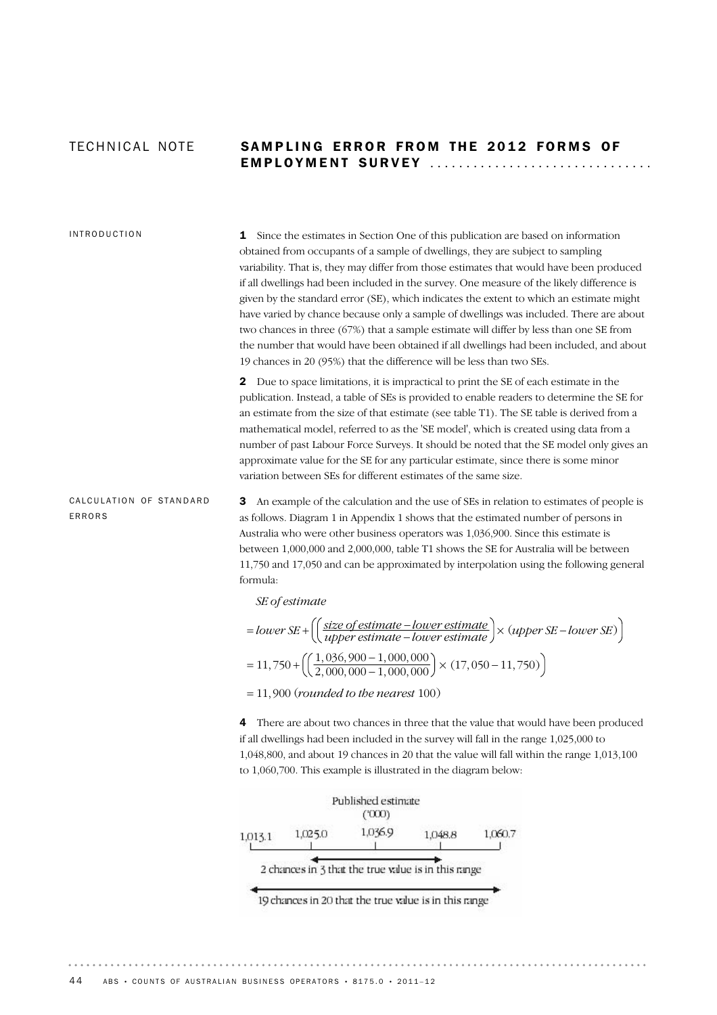## TECHNICAL NOTE SAMPLING ERROR FROM THE 2012 FORMS OF EMPLOYMENT SURVEY ...............................

## INTRODUCTION

**1** Since the estimates in Section One of this publication are based on information obtained from occupants of a sample of dwellings, they are subject to sampling variability. That is, they may differ from those estimates that would have been produced if all dwellings had been included in the survey. One measure of the likely difference is given by the standard error (SE), which indicates the extent to which an estimate might have varied by chance because only a sample of dwellings was included. There are about two chances in three (67%) that a sample estimate will differ by less than one SE from the number that would have been obtained if all dwellings had been included, and about 19 chances in 20 (95%) that the difference will be less than two SEs.

2 Due to space limitations, it is impractical to print the SE of each estimate in the publication. Instead, a table of SEs is provided to enable readers to determine the SE for an estimate from the size of that estimate (see table T1). The SE table is derived from a mathematical model, referred to as the 'SE model', which is created using data from a number of past Labour Force Surveys. It should be noted that the SE model only gives an approximate value for the SE for any particular estimate, since there is some minor variation between SEs for different estimates of the same size.

CALCULATION OF STANDARD ERRORS

3 An example of the calculation and the use of SEs in relation to estimates of people is as follows. Diagram 1 in Appendix 1 shows that the estimated number of persons in Australia who were other business operators was 1,036,900. Since this estimate is between 1,000,000 and 2,000,000, table T1 shows the SE for Australia will be between 11,750 and 17,050 and can be approximated by interpolation using the following general formula:

*SE of estimate*

$$
= lower SE + \left( \left( \frac{size\ of\ estimate - lower\ estimate}{upper\ estimate - lower\ estimate} \right) \times (upper\ SE - lower\ SE) \right)
$$

$$
= 11,750 + \left( \left( \frac{1,036,900 - 1,000,000}{2,000,000 - 1,000,000} \right) \times (17,050 - 11,750) \right)
$$

= 11, 900 (*rounded to the nearest* 100)

4 There are about two chances in three that the value that would have been produced if all dwellings had been included in the survey will fall in the range 1,025,000 to 1,048,800, and about 19 chances in 20 that the value will fall within the range 1,013,100 to 1,060,700. This example is illustrated in the diagram below:



19 chances in 20 that the true value is in this range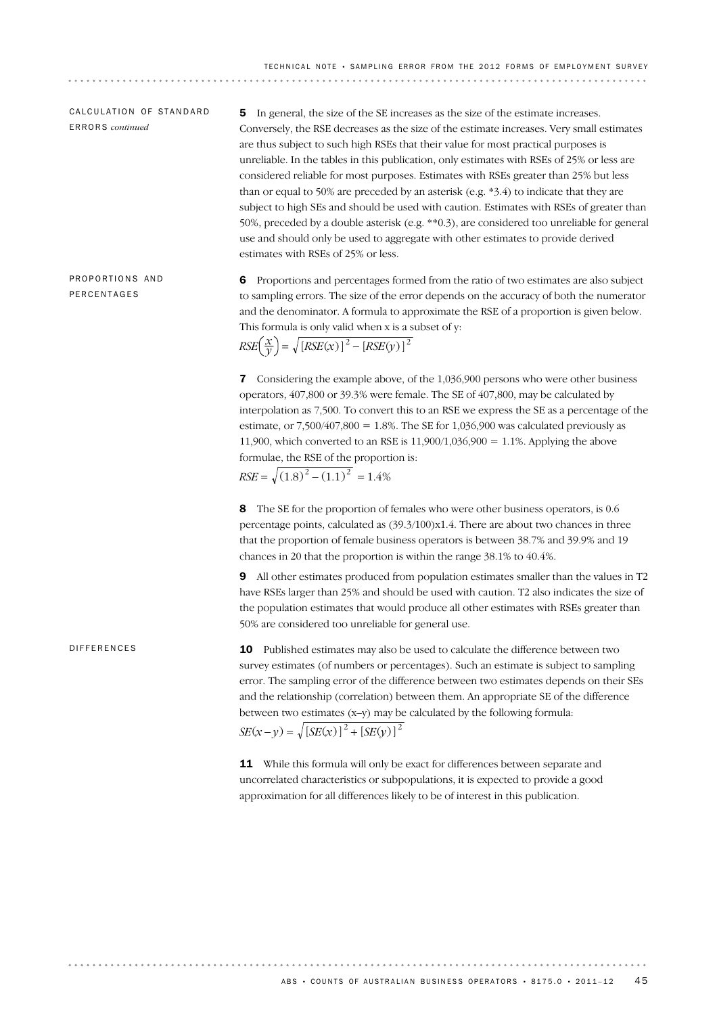## CALCULATION OF STANDARD ERRORS *continued*

5 In general, the size of the SE increases as the size of the estimate increases. Conversely, the RSE decreases as the size of the estimate increases. Very small estimates are thus subject to such high RSEs that their value for most practical purposes is unreliable. In the tables in this publication, only estimates with RSEs of 25% or less are considered reliable for most purposes. Estimates with RSEs greater than 25% but less than or equal to 50% are preceded by an asterisk (e.g. \*3.4) to indicate that they are subject to high SEs and should be used with caution. Estimates with RSEs of greater than 50%, preceded by a double asterisk (e.g. \*\*0.3), are considered too unreliable for general use and should only be used to aggregate with other estimates to provide derived estimates with RSEs of 25% or less.

PROPORTIONS AND PERCENTAGES

6 Proportions and percentages formed from the ratio of two estimates are also subject to sampling errors. The size of the error depends on the accuracy of both the numerator and the denominator. A formula to approximate the RSE of a proportion is given below. This formula is only valid when x is a subset of y:

$$
RSE\left(\frac{x}{y}\right) = \sqrt{[RSE(x)]^2 - [RSE(y)]^2}
$$

7 Considering the example above, of the 1,036,900 persons who were other business operators, 407,800 or 39.3% were female. The SE of 407,800, may be calculated by interpolation as 7,500. To convert this to an RSE we express the SE as a percentage of the estimate, or  $7,500/407,800 = 1.8\%$ . The SE for 1,036,900 was calculated previously as 11,900, which converted to an RSE is 11,900/1,036,900 = 1.1%. Applying the above formulae, the RSE of the proportion is:

 $RSE = \sqrt{(1.8)^2 - (1.1)^2} = 1.4\%$ 

8 The SE for the proportion of females who were other business operators, is 0.6 percentage points, calculated as (39.3/100)x1.4. There are about two chances in three that the proportion of female business operators is between 38.7% and 39.9% and 19 chances in 20 that the proportion is within the range 38.1% to 40.4%.

9 All other estimates produced from population estimates smaller than the values in T2 have RSEs larger than 25% and should be used with caution. T2 also indicates the size of the population estimates that would produce all other estimates with RSEs greater than 50% are considered too unreliable for general use.

### DIFFERENCES

 $SE(x - y) = \sqrt{[SE(x)]^2 + [SE(y)]^2}$ 10 Published estimates may also be used to calculate the difference between two survey estimates (of numbers or percentages). Such an estimate is subject to sampling error. The sampling error of the difference between two estimates depends on their SEs and the relationship (correlation) between them. An appropriate SE of the difference between two estimates (x–y) may be calculated by the following formula:

11 While this formula will only be exact for differences between separate and uncorrelated characteristics or subpopulations, it is expected to provide a good approximation for all differences likely to be of interest in this publication.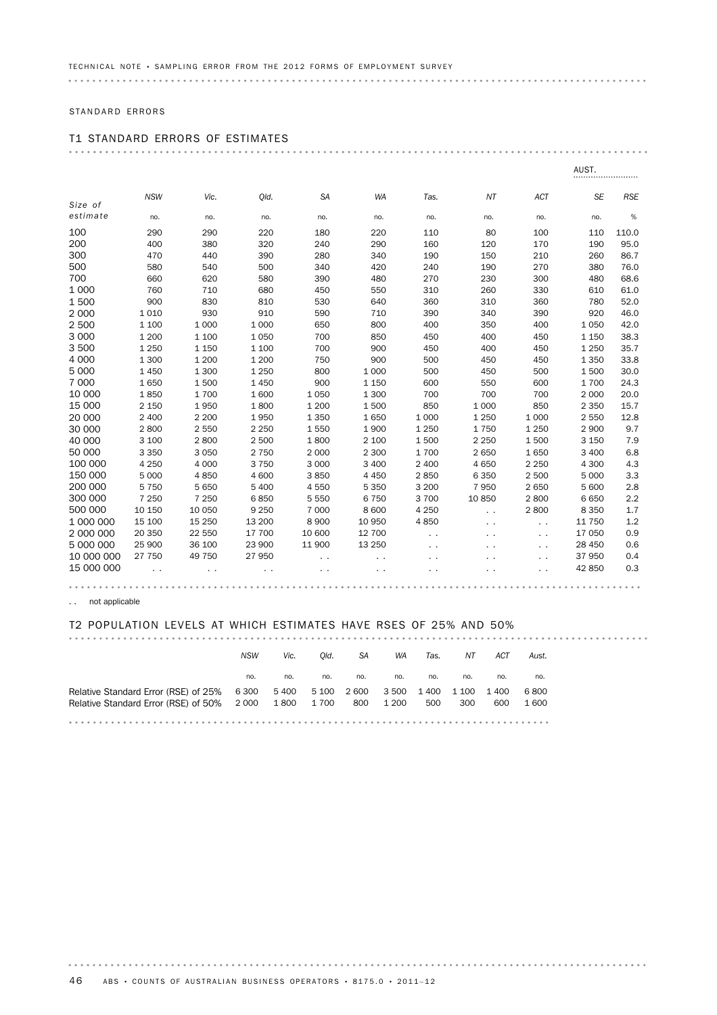## STANDARD ERRORS

# T1 STANDARD ERRORS OF ESTIMATES

|            |            |         |         |                      |           |                      |                      |               | AUST.     |            |
|------------|------------|---------|---------|----------------------|-----------|----------------------|----------------------|---------------|-----------|------------|
|            | <b>NSW</b> | Vic.    | Old.    | <b>SA</b>            | <b>WA</b> | Tas.                 | NT                   | ACT           | <b>SE</b> | <b>RSE</b> |
| Size of    |            |         |         |                      |           |                      |                      |               |           |            |
| estimate   | no.        | no.     | no.     | no.                  | no.       | no.                  | no.                  | no.           | no.       | $\%$       |
| 100        | 290        | 290     | 220     | 180                  | 220       | 110                  | 80                   | 100           | 110       | 110.0      |
| 200        | 400        | 380     | 320     | 240                  | 290       | 160                  | 120                  | 170           | 190       | 95.0       |
| 300        | 470        | 440     | 390     | 280                  | 340       | 190                  | 150                  | 210           | 260       | 86.7       |
| 500        | 580        | 540     | 500     | 340                  | 420       | 240                  | 190                  | 270           | 380       | 76.0       |
| 700        | 660        | 620     | 580     | 390                  | 480       | 270                  | 230                  | 300           | 480       | 68.6       |
| 1 0 0 0    | 760        | 710     | 680     | 450                  | 550       | 310                  | 260                  | 330           | 610       | 61.0       |
| 1500       | 900        | 830     | 810     | 530                  | 640       | 360                  | 310                  | 360           | 780       | 52.0       |
| 2 0 0 0    | 1 0 1 0    | 930     | 910     | 590                  | 710       | 390                  | 340                  | 390           | 920       | 46.0       |
| 2 500      | 1 100      | 1 0 0 0 | 1 0 0 0 | 650                  | 800       | 400                  | 350                  | 400           | 1 0 5 0   | 42.0       |
| 3 0 0 0    | 1 200      | 1 100   | 1 0 5 0 | 700                  | 850       | 450                  | 400                  | 450           | 1 1 5 0   | 38.3       |
| 3500       | 1 2 5 0    | 1 1 5 0 | 1 100   | 700                  | 900       | 450                  | 400                  | 450           | 1 2 5 0   | 35.7       |
| 4 0 0 0    | 1 300      | 1 200   | 1 200   | 750                  | 900       | 500                  | 450                  | 450           | 1 3 5 0   | 33.8       |
| 5 0 0 0    | 1 4 5 0    | 1 300   | 1 2 5 0 | 800                  | 1 0 0 0   | 500                  | 450                  | 500           | 1500      | 30.0       |
| 7 0 0 0    | 1650       | 1500    | 1 4 5 0 | 900                  | 1 1 5 0   | 600                  | 550                  | 600           | 1700      | 24.3       |
| 10 000     | 1850       | 1700    | 1600    | 1 0 5 0              | 1 300     | 700                  | 700                  | 700           | 2 0 0 0   | 20.0       |
| 15 000     | 2 1 5 0    | 1950    | 1800    | 1 200                | 1500      | 850                  | 1 0 0 0              | 850           | 2 3 5 0   | 15.7       |
| 20 000     | 2 4 0 0    | 2 2 0 0 | 1950    | 1 3 5 0              | 1650      | 1 0 0 0              | 1 2 5 0              | 1 0 0 0       | 2 5 5 0   | 12.8       |
| 30 000     | 2800       | 2 5 5 0 | 2 2 5 0 | 1550                 | 1 900     | 1 2 5 0              | 1750                 | 1 2 5 0       | 2 9 0 0   | 9.7        |
| 40 000     | 3 100      | 2800    | 2 500   | 1800                 | 2 100     | 1500                 | 2 2 5 0              | 1500          | 3 1 5 0   | 7.9        |
| 50 000     | 3 3 5 0    | 3 0 5 0 | 2 7 5 0 | 2 0 0 0              | 2 300     | 1700                 | 2 6 5 0              | 1650          | 3 4 0 0   | 6.8        |
| 100 000    | 4 2 5 0    | 4 0 0 0 | 3 7 5 0 | 3 0 0 0              | 3 4 0 0   | 2 400                | 4 6 5 0              | 2 2 5 0       | 4 3 0 0   | 4.3        |
| 150 000    | 5 0 0 0    | 4850    | 4 600   | 3850                 | 4 4 5 0   | 2850                 | 6 3 5 0              | 2 500         | 5 0 0 0   | 3.3        |
| 200 000    | 5 7 5 0    | 5 6 5 0 | 5 4 0 0 | 4 5 5 0              | 5 3 5 0   | 3 200                | 7 9 5 0              | 2 6 5 0       | 5 600     | 2.8        |
| 300 000    | 7 2 5 0    | 7 2 5 0 | 6850    | 5 5 5 0              | 6 7 5 0   | 3700                 | 10850                | 2800          | 6650      | 2.2        |
| 500 000    | 10 150     | 10 050  | 9 2 5 0 | 7 0 0 0              | 8 600     | 4 2 5 0              | $\ddot{\phantom{0}}$ | 2800          | 8 3 5 0   | 1.7        |
| 1 000 000  | 15 100     | 15 250  | 13 200  | 8 9 0 0              | 10 950    | 4850                 |                      | $\sim$ $\sim$ | 11 750    | 1.2        |
| 2 000 000  | 20 350     | 22 550  | 17 700  | 10 600               | 12 700    | $\ddot{\phantom{1}}$ |                      | $\sim$        | 17 050    | 0.9        |
| 5 000 000  | 25 900     | 36 100  | 23 900  | 11 900               | 13 250    |                      |                      |               | 28 450    | 0.6        |
| 10 000 000 | 27 750     | 49 750  | 27 950  | $\ddot{\phantom{1}}$ |           |                      |                      | $\sim$        | 37 950    | 0.4        |
| 15 000 000 |            |         |         |                      |           |                      |                      |               | 42 850    | 0.3        |
|            |            |         |         |                      |           |                      |                      |               |           |            |

. . not applicable

 $\alpha$  ,  $\alpha$  ,  $\alpha$  ,  $\alpha$  ,  $\alpha$  ,

### T2 POPULATION LEVELS AT WHICH ESTIMATES HAVE RSES OF 25% AND 50%

|                                           | <b>NSW</b> | Vic.  | Old.  | SA    | WA    | Tas.  | NΤ    | ACT   | Aust. |  |
|-------------------------------------------|------------|-------|-------|-------|-------|-------|-------|-------|-------|--|
|                                           | no.        | no.   | no.   | no.   | no.   | no.   | no.   | no.   | no.   |  |
| Relative Standard Error (RSE) of 25% 6300 |            | 5 400 | 5 100 | 2 600 | 3 500 | 1 400 | 1 100 | 1 400 | 6800  |  |
| Relative Standard Error (RSE) of 50% 2000 |            | 1 800 | 1 700 | 800   | 1 200 | 500   | 300   | 600   | 1 600 |  |
|                                           |            |       |       |       |       |       |       |       |       |  |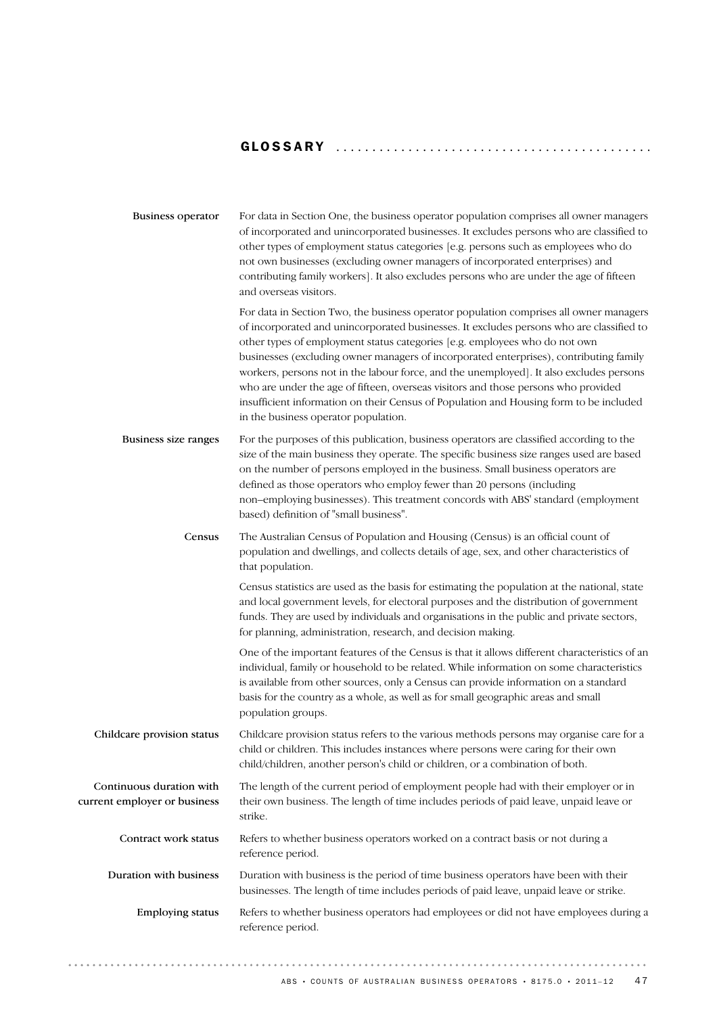## GLOSSARY ........................................... .

| <b>Business operator</b>                                 | For data in Section One, the business operator population comprises all owner managers<br>of incorporated and unincorporated businesses. It excludes persons who are classified to<br>other types of employment status categories [e.g. persons such as employees who do<br>not own businesses (excluding owner managers of incorporated enterprises) and<br>contributing family workers]. It also excludes persons who are under the age of fifteen<br>and overseas visitors.                                                                                                                                                                                                |
|----------------------------------------------------------|-------------------------------------------------------------------------------------------------------------------------------------------------------------------------------------------------------------------------------------------------------------------------------------------------------------------------------------------------------------------------------------------------------------------------------------------------------------------------------------------------------------------------------------------------------------------------------------------------------------------------------------------------------------------------------|
|                                                          | For data in Section Two, the business operator population comprises all owner managers<br>of incorporated and unincorporated businesses. It excludes persons who are classified to<br>other types of employment status categories [e.g. employees who do not own<br>businesses (excluding owner managers of incorporated enterprises), contributing family<br>workers, persons not in the labour force, and the unemployed]. It also excludes persons<br>who are under the age of fifteen, overseas visitors and those persons who provided<br>insufficient information on their Census of Population and Housing form to be included<br>in the business operator population. |
| Business size ranges                                     | For the purposes of this publication, business operators are classified according to the<br>size of the main business they operate. The specific business size ranges used are based<br>on the number of persons employed in the business. Small business operators are<br>defined as those operators who employ fewer than 20 persons (including<br>non-employing businesses). This treatment concords with ABS' standard (employment<br>based) definition of "small business".                                                                                                                                                                                              |
| Census                                                   | The Australian Census of Population and Housing (Census) is an official count of<br>population and dwellings, and collects details of age, sex, and other characteristics of<br>that population.                                                                                                                                                                                                                                                                                                                                                                                                                                                                              |
|                                                          | Census statistics are used as the basis for estimating the population at the national, state<br>and local government levels, for electoral purposes and the distribution of government<br>funds. They are used by individuals and organisations in the public and private sectors,<br>for planning, administration, research, and decision making.                                                                                                                                                                                                                                                                                                                            |
|                                                          | One of the important features of the Census is that it allows different characteristics of an<br>individual, family or household to be related. While information on some characteristics<br>is available from other sources, only a Census can provide information on a standard<br>basis for the country as a whole, as well as for small geographic areas and small<br>population groups.                                                                                                                                                                                                                                                                                  |
| Childcare provision status                               | Childcare provision status refers to the various methods persons may organise care for a<br>child or children. This includes instances where persons were caring for their own<br>child/children, another person's child or children, or a combination of both.                                                                                                                                                                                                                                                                                                                                                                                                               |
| Continuous duration with<br>current employer or business | The length of the current period of employment people had with their employer or in<br>their own business. The length of time includes periods of paid leave, unpaid leave or<br>strike.                                                                                                                                                                                                                                                                                                                                                                                                                                                                                      |
| Contract work status                                     | Refers to whether business operators worked on a contract basis or not during a<br>reference period.                                                                                                                                                                                                                                                                                                                                                                                                                                                                                                                                                                          |
| Duration with business                                   | Duration with business is the period of time business operators have been with their<br>businesses. The length of time includes periods of paid leave, unpaid leave or strike.                                                                                                                                                                                                                                                                                                                                                                                                                                                                                                |
| <b>Employing status</b>                                  | Refers to whether business operators had employees or did not have employees during a<br>reference period.                                                                                                                                                                                                                                                                                                                                                                                                                                                                                                                                                                    |
|                                                          |                                                                                                                                                                                                                                                                                                                                                                                                                                                                                                                                                                                                                                                                               |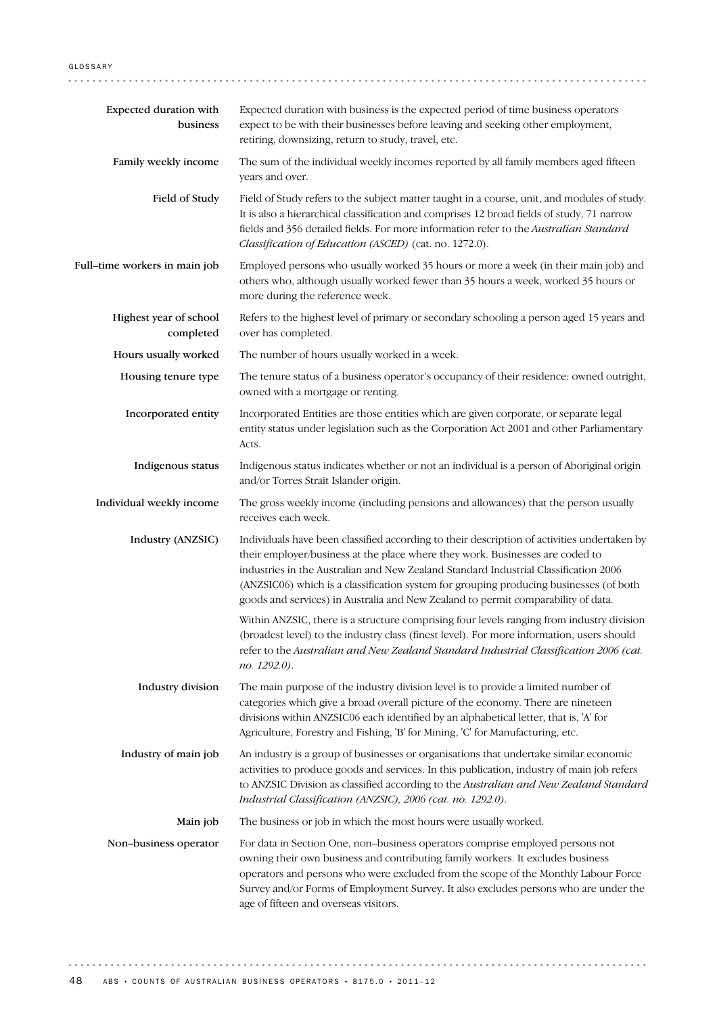| Expected duration with<br>business  | Expected duration with business is the expected period of time business operators<br>expect to be with their businesses before leaving and seeking other employment,<br>retiring, downsizing, return to study, travel, etc.                                                                                                                                                                                                                         |  |  |
|-------------------------------------|-----------------------------------------------------------------------------------------------------------------------------------------------------------------------------------------------------------------------------------------------------------------------------------------------------------------------------------------------------------------------------------------------------------------------------------------------------|--|--|
| Family weekly income                | The sum of the individual weekly incomes reported by all family members aged fifteen<br>years and over.                                                                                                                                                                                                                                                                                                                                             |  |  |
| Field of Study                      | Field of Study refers to the subject matter taught in a course, unit, and modules of study.<br>It is also a hierarchical classification and comprises 12 broad fields of study, 71 narrow<br>fields and 356 detailed fields. For more information refer to the Australian Standard<br>Classification of Education (ASCED) (cat. no. 1272.0).                                                                                                        |  |  |
| Full-time workers in main job       | Employed persons who usually worked 35 hours or more a week (in their main job) and<br>others who, although usually worked fewer than 35 hours a week, worked 35 hours or<br>more during the reference week.                                                                                                                                                                                                                                        |  |  |
| Highest year of school<br>completed | Refers to the highest level of primary or secondary schooling a person aged 15 years and<br>over has completed.                                                                                                                                                                                                                                                                                                                                     |  |  |
| Hours usually worked                | The number of hours usually worked in a week.                                                                                                                                                                                                                                                                                                                                                                                                       |  |  |
| Housing tenure type                 | The tenure status of a business operator's occupancy of their residence: owned outright,<br>owned with a mortgage or renting.                                                                                                                                                                                                                                                                                                                       |  |  |
| Incorporated entity                 | Incorporated Entities are those entities which are given corporate, or separate legal<br>entity status under legislation such as the Corporation Act 2001 and other Parliamentary<br>Acts.                                                                                                                                                                                                                                                          |  |  |
| Indigenous status                   | Indigenous status indicates whether or not an individual is a person of Aboriginal origin<br>and/or Torres Strait Islander origin.                                                                                                                                                                                                                                                                                                                  |  |  |
| Individual weekly income            | The gross weekly income (including pensions and allowances) that the person usually<br>receives each week.                                                                                                                                                                                                                                                                                                                                          |  |  |
| Industry (ANZSIC)                   | Individuals have been classified according to their description of activities undertaken by<br>their employer/business at the place where they work. Businesses are coded to<br>industries in the Australian and New Zealand Standard Industrial Classification 2006<br>(ANZSIC06) which is a classification system for grouping producing businesses (of both<br>goods and services) in Australia and New Zealand to permit comparability of data. |  |  |
|                                     | Within ANZSIC, there is a structure comprising four levels ranging from industry division<br>(broadest level) to the industry class (finest level). For more information, users should<br>refer to the Australian and New Zealand Standard Industrial Classification 2006 (cat.<br>no. 1292.0).                                                                                                                                                     |  |  |
| Industry division                   | The main purpose of the industry division level is to provide a limited number of<br>categories which give a broad overall picture of the economy. There are nineteen<br>divisions within ANZSIC06 each identified by an alphabetical letter, that is, 'A' for<br>Agriculture, Forestry and Fishing, 'B' for Mining, 'C' for Manufacturing, etc.                                                                                                    |  |  |
| Industry of main job                | An industry is a group of businesses or organisations that undertake similar economic<br>activities to produce goods and services. In this publication, industry of main job refers<br>to ANZSIC Division as classified according to the Australian and New Zealand Standard<br>Industrial Classification (ANZSIC), 2006 (cat. no. 1292.0).                                                                                                         |  |  |
| Main job                            | The business or job in which the most hours were usually worked.                                                                                                                                                                                                                                                                                                                                                                                    |  |  |
| Non-business operator               | For data in Section One, non-business operators comprise employed persons not<br>owning their own business and contributing family workers. It excludes business<br>operators and persons who were excluded from the scope of the Monthly Labour Force<br>Survey and/or Forms of Employment Survey. It also excludes persons who are under the<br>age of fifteen and overseas visitors.                                                             |  |  |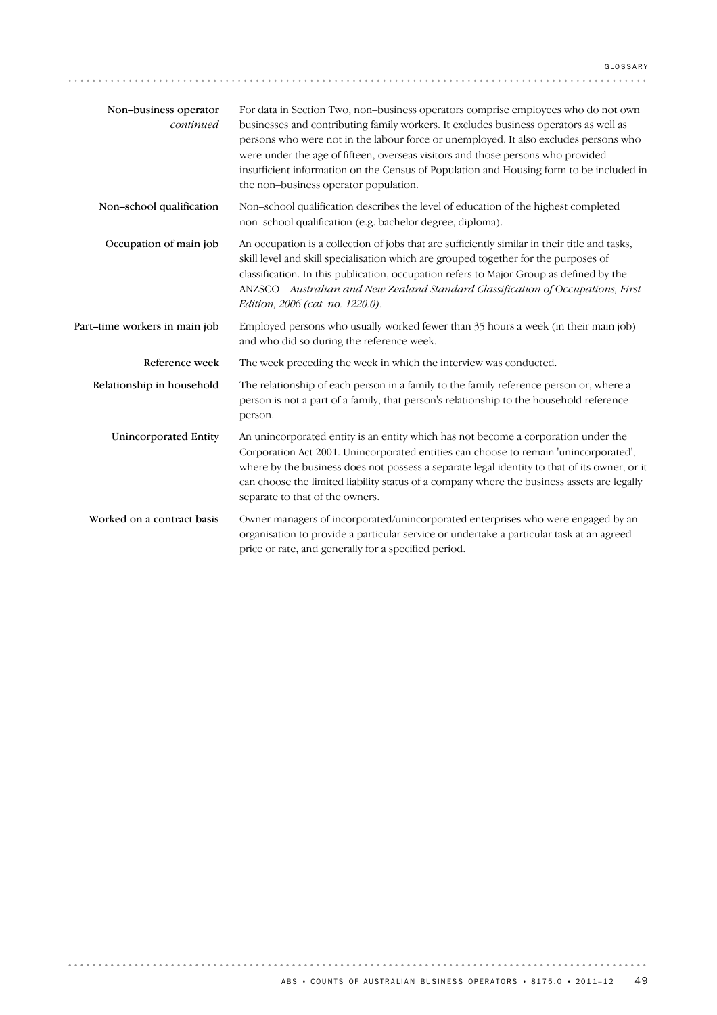| Non-business operator<br>continued | For data in Section Two, non-business operators comprise employees who do not own<br>businesses and contributing family workers. It excludes business operators as well as<br>persons who were not in the labour force or unemployed. It also excludes persons who<br>were under the age of fifteen, overseas visitors and those persons who provided<br>insufficient information on the Census of Population and Housing form to be included in<br>the non-business operator population. |
|------------------------------------|-------------------------------------------------------------------------------------------------------------------------------------------------------------------------------------------------------------------------------------------------------------------------------------------------------------------------------------------------------------------------------------------------------------------------------------------------------------------------------------------|
| Non-school qualification           | Non-school qualification describes the level of education of the highest completed<br>non-school qualification (e.g. bachelor degree, diploma).                                                                                                                                                                                                                                                                                                                                           |
| Occupation of main job             | An occupation is a collection of jobs that are sufficiently similar in their title and tasks,<br>skill level and skill specialisation which are grouped together for the purposes of<br>classification. In this publication, occupation refers to Major Group as defined by the<br>ANZSCO - Australian and New Zealand Standard Classification of Occupations, First<br>Edition, 2006 (cat. no. 1220.0).                                                                                  |
| Part-time workers in main job      | Employed persons who usually worked fewer than 35 hours a week (in their main job)<br>and who did so during the reference week.                                                                                                                                                                                                                                                                                                                                                           |
| Reference week                     | The week preceding the week in which the interview was conducted.                                                                                                                                                                                                                                                                                                                                                                                                                         |
| Relationship in household          | The relationship of each person in a family to the family reference person or, where a<br>person is not a part of a family, that person's relationship to the household reference<br>person.                                                                                                                                                                                                                                                                                              |
| <b>Unincorporated Entity</b>       | An unincorporated entity is an entity which has not become a corporation under the<br>Corporation Act 2001. Unincorporated entities can choose to remain 'unincorporated',<br>where by the business does not possess a separate legal identity to that of its owner, or it<br>can choose the limited liability status of a company where the business assets are legally<br>separate to that of the owners.                                                                               |
| Worked on a contract basis         | Owner managers of incorporated/unincorporated enterprises who were engaged by an<br>organisation to provide a particular service or undertake a particular task at an agreed<br>price or rate, and generally for a specified period.                                                                                                                                                                                                                                                      |